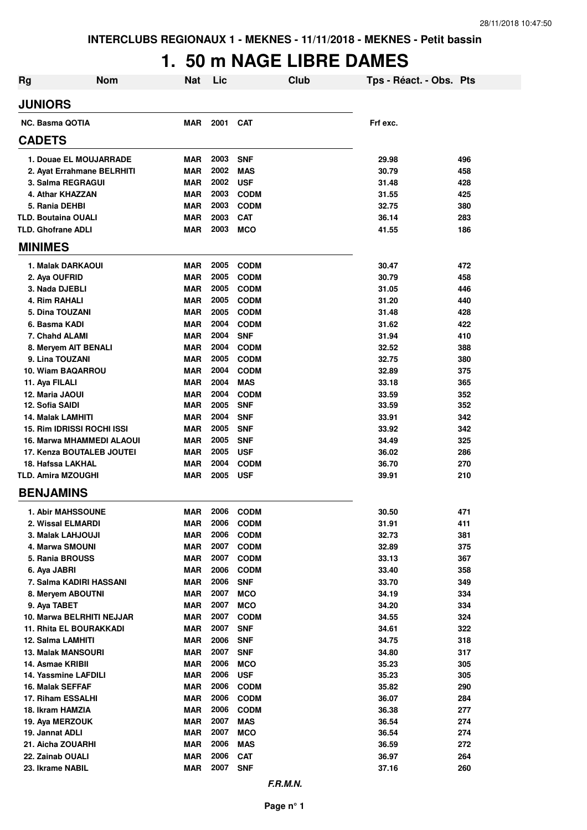# **1. 50 m NAGE LIBRE DAMES**

| <b>Rg</b>                               | <b>Nom</b> | <b>Nat</b>               | Lic          |                            | Club | Tps - Réact. - Obs. Pts |            |
|-----------------------------------------|------------|--------------------------|--------------|----------------------------|------|-------------------------|------------|
| <b>JUNIORS</b>                          |            |                          |              |                            |      |                         |            |
| <b>NC. Basma QOTIA</b>                  |            | MAR                      | 2001         | <b>CAT</b>                 |      | Frf exc.                |            |
| <b>CADETS</b>                           |            |                          |              |                            |      |                         |            |
| 1. Douae EL MOUJARRADE                  |            | <b>MAR</b>               | 2003         | <b>SNF</b>                 |      | 29.98                   | 496        |
| 2. Ayat Errahmane BELRHITI              |            | <b>MAR</b>               | 2002         | <b>MAS</b>                 |      | 30.79                   | 458        |
| 3. Salma REGRAGUI                       |            | <b>MAR</b>               | 2002         | <b>USF</b>                 |      | 31.48                   | 428        |
| 4. Athar KHAZZAN                        |            | <b>MAR</b>               | 2003         | <b>CODM</b>                |      | 31.55                   | 425        |
| 5. Rania DEHBI                          |            | <b>MAR</b>               | 2003         | <b>CODM</b>                |      | 32.75                   | 380        |
| <b>TLD. Boutaina OUALI</b>              |            | <b>MAR</b>               | 2003         | <b>CAT</b>                 |      | 36.14                   | 283        |
| <b>TLD. Ghofrane ADLI</b>               |            | <b>MAR</b>               | 2003         | <b>MCO</b>                 |      | 41.55                   | 186        |
| <b>MINIMES</b>                          |            |                          |              |                            |      |                         |            |
| 1. Malak DARKAOUI                       |            | <b>MAR</b>               | 2005         | <b>CODM</b>                |      | 30.47                   | 472        |
| 2. Aya OUFRID                           |            | <b>MAR</b>               | 2005         | <b>CODM</b>                |      | 30.79                   | 458        |
| 3. Nada DJEBLI                          |            | <b>MAR</b>               | 2005         | <b>CODM</b>                |      | 31.05                   | 446        |
| 4. Rim RAHALI                           |            | <b>MAR</b>               | 2005         | <b>CODM</b>                |      | 31.20                   | 440        |
| 5. Dina TOUZANI                         |            | MAR                      | 2005         | <b>CODM</b>                |      | 31.48                   | 428        |
| 6. Basma KADI                           |            | MAR                      | 2004         | <b>CODM</b>                |      | 31.62                   | 422        |
| 7. Chahd ALAMI                          |            | <b>MAR</b>               | 2004         | <b>SNF</b>                 |      | 31.94                   | 410        |
| 8. Meryem AIT BENALI<br>9. Lina TOUZANI |            | <b>MAR</b>               | 2004         | <b>CODM</b>                |      | 32.52<br>32.75          | 388        |
| 10. Wiam BAQARROU                       |            | <b>MAR</b><br><b>MAR</b> | 2005<br>2004 | <b>CODM</b><br><b>CODM</b> |      | 32.89                   | 380<br>375 |
| 11. Aya FILALI                          |            | <b>MAR</b>               | 2004         | <b>MAS</b>                 |      | 33.18                   | 365        |
| 12. Maria JAOUI                         |            | <b>MAR</b>               | 2004         | <b>CODM</b>                |      | 33.59                   | 352        |
| 12. Sofia SAIDI                         |            | <b>MAR</b>               | 2005         | <b>SNF</b>                 |      | 33.59                   | 352        |
| 14. Malak LAMHITI                       |            | <b>MAR</b>               | 2004         | <b>SNF</b>                 |      | 33.91                   | 342        |
| 15. Rim IDRISSI ROCHI ISSI              |            | <b>MAR</b>               | 2005         | <b>SNF</b>                 |      | 33.92                   | 342        |
| 16. Marwa MHAMMEDI ALAOUI               |            | <b>MAR</b>               | 2005         | <b>SNF</b>                 |      | 34.49                   | 325        |
| 17. Kenza BOUTALEB JOUTEI               |            | <b>MAR</b>               | 2005         | <b>USF</b>                 |      | 36.02                   | 286        |
| 18. Hafssa LAKHAL                       |            | <b>MAR</b>               | 2004         | <b>CODM</b>                |      | 36.70                   | 270        |
| <b>TLD. Amira MZOUGHI</b>               |            | MAR                      | 2005         | <b>USF</b>                 |      | 39.91                   | 210        |
| <b>BENJAMINS</b>                        |            |                          |              |                            |      |                         |            |
| <b>1. Abir MAHSSOUNE</b>                |            | MAR                      | 2006         | <b>CODM</b>                |      | 30.50                   | 471        |
| 2. Wissal ELMARDI                       |            | <b>MAR</b>               | 2006         | <b>CODM</b>                |      | 31.91                   | 411        |
| 3. Malak LAHJOUJI                       |            | <b>MAR</b>               | 2006         | <b>CODM</b>                |      | 32.73                   | 381        |
| 4. Marwa SMOUNI                         |            | <b>MAR</b>               | 2007         | <b>CODM</b>                |      | 32.89                   | 375        |
| 5. Rania BROUSS                         |            | <b>MAR</b>               | 2007         | <b>CODM</b>                |      | 33.13                   | 367        |
| 6. Aya JABRI                            |            | <b>MAR</b>               | 2006         | <b>CODM</b>                |      | 33.40                   | 358        |
| 7. Salma KADIRI HASSANI                 |            | <b>MAR</b>               | 2006         | <b>SNF</b>                 |      | 33.70                   | 349        |
| 8. Meryem ABOUTNI<br>9. Aya TABET       |            | <b>MAR</b>               | 2007<br>2007 | <b>MCO</b>                 |      | 34.19                   | 334        |
| 10. Marwa BELRHITI NEJJAR               |            | <b>MAR</b><br><b>MAR</b> | 2007         | <b>MCO</b><br><b>CODM</b>  |      | 34.20<br>34.55          | 334<br>324 |
| 11. Rhita EL BOURAKKADI                 |            | <b>MAR</b>               | 2007         | <b>SNF</b>                 |      | 34.61                   | 322        |
| 12. Salma LAMHITI                       |            | <b>MAR</b>               | 2006         | <b>SNF</b>                 |      | 34.75                   | 318        |
| <b>13. Malak MANSOURI</b>               |            | <b>MAR</b>               | 2007         | <b>SNF</b>                 |      | 34.80                   | 317        |
| 14. Asmae KRIBII                        |            | <b>MAR</b>               | 2006         | <b>MCO</b>                 |      | 35.23                   | 305        |
| 14. Yassmine LAFDILI                    |            | <b>MAR</b>               | 2006         | <b>USF</b>                 |      | 35.23                   | 305        |
| 16. Malak SEFFAF                        |            | <b>MAR</b>               | 2006         | <b>CODM</b>                |      | 35.82                   | 290        |
| 17. Riham ESSALHI                       |            | <b>MAR</b>               | 2006         | <b>CODM</b>                |      | 36.07                   | 284        |
| 18. Ikram HAMZIA                        |            | <b>MAR</b>               | 2006         | <b>CODM</b>                |      | 36.38                   | 277        |
| 19. Aya MERZOUK                         |            | <b>MAR</b>               | 2007         | <b>MAS</b>                 |      | 36.54                   | 274        |
| 19. Jannat ADLI                         |            | <b>MAR</b>               | 2007         | <b>MCO</b>                 |      | 36.54                   | 274        |
| 21. Aicha ZOUARHI                       |            | <b>MAR</b>               | 2006         | <b>MAS</b>                 |      | 36.59                   | 272        |
| 22. Zainab OUALI                        |            | <b>MAR</b>               | 2006         | <b>CAT</b>                 |      | 36.97                   | 264        |
| 23. Ikrame NABIL                        |            | <b>MAR</b>               | 2007         | <b>SNF</b>                 |      | 37.16                   | 260        |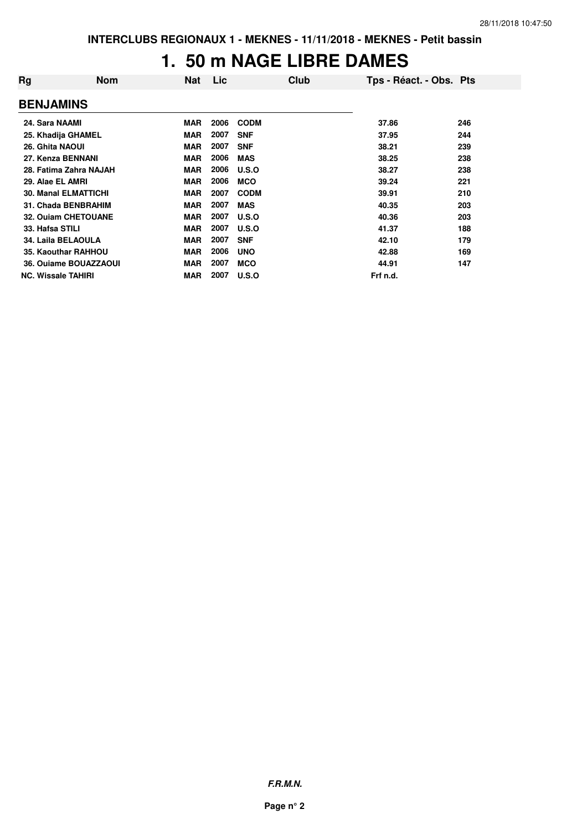### **1. 50 m NAGE LIBRE DAMES**

| Rg                          | <b>Nom</b> | <b>Nat</b> | Lic  | Club        | Tps - Réact. - Obs. Pts |     |
|-----------------------------|------------|------------|------|-------------|-------------------------|-----|
| <b>BENJAMINS</b>            |            |            |      |             |                         |     |
| 24. Sara NAAMI              |            | <b>MAR</b> | 2006 | <b>CODM</b> | 37.86                   | 246 |
| 25. Khadija GHAMEL          |            | <b>MAR</b> | 2007 | <b>SNF</b>  | 37.95                   | 244 |
| 26. Ghita NAOUI             |            | <b>MAR</b> | 2007 | <b>SNF</b>  | 38.21                   | 239 |
| 27. Kenza BENNANI           |            | <b>MAR</b> | 2006 | <b>MAS</b>  | 38.25                   | 238 |
| 28. Fatima Zahra NAJAH      |            | <b>MAR</b> | 2006 | U.S.O       | 38.27                   | 238 |
| 29. Alae EL AMRI            |            | <b>MAR</b> | 2006 | <b>MCO</b>  | 39.24                   | 221 |
| <b>30. Manal ELMATTICHI</b> |            | <b>MAR</b> | 2007 | <b>CODM</b> | 39.91                   | 210 |
| 31. Chada BENBRAHIM         |            | <b>MAR</b> | 2007 | <b>MAS</b>  | 40.35                   | 203 |
| <b>32. Ouiam CHETOUANE</b>  |            | <b>MAR</b> | 2007 | U.S.O       | 40.36                   | 203 |
| 33. Hafsa STILI             |            | <b>MAR</b> | 2007 | U.S.O       | 41.37                   | 188 |
| 34. Laila BELAOULA          |            | <b>MAR</b> | 2007 | <b>SNF</b>  | 42.10                   | 179 |
| 35. Kaouthar RAHHOU         |            | <b>MAR</b> | 2006 | <b>UNO</b>  | 42.88                   | 169 |
| 36. Ouiame BOUAZZAOUI       |            | <b>MAR</b> | 2007 | <b>MCO</b>  | 44.91                   | 147 |
| <b>NC. Wissale TAHIRI</b>   |            | <b>MAR</b> | 2007 | U.S.O       | Frf n.d.                |     |

**F.R.M.N.**

**Page n° 2**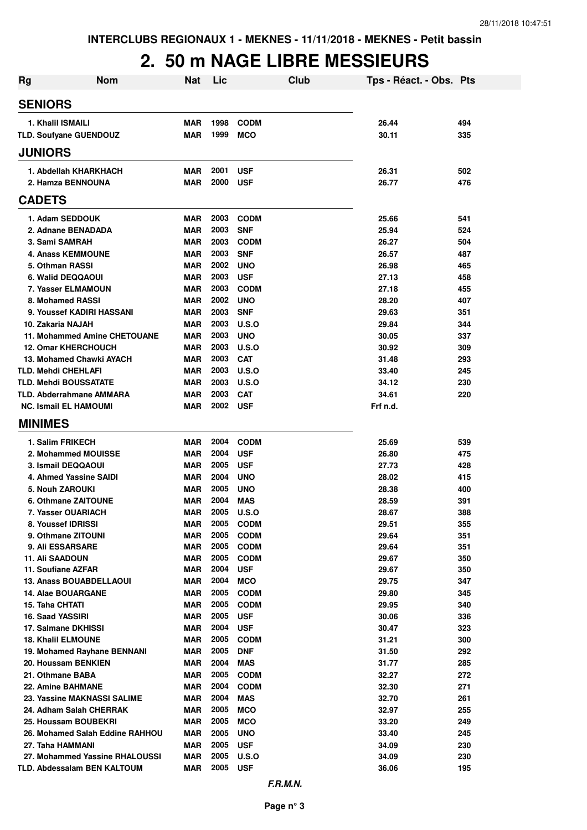### **2. 50 m NAGE LIBRE MESSIEURS**

| Rg | Nom                                                | Nat                      | Lic          | Club                       | Tps - Réact. - Obs. Pts |            |
|----|----------------------------------------------------|--------------------------|--------------|----------------------------|-------------------------|------------|
|    | <b>SENIORS</b>                                     |                          |              |                            |                         |            |
|    | 1. Khalil ISMAILI                                  | <b>MAR</b>               | 1998         | <b>CODM</b>                | 26.44                   | 494        |
|    | TLD. Soufyane GUENDOUZ                             | <b>MAR</b>               | 1999         | <b>MCO</b>                 | 30.11                   | 335        |
|    | <b>JUNIORS</b>                                     |                          |              |                            |                         |            |
|    | 1. Abdellah KHARKHACH                              | <b>MAR</b>               | 2001         | <b>USF</b>                 | 26.31                   | 502        |
|    | 2. Hamza BENNOUNA                                  | <b>MAR</b>               | 2000         | <b>USF</b>                 | 26.77                   | 476        |
|    | <b>CADETS</b>                                      |                          |              |                            |                         |            |
|    | 1. Adam SEDDOUK                                    | <b>MAR</b>               | 2003         | <b>CODM</b>                | 25.66                   | 541        |
|    | 2. Adnane BENADADA                                 | <b>MAR</b>               | 2003         | <b>SNF</b>                 | 25.94                   | 524        |
|    | 3. Sami SAMRAH                                     | <b>MAR</b>               | 2003         | <b>CODM</b>                | 26.27                   | 504        |
|    | <b>4. Anass KEMMOUNE</b>                           | <b>MAR</b>               | 2003         | <b>SNF</b>                 | 26.57                   | 487        |
|    | 5. Othman RASSI                                    | <b>MAR</b>               | 2002         | <b>UNO</b>                 | 26.98                   | 465        |
|    | 6. Walid DEQQAOUI                                  | <b>MAR</b>               | 2003         | <b>USF</b>                 | 27.13                   | 458        |
|    | 7. Yasser ELMAMOUN                                 | <b>MAR</b>               | 2003         | <b>CODM</b>                | 27.18                   | 455        |
|    | 8. Mohamed RASSI                                   | <b>MAR</b>               | 2002         | <b>UNO</b>                 | 28.20                   | 407        |
|    | 9. Youssef KADIRI HASSANI                          | <b>MAR</b>               | 2003         | <b>SNF</b>                 | 29.63                   | 351        |
|    | 10. Zakaria NAJAH                                  | <b>MAR</b>               | 2003         | U.S.O                      | 29.84                   | 344        |
|    | 11. Mohammed Amine CHETOUANE                       | <b>MAR</b>               | 2003         | <b>UNO</b>                 | 30.05                   | 337        |
|    | <b>12. Omar KHERCHOUCH</b>                         | <b>MAR</b>               | 2003         | U.S.O                      | 30.92                   | 309        |
|    | 13. Mohamed Chawki AYACH                           | <b>MAR</b>               | 2003         | <b>CAT</b>                 | 31.48                   | 293        |
|    | <b>TLD. Mehdi CHEHLAFI</b>                         | <b>MAR</b>               | 2003         | U.S.O                      | 33.40                   | 245        |
|    | <b>TLD. Mehdi BOUSSATATE</b>                       | <b>MAR</b>               | 2003         | <b>U.S.O</b>               | 34.12                   | 230        |
|    | <b>TLD. Abderrahmane AMMARA</b>                    | MAR                      | 2003         | <b>CAT</b>                 | 34.61                   | 220        |
|    | <b>NC. Ismail EL HAMOUMI</b>                       | <b>MAR</b>               | 2002         | <b>USF</b>                 | Frf n.d.                |            |
|    | <b>MINIMES</b>                                     |                          |              |                            |                         |            |
|    | 1. Salim FRIKECH                                   | <b>MAR</b>               | 2004         | <b>CODM</b>                | 25.69                   | 539        |
|    | 2. Mohammed MOUISSE                                | <b>MAR</b>               | 2004         | <b>USF</b>                 | 26.80                   | 475        |
|    | 3. Ismail DEQQAOUI                                 | MAR                      | 2005         | <b>USF</b>                 | 27.73                   | 428        |
|    | 4. Ahmed Yassine SAIDI                             | MAR                      | 2004         | <b>UNO</b>                 | 28.02                   | 415        |
|    | 5. Nouh ZAROUKI                                    | MAR                      | 2005         | <b>UNO</b>                 | 28.38                   | 400        |
|    | 6. Othmane ZAITOUNE                                | <b>MAR</b>               | 2004         | <b>MAS</b>                 | 28.59                   | 391        |
|    | 7. Yasser OUARIACH                                 | <b>MAR</b>               | 2005         | U.S.O                      | 28.67                   | 388        |
|    | 8. Youssef IDRISSI<br>9. Othmane ZITOUNI           | MAR<br><b>MAR</b>        | 2005<br>2005 | <b>CODM</b><br><b>CODM</b> | 29.51<br>29.64          | 355<br>351 |
|    | 9. Ali ESSARSARE                                   | <b>MAR</b>               | 2005         | <b>CODM</b>                | 29.64                   | 351        |
|    | 11. Ali SAADOUN                                    | MAR                      | 2005         | <b>CODM</b>                | 29.67                   | 350        |
|    | 11. Soufiane AZFAR                                 | <b>MAR</b>               | 2004         | <b>USF</b>                 | 29.67                   | 350        |
|    | 13. Anass BOUABDELLAOUI                            | <b>MAR</b>               | 2004         | <b>MCO</b>                 | 29.75                   | 347        |
|    | 14. Alae BOUARGANE                                 | <b>MAR</b>               | 2005         | <b>CODM</b>                | 29.80                   | 345        |
|    | 15. Taha CHTATI                                    | <b>MAR</b>               | 2005         | <b>CODM</b>                | 29.95                   | 340        |
|    | 16. Saad YASSIRI                                   | <b>MAR</b>               | 2005         | <b>USF</b>                 | 30.06                   | 336        |
|    | 17. Salmane DKHISSI                                | <b>MAR</b>               | 2004         | <b>USF</b>                 | 30.47                   | 323        |
|    | 18. Khalil ELMOUNE                                 | MAR                      | 2005         | <b>CODM</b>                | 31.21                   | 300        |
|    | 19. Mohamed Rayhane BENNANI                        | <b>MAR</b>               | 2005         | <b>DNF</b>                 | 31.50                   | 292        |
|    | 20. Houssam BENKIEN                                | <b>MAR</b>               | 2004         | <b>MAS</b>                 | 31.77                   | 285        |
|    | 21. Othmane BABA                                   | <b>MAR</b>               | 2005         | <b>CODM</b>                | 32.27                   | 272        |
|    | <b>22. Amine BAHMANE</b>                           | <b>MAR</b>               | 2004         | <b>CODM</b>                | 32.30                   | 271        |
|    | 23. Yassine MAKNASSI SALIME                        | <b>MAR</b>               | 2004         | MAS                        | 32.70                   | 261        |
|    | 24. Adham Salah CHERRAK                            | <b>MAR</b>               | 2005         | <b>MCO</b>                 | 32.97                   | 255        |
|    | 25. Houssam BOUBEKRI                               | <b>MAR</b>               | 2005         | <b>MCO</b>                 | 33.20                   | 249        |
|    | 26. Mohamed Salah Eddine RAHHOU                    | <b>MAR</b>               | 2005         | <b>UNO</b>                 | 33.40                   | 245        |
|    | 27. Taha HAMMANI<br>27. Mohammed Yassine RHALOUSSI | <b>MAR</b><br><b>MAR</b> | 2005<br>2005 | <b>USF</b><br><b>U.S.O</b> | 34.09<br>34.09          | 230<br>230 |
|    | TLD. Abdessalam BEN KALTOUM                        | <b>MAR</b>               | 2005         | <b>USF</b>                 | 36.06                   | 195        |
|    |                                                    |                          |              |                            |                         |            |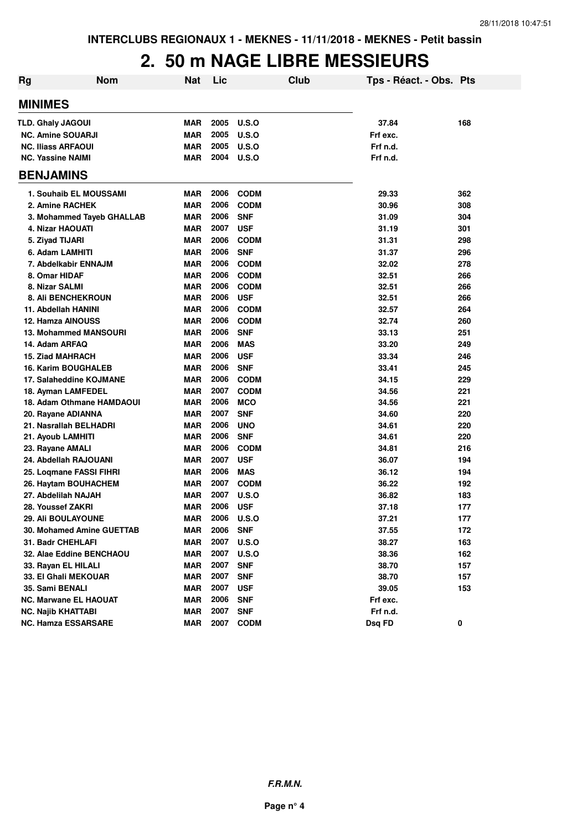### **2. 50 m NAGE LIBRE MESSIEURS**

| <b>Rg</b> | <b>Nom</b>                                   | <b>Nat</b>               | Lic          |                          | <b>Club</b> | Tps - Réact. - Obs. Pts |            |
|-----------|----------------------------------------------|--------------------------|--------------|--------------------------|-------------|-------------------------|------------|
|           | <b>MINIMES</b>                               |                          |              |                          |             |                         |            |
|           | <b>TLD. Ghaly JAGOUI</b>                     | <b>MAR</b>               | 2005         | U.S.O                    |             | 37.84                   | 168        |
|           | <b>NC. Amine SOUARJI</b>                     | <b>MAR</b>               | 2005         | U.S.O                    |             | Frf exc.                |            |
|           | <b>NC. Iliass ARFAOUI</b>                    | <b>MAR</b>               | 2005         | U.S.O                    |             | Frf n.d.                |            |
|           | <b>NC. Yassine NAIMI</b>                     | <b>MAR</b>               | 2004         | U.S.O                    |             | Frf n.d.                |            |
|           | <b>BENJAMINS</b>                             |                          |              |                          |             |                         |            |
|           | 1. Souhaib EL MOUSSAMI                       | <b>MAR</b>               | 2006         | <b>CODM</b>              |             | 29.33                   | 362        |
|           | 2. Amine RACHEK                              | <b>MAR</b>               | 2006         | <b>CODM</b>              |             | 30.96                   | 308        |
|           | 3. Mohammed Tayeb GHALLAB                    | MAR                      | 2006         | <b>SNF</b>               |             | 31.09                   | 304        |
|           | 4. Nizar HAOUATI                             | <b>MAR</b>               | 2007         | <b>USF</b>               |             | 31.19                   | 301        |
|           | 5. Ziyad TIJARI                              | <b>MAR</b>               | 2006         | <b>CODM</b>              |             | 31.31                   | 298        |
|           | 6. Adam LAMHITI                              | <b>MAR</b>               | 2006         | <b>SNF</b>               |             | 31.37                   | 296        |
|           | 7. Abdelkabir ENNAJM                         | <b>MAR</b>               | 2006         | <b>CODM</b>              |             | 32.02                   | 278        |
|           | 8. Omar HIDAF                                | <b>MAR</b>               | 2006         | <b>CODM</b>              |             | 32.51                   | 266        |
|           | 8. Nizar SALMI                               | <b>MAR</b>               | 2006         | <b>CODM</b>              |             | 32.51                   | 266        |
|           | <b>8. Ali BENCHEKROUN</b>                    | MAR                      | 2006         | <b>USF</b>               |             | 32.51                   | 266        |
|           | 11. Abdellah HANINI                          | <b>MAR</b>               | 2006         | <b>CODM</b>              |             | 32.57                   | 264        |
|           | 12. Hamza AINOUSS                            | <b>MAR</b>               | 2006         | <b>CODM</b>              |             | 32.74                   | 260        |
|           | 13. Mohammed MANSOURI                        | <b>MAR</b>               | 2006         | <b>SNF</b>               |             | 33.13                   | 251        |
|           | 14. Adam ARFAQ                               | <b>MAR</b>               | 2006         | <b>MAS</b>               |             | 33.20                   | 249        |
|           | <b>15. Ziad MAHRACH</b>                      | <b>MAR</b>               | 2006         | <b>USF</b>               |             | 33.34                   | 246        |
|           | <b>16. Karim BOUGHALEB</b>                   | <b>MAR</b>               | 2006         | <b>SNF</b>               |             | 33.41                   | 245        |
|           | 17. Salaheddine KOJMANE                      | <b>MAR</b>               | 2006         | <b>CODM</b>              |             | 34.15                   | 229        |
|           | 18. Ayman LAMFEDEL                           | <b>MAR</b>               | 2007         | <b>CODM</b>              |             | 34.56                   | 221        |
|           | 18. Adam Othmane HAMDAOUI                    | <b>MAR</b><br><b>MAR</b> | 2006<br>2007 | <b>MCO</b><br><b>SNF</b> |             | 34.56<br>34.60          | 221<br>220 |
|           | 20. Rayane ADIANNA<br>21. Nasrallah BELHADRI | <b>MAR</b>               | 2006         | <b>UNO</b>               |             | 34.61                   | 220        |
|           | 21. Ayoub LAMHITI                            | <b>MAR</b>               | 2006         | <b>SNF</b>               |             | 34.61                   | 220        |
|           | 23. Rayane AMALI                             | <b>MAR</b>               | 2006         | <b>CODM</b>              |             | 34.81                   | 216        |
|           | 24. Abdellah RAJOUANI                        | <b>MAR</b>               | 2007         | <b>USF</b>               |             | 36.07                   | 194        |
|           | 25. Loqmane FASSI FIHRI                      | <b>MAR</b>               | 2006         | <b>MAS</b>               |             | 36.12                   | 194        |
|           | 26. Haytam BOUHACHEM                         | <b>MAR</b>               | 2007         | <b>CODM</b>              |             | 36.22                   | 192        |
|           | 27. Abdelilah NAJAH                          | <b>MAR</b>               | 2007         | U.S.O                    |             | 36.82                   | 183        |
|           | 28. Youssef ZAKRI                            | <b>MAR</b>               | 2006         | <b>USF</b>               |             | 37.18                   | 177        |
|           | <b>29. Ali BOULAYOUNE</b>                    | MAR                      | 2006         | U.S.O                    |             | 37.21                   | 177        |
|           | 30. Mohamed Amine GUETTAB                    | <b>MAR</b>               | 2006         | <b>SNF</b>               |             | 37.55                   | 172        |
|           | 31. Badr CHEHLAFI                            | <b>MAR</b>               | 2007         | <b>U.S.O</b>             |             | 38.27                   | 163        |
|           | 32. Alae Eddine BENCHAOU                     | <b>MAR</b>               | 2007         | <b>U.S.O</b>             |             | 38.36                   | 162        |
|           | 33. Rayan EL HILALI                          | <b>MAR</b>               | 2007         | <b>SNF</b>               |             | 38.70                   | 157        |
|           | 33. El Ghali MEKOUAR                         | <b>MAR</b>               | 2007         | <b>SNF</b>               |             | 38.70                   | 157        |
|           | 35. Sami BENALI                              | <b>MAR</b>               | 2007         | <b>USF</b>               |             | 39.05                   | 153        |
|           | <b>NC. Marwane EL HAOUAT</b>                 | <b>MAR</b>               | 2006         | <b>SNF</b>               |             | Frf exc.                |            |
|           | <b>NC. Najib KHATTABI</b>                    | <b>MAR</b>               | 2007         | <b>SNF</b>               |             | Frf n.d.                |            |
|           | <b>NC. Hamza ESSARSARE</b>                   | <b>MAR</b>               | 2007         | <b>CODM</b>              |             | Dsq FD                  | 0          |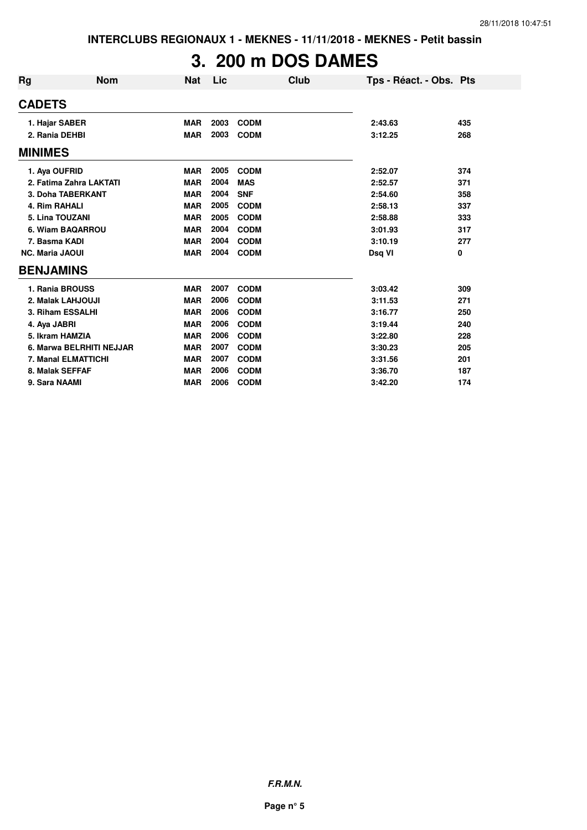# **3. 200 m DOS DAMES**

| Rg                      | <b>Nom</b>               | Nat        | Lic  |             | Club | Tps - Réact. - Obs. Pts |     |
|-------------------------|--------------------------|------------|------|-------------|------|-------------------------|-----|
| <b>CADETS</b>           |                          |            |      |             |      |                         |     |
| 1. Hajar SABER          |                          | <b>MAR</b> | 2003 | <b>CODM</b> |      | 2:43.63                 | 435 |
| 2. Rania DEHBI          |                          | <b>MAR</b> | 2003 | <b>CODM</b> |      | 3:12.25                 | 268 |
| <b>MINIMES</b>          |                          |            |      |             |      |                         |     |
| 1. Aya OUFRID           |                          | <b>MAR</b> | 2005 | <b>CODM</b> |      | 2:52.07                 | 374 |
| 2. Fatima Zahra LAKTATI |                          | <b>MAR</b> | 2004 | <b>MAS</b>  |      | 2:52.57                 | 371 |
| 3. Doha TABERKANT       |                          | <b>MAR</b> | 2004 | <b>SNF</b>  |      | 2:54.60                 | 358 |
| 4. Rim RAHALI           |                          | <b>MAR</b> | 2005 | <b>CODM</b> |      | 2:58.13                 | 337 |
| 5. Lina TOUZANI         |                          | <b>MAR</b> | 2005 | <b>CODM</b> |      | 2:58.88                 | 333 |
| 6. Wiam BAQARROU        |                          | <b>MAR</b> | 2004 | <b>CODM</b> |      | 3:01.93                 | 317 |
| 7. Basma KADI           |                          | <b>MAR</b> | 2004 | <b>CODM</b> |      | 3:10.19                 | 277 |
| <b>NC. Maria JAOUI</b>  |                          | <b>MAR</b> | 2004 | <b>CODM</b> |      | Dsq VI                  | 0   |
| <b>BENJAMINS</b>        |                          |            |      |             |      |                         |     |
| 1. Rania BROUSS         |                          | <b>MAR</b> | 2007 | <b>CODM</b> |      | 3:03.42                 | 309 |
| 2. Malak LAHJOUJI       |                          | <b>MAR</b> | 2006 | <b>CODM</b> |      | 3:11.53                 | 271 |
| 3. Riham ESSALHI        |                          | <b>MAR</b> | 2006 | <b>CODM</b> |      | 3:16.77                 | 250 |
| 4. Aya JABRI            |                          | <b>MAR</b> | 2006 | <b>CODM</b> |      | 3:19.44                 | 240 |
| 5. Ikram HAMZIA         |                          | <b>MAR</b> | 2006 | <b>CODM</b> |      | 3:22.80                 | 228 |
|                         | 6. Marwa BELRHITI NEJJAR | <b>MAR</b> | 2007 | <b>CODM</b> |      | 3:30.23                 | 205 |
| 7. Manal ELMATTICHI     |                          | <b>MAR</b> | 2007 | <b>CODM</b> |      | 3:31.56                 | 201 |
| 8. Malak SEFFAF         |                          | <b>MAR</b> | 2006 | <b>CODM</b> |      | 3:36.70                 | 187 |
| 9. Sara NAAMI           |                          | <b>MAR</b> | 2006 | <b>CODM</b> |      | 3:42.20                 | 174 |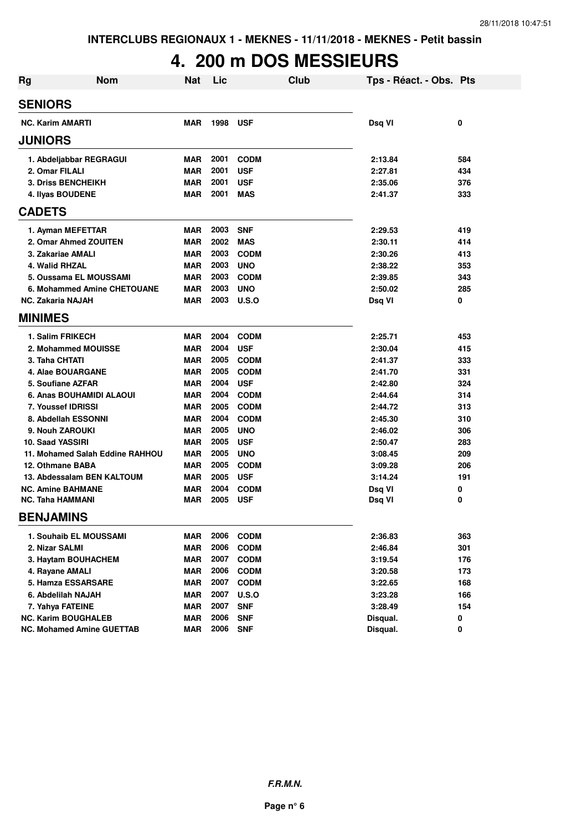# **4. 200 m DOS MESSIEURS**

| <b>Rg</b> | <b>Nom</b>                       | <b>Nat</b> | Lic  | Club         | Tps - Réact. - Obs. Pts |     |
|-----------|----------------------------------|------------|------|--------------|-------------------------|-----|
|           | <b>SENIORS</b>                   |            |      |              |                         |     |
|           | <b>NC. Karim AMARTI</b>          | <b>MAR</b> | 1998 | <b>USF</b>   | Dsq VI                  | 0   |
|           | <b>JUNIORS</b>                   |            |      |              |                         |     |
|           | 1. Abdeljabbar REGRAGUI          | <b>MAR</b> | 2001 | <b>CODM</b>  | 2:13.84                 | 584 |
|           | 2. Omar FILALI                   | <b>MAR</b> | 2001 | <b>USF</b>   | 2:27.81                 | 434 |
|           | <b>3. Driss BENCHEIKH</b>        | <b>MAR</b> | 2001 | <b>USF</b>   | 2:35.06                 | 376 |
|           | 4. Ilyas BOUDENE                 | <b>MAR</b> | 2001 | <b>MAS</b>   | 2:41.37                 | 333 |
|           | <b>CADETS</b>                    |            |      |              |                         |     |
|           | 1. Ayman MEFETTAR                | <b>MAR</b> | 2003 | <b>SNF</b>   | 2:29.53                 | 419 |
|           | 2. Omar Ahmed ZOUITEN            | <b>MAR</b> | 2002 | <b>MAS</b>   | 2:30.11                 | 414 |
|           | 3. Zakariae AMALI                | <b>MAR</b> | 2003 | <b>CODM</b>  | 2:30.26                 | 413 |
|           | 4. Walid RHZAL                   | <b>MAR</b> | 2003 | <b>UNO</b>   | 2:38.22                 | 353 |
|           | 5. Oussama EL MOUSSAMI           | <b>MAR</b> | 2003 | <b>CODM</b>  | 2:39.85                 | 343 |
|           | 6. Mohammed Amine CHETOUANE      | <b>MAR</b> | 2003 | <b>UNO</b>   | 2:50.02                 | 285 |
|           | <b>NC. Zakaria NAJAH</b>         | <b>MAR</b> | 2003 | U.S.O        | Dsq VI                  | 0   |
|           | <b>MINIMES</b>                   |            |      |              |                         |     |
|           | 1. Salim FRIKECH                 | <b>MAR</b> | 2004 | <b>CODM</b>  | 2:25.71                 | 453 |
|           | 2. Mohammed MOUISSE              | <b>MAR</b> | 2004 | <b>USF</b>   | 2:30.04                 | 415 |
|           | 3. Taha CHTATI                   | <b>MAR</b> | 2005 | <b>CODM</b>  | 2:41.37                 | 333 |
|           | 4. Alae BOUARGANE                | <b>MAR</b> | 2005 | <b>CODM</b>  | 2:41.70                 | 331 |
|           | 5. Soufiane AZFAR                | <b>MAR</b> | 2004 | <b>USF</b>   | 2:42.80                 | 324 |
|           | 6. Anas BOUHAMIDI ALAOUI         | <b>MAR</b> | 2004 | <b>CODM</b>  | 2:44.64                 | 314 |
|           | 7. Youssef IDRISSI               | <b>MAR</b> | 2005 | <b>CODM</b>  | 2:44.72                 | 313 |
|           | 8. Abdellah ESSONNI              | <b>MAR</b> | 2004 | <b>CODM</b>  | 2:45.30                 | 310 |
|           | 9. Nouh ZAROUKI                  | <b>MAR</b> | 2005 | <b>UNO</b>   | 2:46.02                 | 306 |
|           | 10. Saad YASSIRI                 | <b>MAR</b> | 2005 | <b>USF</b>   | 2:50.47                 | 283 |
|           | 11. Mohamed Salah Eddine RAHHOU  | <b>MAR</b> | 2005 | <b>UNO</b>   | 3:08.45                 | 209 |
|           | 12. Othmane BABA                 | <b>MAR</b> | 2005 | <b>CODM</b>  | 3:09.28                 | 206 |
|           | 13. Abdessalam BEN KALTOUM       | <b>MAR</b> | 2005 | <b>USF</b>   | 3:14.24                 | 191 |
|           | <b>NC. Amine BAHMANE</b>         | <b>MAR</b> | 2004 | <b>CODM</b>  | Dsq VI                  | 0   |
|           | <b>NC. Taha HAMMANI</b>          | <b>MAR</b> | 2005 | <b>USF</b>   | Dsq VI                  | 0   |
|           | <b>BENJAMINS</b>                 |            |      |              |                         |     |
|           | 1. Souhaib EL MOUSSAMI           | <b>MAR</b> | 2006 | <b>CODM</b>  | 2:36.83                 | 363 |
|           | 2. Nizar SALMI                   | <b>MAR</b> | 2006 | <b>CODM</b>  | 2:46.84                 | 301 |
|           | 3. Haytam BOUHACHEM              | <b>MAR</b> | 2007 | <b>CODM</b>  | 3:19.54                 | 176 |
|           | 4. Rayane AMALI                  | <b>MAR</b> | 2006 | <b>CODM</b>  | 3:20.58                 | 173 |
|           | 5. Hamza ESSARSARE               | <b>MAR</b> | 2007 | <b>CODM</b>  | 3:22.65                 | 168 |
|           | 6. Abdelilah NAJAH               | <b>MAR</b> | 2007 | <b>U.S.O</b> | 3:23.28                 | 166 |
|           | 7. Yahya FATEINE                 | <b>MAR</b> | 2007 | <b>SNF</b>   | 3:28.49                 | 154 |
|           | <b>NC. Karim BOUGHALEB</b>       | <b>MAR</b> | 2006 | <b>SNF</b>   | Disqual.                | 0   |
|           | <b>NC. Mohamed Amine GUETTAB</b> | <b>MAR</b> | 2006 | <b>SNF</b>   | Disqual.                | 0   |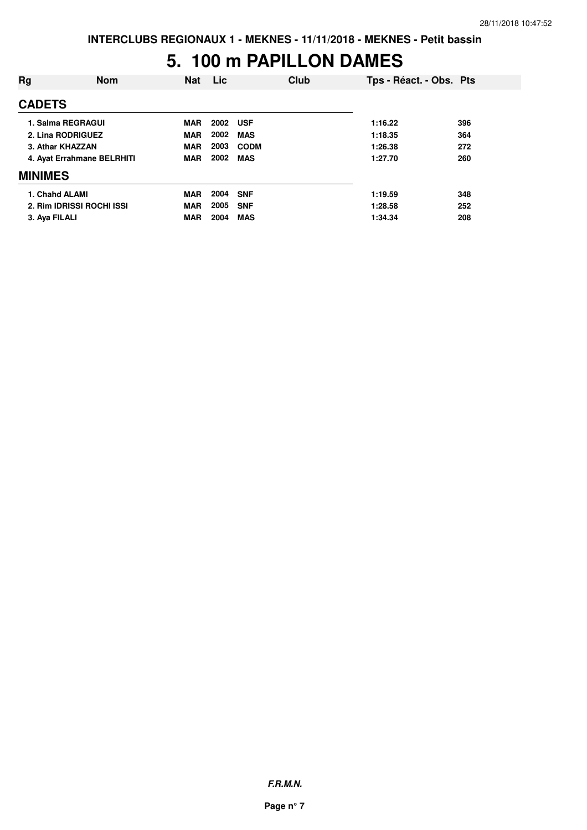#### **5. 100 m PAPILLON DAMES**

| Rg                | <b>Nom</b>                 | <b>Nat</b> | <b>Lic</b> | Club        | Tps - Réact. - Obs. Pts |     |
|-------------------|----------------------------|------------|------------|-------------|-------------------------|-----|
| <b>CADETS</b>     |                            |            |            |             |                         |     |
| 1. Salma REGRAGUI |                            | <b>MAR</b> | 2002       | <b>USF</b>  | 1:16.22                 | 396 |
| 2. Lina RODRIGUEZ |                            | <b>MAR</b> | 2002       | <b>MAS</b>  | 1:18.35                 | 364 |
| 3. Athar KHAZZAN  |                            | <b>MAR</b> | 2003       | <b>CODM</b> | 1:26.38                 | 272 |
|                   | 4. Ayat Errahmane BELRHITI | <b>MAR</b> | 2002       | <b>MAS</b>  | 1:27.70                 | 260 |
| <b>MINIMES</b>    |                            |            |            |             |                         |     |
| 1. Chahd ALAMI    |                            | <b>MAR</b> | 2004       | <b>SNF</b>  | 1:19.59                 | 348 |
|                   | 2. Rim IDRISSI ROCHI ISSI  | <b>MAR</b> | 2005       | <b>SNF</b>  | 1:28.58                 | 252 |
| 3. Aya FILALI     |                            | <b>MAR</b> | 2004       | <b>MAS</b>  | 1:34.34                 | 208 |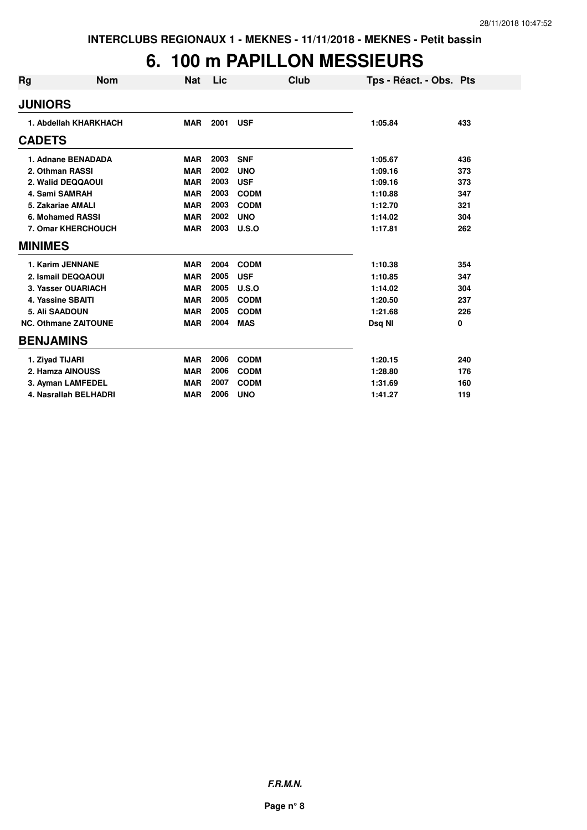## **6. 100 m PAPILLON MESSIEURS**

| Rg               | <b>Nom</b>                  | <b>Nat</b> | Lic  | Club         | Tps - Réact. - Obs. Pts |     |
|------------------|-----------------------------|------------|------|--------------|-------------------------|-----|
| <b>JUNIORS</b>   |                             |            |      |              |                         |     |
|                  | 1. Abdellah KHARKHACH       | <b>MAR</b> | 2001 | <b>USF</b>   | 1:05.84                 | 433 |
| <b>CADETS</b>    |                             |            |      |              |                         |     |
|                  | 1. Adnane BENADADA          | <b>MAR</b> | 2003 | <b>SNF</b>   | 1:05.67                 | 436 |
|                  | 2. Othman RASSI             | <b>MAR</b> | 2002 | <b>UNO</b>   | 1:09.16                 | 373 |
|                  | 2. Walid DEQQAOUI           | <b>MAR</b> | 2003 | <b>USF</b>   | 1:09.16                 | 373 |
|                  | 4. Sami SAMRAH              | <b>MAR</b> | 2003 | <b>CODM</b>  | 1:10.88                 | 347 |
|                  | 5. Zakariae AMALI           | <b>MAR</b> | 2003 | <b>CODM</b>  | 1:12.70                 | 321 |
|                  | 6. Mohamed RASSI            | <b>MAR</b> | 2002 | <b>UNO</b>   | 1:14.02                 | 304 |
|                  | 7. Omar KHERCHOUCH          | <b>MAR</b> | 2003 | <b>U.S.O</b> | 1:17.81                 | 262 |
| <b>MINIMES</b>   |                             |            |      |              |                         |     |
|                  | 1. Karim JENNANE            | <b>MAR</b> | 2004 | <b>CODM</b>  | 1:10.38                 | 354 |
|                  | 2. Ismail DEQQAOUI          | <b>MAR</b> | 2005 | <b>USF</b>   | 1:10.85                 | 347 |
|                  | 3. Yasser OUARIACH          | <b>MAR</b> | 2005 | U.S.O        | 1:14.02                 | 304 |
|                  | 4. Yassine SBAITI           | <b>MAR</b> | 2005 | <b>CODM</b>  | 1:20.50                 | 237 |
|                  | 5. Ali SAADOUN              | <b>MAR</b> | 2005 | <b>CODM</b>  | 1:21.68                 | 226 |
|                  | <b>NC. Othmane ZAITOUNE</b> | <b>MAR</b> | 2004 | <b>MAS</b>   | Dsq NI                  | 0   |
| <b>BENJAMINS</b> |                             |            |      |              |                         |     |
|                  | 1. Ziyad TIJARI             | <b>MAR</b> | 2006 | <b>CODM</b>  | 1:20.15                 | 240 |
|                  | 2. Hamza AINOUSS            | <b>MAR</b> | 2006 | <b>CODM</b>  | 1:28.80                 | 176 |
|                  | 3. Ayman LAMFEDEL           | <b>MAR</b> | 2007 | <b>CODM</b>  | 1:31.69                 | 160 |
|                  | 4. Nasrallah BELHADRI       | <b>MAR</b> | 2006 | <b>UNO</b>   | 1:41.27                 | 119 |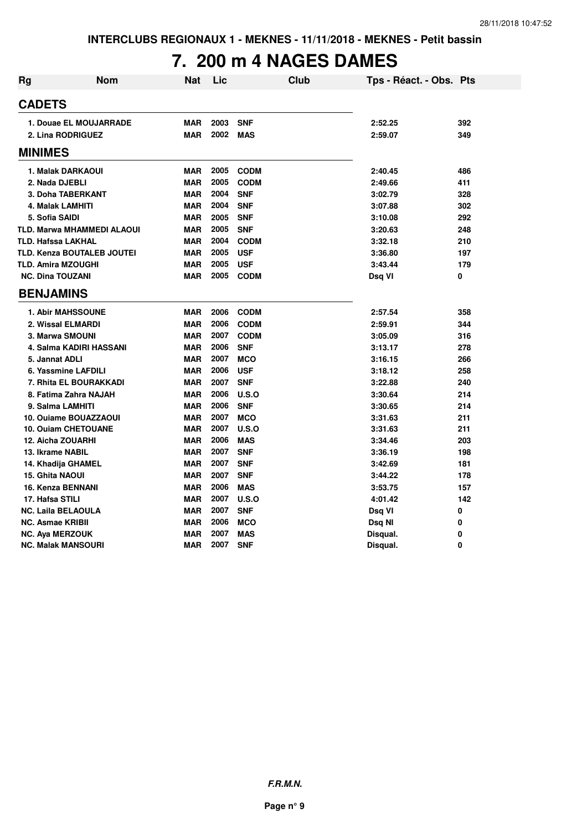# **7. 200 m 4 NAGES DAMES**

| <b>Rg</b> | <b>Nom</b>                        | Nat        | Lic  | <b>Club</b> | Tps - Réact. - Obs. Pts |     |
|-----------|-----------------------------------|------------|------|-------------|-------------------------|-----|
|           | <b>CADETS</b>                     |            |      |             |                         |     |
|           | 1. Douae EL MOUJARRADE            | <b>MAR</b> | 2003 | <b>SNF</b>  | 2:52.25                 | 392 |
|           | 2. Lina RODRIGUEZ                 | <b>MAR</b> | 2002 | <b>MAS</b>  | 2:59.07                 | 349 |
|           | <b>MINIMES</b>                    |            |      |             |                         |     |
|           | 1. Malak DARKAOUI                 | <b>MAR</b> | 2005 | <b>CODM</b> | 2:40.45                 | 486 |
|           | 2. Nada DJEBLI                    | <b>MAR</b> | 2005 | <b>CODM</b> | 2:49.66                 | 411 |
|           | 3. Doha TABERKANT                 | <b>MAR</b> | 2004 | <b>SNF</b>  | 3:02.79                 | 328 |
|           | <b>4. Malak LAMHITI</b>           | <b>MAR</b> | 2004 | <b>SNF</b>  | 3:07.88                 | 302 |
|           | 5. Sofia SAIDI                    | <b>MAR</b> | 2005 | <b>SNF</b>  | 3:10.08                 | 292 |
|           | TLD. Marwa MHAMMEDI ALAOUI        | <b>MAR</b> | 2005 | <b>SNF</b>  | 3:20.63                 | 248 |
|           | <b>TLD. Hafssa LAKHAL</b>         | <b>MAR</b> | 2004 | <b>CODM</b> | 3:32.18                 | 210 |
|           | <b>TLD. Kenza BOUTALEB JOUTEI</b> | <b>MAR</b> | 2005 | <b>USF</b>  | 3:36.80                 | 197 |
|           | <b>TLD. Amira MZOUGHI</b>         | <b>MAR</b> | 2005 | <b>USF</b>  | 3:43.44                 | 179 |
|           | <b>NC. Dina TOUZANI</b>           | <b>MAR</b> | 2005 | <b>CODM</b> | Dsq VI                  | 0   |
|           | <b>BENJAMINS</b>                  |            |      |             |                         |     |
|           | <b>1. Abir MAHSSOUNE</b>          | <b>MAR</b> | 2006 | <b>CODM</b> | 2:57.54                 | 358 |
|           | 2. Wissal ELMARDI                 | <b>MAR</b> | 2006 | <b>CODM</b> | 2:59.91                 | 344 |
|           | 3. Marwa SMOUNI                   | <b>MAR</b> | 2007 | <b>CODM</b> | 3:05.09                 | 316 |
|           | 4. Salma KADIRI HASSANI           | <b>MAR</b> | 2006 | <b>SNF</b>  | 3:13.17                 | 278 |
|           | 5. Jannat ADLI                    | <b>MAR</b> | 2007 | <b>MCO</b>  | 3:16.15                 | 266 |
|           | 6. Yassmine LAFDILI               | <b>MAR</b> | 2006 | <b>USF</b>  | 3:18.12                 | 258 |
|           | 7. Rhita EL BOURAKKADI            | <b>MAR</b> | 2007 | <b>SNF</b>  | 3:22.88                 | 240 |
|           | 8. Fatima Zahra NAJAH             | <b>MAR</b> | 2006 | U.S.O       | 3:30.64                 | 214 |
|           | 9. Salma LAMHITI                  | <b>MAR</b> | 2006 | <b>SNF</b>  | 3:30.65                 | 214 |
|           | 10. Ouiame BOUAZZAOUI             | <b>MAR</b> | 2007 | <b>MCO</b>  | 3:31.63                 | 211 |
|           | <b>10. Ouiam CHETOUANE</b>        | <b>MAR</b> | 2007 | U.S.O       | 3:31.63                 | 211 |
|           | <b>12. Aicha ZOUARHI</b>          | <b>MAR</b> | 2006 | <b>MAS</b>  | 3:34.46                 | 203 |
|           | 13. Ikrame NABIL                  | <b>MAR</b> | 2007 | <b>SNF</b>  | 3:36.19                 | 198 |
|           | 14. Khadija GHAMEL                | <b>MAR</b> | 2007 | <b>SNF</b>  | 3:42.69                 | 181 |
|           | <b>15. Ghita NAOUI</b>            | <b>MAR</b> | 2007 | <b>SNF</b>  | 3:44.22                 | 178 |
|           | 16. Kenza BENNANI                 | <b>MAR</b> | 2006 | <b>MAS</b>  | 3:53.75                 | 157 |
|           | 17. Hafsa STILI                   | <b>MAR</b> | 2007 | U.S.O       | 4:01.42                 | 142 |
|           | <b>NC. Laila BELAOULA</b>         | <b>MAR</b> | 2007 | <b>SNF</b>  | Dsq VI                  | 0   |
|           | <b>NC. Asmae KRIBII</b>           | <b>MAR</b> | 2006 | <b>MCO</b>  | Dsq NI                  | 0   |
|           | <b>NC. Aya MERZOUK</b>            | <b>MAR</b> | 2007 | <b>MAS</b>  | Disqual.                | 0   |
|           | <b>NC. Malak MANSOURI</b>         | <b>MAR</b> | 2007 | <b>SNF</b>  | Disqual.                | 0   |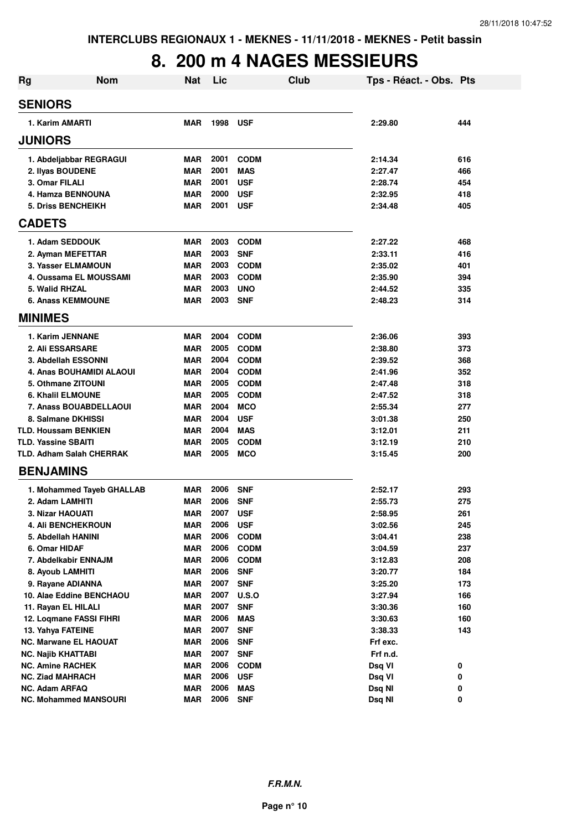### **8. 200 m 4 NAGES MESSIEURS**

| <b>Rg</b>                                    | <b>Nom</b> | <b>Nat</b>               | Lic          |                          | Club | Tps - Réact. - Obs. Pts |     |
|----------------------------------------------|------------|--------------------------|--------------|--------------------------|------|-------------------------|-----|
| <b>SENIORS</b>                               |            |                          |              |                          |      |                         |     |
| 1. Karim AMARTI                              |            | <b>MAR</b>               | 1998         | <b>USF</b>               |      | 2:29.80                 | 444 |
| <b>JUNIORS</b>                               |            |                          |              |                          |      |                         |     |
| 1. Abdeljabbar REGRAGUI                      |            | <b>MAR</b>               | 2001         | <b>CODM</b>              |      | 2:14.34                 | 616 |
| 2. Ilyas BOUDENE                             |            | <b>MAR</b>               | 2001         | <b>MAS</b>               |      | 2:27.47                 | 466 |
| 3. Omar FILALI                               |            | <b>MAR</b>               | 2001         | <b>USF</b>               |      | 2:28.74                 | 454 |
| 4. Hamza BENNOUNA                            |            | <b>MAR</b>               | 2000         | <b>USF</b>               |      | 2:32.95                 | 418 |
| <b>5. Driss BENCHEIKH</b>                    |            | MAR                      | 2001         | <b>USF</b>               |      | 2:34.48                 | 405 |
| <b>CADETS</b>                                |            |                          |              |                          |      |                         |     |
| 1. Adam SEDDOUK                              |            | <b>MAR</b>               | 2003         | <b>CODM</b>              |      | 2:27.22                 | 468 |
| 2. Ayman MEFETTAR                            |            | <b>MAR</b>               | 2003         | <b>SNF</b>               |      | 2:33.11                 | 416 |
| 3. Yasser ELMAMOUN                           |            | <b>MAR</b>               | 2003         | <b>CODM</b>              |      | 2:35.02                 | 401 |
| 4. Oussama EL MOUSSAMI                       |            | <b>MAR</b>               | 2003         | <b>CODM</b>              |      | 2:35.90                 | 394 |
| 5. Walid RHZAL                               |            | <b>MAR</b>               | 2003         | <b>UNO</b>               |      | 2:44.52                 | 335 |
| <b>6. Anass KEMMOUNE</b>                     |            | <b>MAR</b>               | 2003         | <b>SNF</b>               |      | 2:48.23                 | 314 |
| <b>MINIMES</b>                               |            |                          |              |                          |      |                         |     |
| 1. Karim JENNANE                             |            | <b>MAR</b>               | 2004         | <b>CODM</b>              |      | 2:36.06                 | 393 |
| <b>2. Ali ESSARSARE</b>                      |            | <b>MAR</b>               | 2005         | <b>CODM</b>              |      | 2:38.80                 | 373 |
| 3. Abdellah ESSONNI                          |            | <b>MAR</b>               | 2004         | <b>CODM</b>              |      | 2:39.52                 | 368 |
| 4. Anas BOUHAMIDI ALAOUI                     |            | <b>MAR</b>               | 2004         | <b>CODM</b>              |      | 2:41.96                 | 352 |
| 5. Othmane ZITOUNI                           |            | <b>MAR</b>               | 2005         | <b>CODM</b>              |      | 2:47.48                 | 318 |
| <b>6. Khalil ELMOUNE</b>                     |            | <b>MAR</b>               | 2005         | <b>CODM</b>              |      | 2:47.52                 | 318 |
| 7. Anass BOUABDELLAOUI                       |            | <b>MAR</b>               | 2004         | <b>MCO</b>               |      | 2:55.34                 | 277 |
| 8. Salmane DKHISSI                           |            | <b>MAR</b>               | 2004         | <b>USF</b>               |      | 3:01.38                 | 250 |
| <b>TLD. Houssam BENKIEN</b>                  |            | <b>MAR</b>               | 2004         | <b>MAS</b>               |      | 3:12.01                 | 211 |
| <b>TLD. Yassine SBAITI</b>                   |            | <b>MAR</b>               | 2005         | <b>CODM</b>              |      | 3:12.19                 | 210 |
| <b>TLD. Adham Salah CHERRAK</b>              |            | <b>MAR</b>               | 2005         | <b>MCO</b>               |      | 3:15.45                 | 200 |
| <b>BENJAMINS</b>                             |            |                          |              |                          |      |                         |     |
| 1. Mohammed Tayeb GHALLAB                    |            | MAR                      | 2006         | <b>SNF</b>               |      | 2:52.17                 | 293 |
| 2. Adam LAMHITI                              |            | <b>MAR</b>               | 2006         | <b>SNF</b>               |      | 2:55.73                 | 275 |
| <b>3. Nizar HAOUATI</b>                      |            | MAR                      | 2007         | USF                      |      | 2:58.95                 | 261 |
| <b>4. AII BENCHEKROUN</b>                    |            | <b>MAR</b>               | 2006         | <b>USF</b>               |      | 3:02.56                 | 245 |
| 5. Abdellah HANINI                           |            | <b>MAR</b>               | 2006         | <b>CODM</b>              |      | 3:04.41                 | 238 |
| 6. Omar HIDAF                                |            | <b>MAR</b>               | 2006         | <b>CODM</b>              |      | 3:04.59                 | 237 |
| 7. Abdelkabir ENNAJM                         |            | <b>MAR</b>               | 2006         | <b>CODM</b>              |      | 3:12.83                 | 208 |
| 8. Ayoub LAMHITI                             |            | <b>MAR</b>               | 2006         | <b>SNF</b>               |      | 3:20.77                 | 184 |
| 9. Rayane ADIANNA                            |            | <b>MAR</b>               | 2007         | <b>SNF</b>               |      | 3:25.20                 | 173 |
| 10. Alae Eddine BENCHAOU                     |            | <b>MAR</b>               | 2007         | <b>U.S.O</b>             |      | 3:27.94                 | 166 |
| 11. Rayan EL HILALI                          |            | <b>MAR</b>               | 2007         | <b>SNF</b>               |      | 3:30.36                 | 160 |
| 12. Loqmane FASSI FIHRI<br>13. Yahya FATEINE |            | <b>MAR</b>               | 2006         | <b>MAS</b>               |      | 3:30.63                 | 160 |
| <b>NC. Marwane EL HAOUAT</b>                 |            | <b>MAR</b>               | 2007<br>2006 | <b>SNF</b>               |      | 3:38.33                 | 143 |
| <b>NC. Najib KHATTABI</b>                    |            | <b>MAR</b><br><b>MAR</b> | 2007         | <b>SNF</b><br><b>SNF</b> |      | Frf exc.<br>Frf n.d.    |     |
| <b>NC. Amine RACHEK</b>                      |            | <b>MAR</b>               | 2006         | <b>CODM</b>              |      | Dsq VI                  | 0   |
| NC. Ziad MAHRACH                             |            | <b>MAR</b>               | 2006         | <b>USF</b>               |      | Dsq VI                  | 0   |
| <b>NC. Adam ARFAQ</b>                        |            | <b>MAR</b>               | 2006         | <b>MAS</b>               |      | Dsq NI                  | 0   |
| <b>NC. Mohammed MANSOURI</b>                 |            | <b>MAR</b>               | 2006         | <b>SNF</b>               |      | Dsq NI                  | 0   |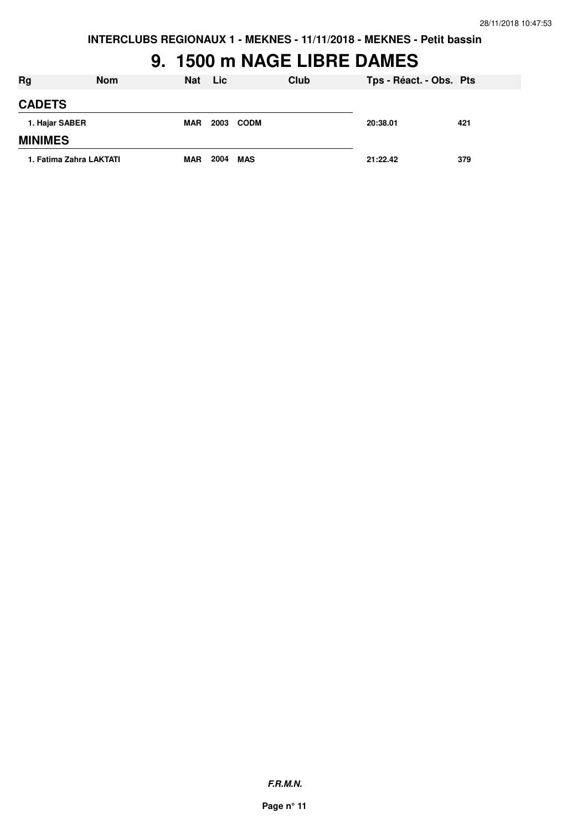### **9. 1500 m NAGE LIBRE DAMES**

| <b>Rg</b>               | <b>Nom</b> | <b>Nat</b> | Lic. |             | Club | Tps - Réact. - Obs. Pts |     |
|-------------------------|------------|------------|------|-------------|------|-------------------------|-----|
| <b>CADETS</b>           |            |            |      |             |      |                         |     |
| 1. Hajar SABER          |            | <b>MAR</b> | 2003 | <b>CODM</b> |      | 20:38.01                | 421 |
| <b>MINIMES</b>          |            |            |      |             |      |                         |     |
| 1. Fatima Zahra LAKTATI |            | <b>MAR</b> | 2004 | <b>MAS</b>  |      | 21:22.42                | 379 |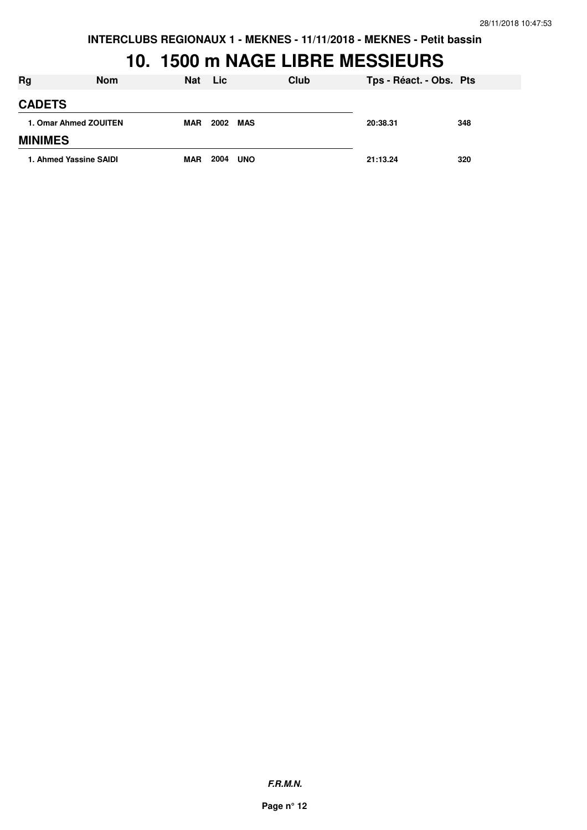## **10. 1500 m NAGE LIBRE MESSIEURS**

| <b>Rg</b>             | <b>Nom</b>             | <b>Nat</b> | Lic  | Club       | Tps - Réact. - Obs. Pts |     |
|-----------------------|------------------------|------------|------|------------|-------------------------|-----|
| <b>CADETS</b>         |                        |            |      |            |                         |     |
| 1. Omar Ahmed ZOUITEN | <b>MAR</b>             | 2002       | MAS  | 20:38.31   | 348                     |     |
| <b>MINIMES</b>        |                        |            |      |            |                         |     |
|                       | 1. Ahmed Yassine SAIDI | <b>MAR</b> | 2004 | <b>UNO</b> | 21:13.24                | 320 |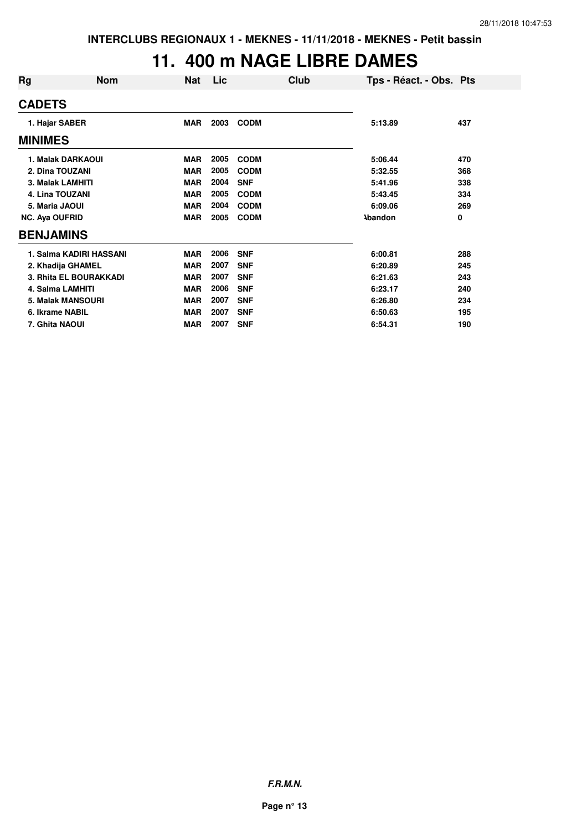## **11. 400 m NAGE LIBRE DAMES**

| Rg                      | <b>Nom</b>               | <b>Nat</b> | Lic  |             | Club<br>Tps - Réact. - Obs. Pts |     |
|-------------------------|--------------------------|------------|------|-------------|---------------------------------|-----|
| <b>CADETS</b>           |                          |            |      |             |                                 |     |
| 1. Hajar SABER          |                          | <b>MAR</b> | 2003 | <b>CODM</b> | 5:13.89                         | 437 |
| <b>MINIMES</b>          |                          |            |      |             |                                 |     |
|                         | 1. Malak DARKAOUI        | <b>MAR</b> | 2005 | <b>CODM</b> | 5:06.44                         | 470 |
| 2. Dina TOUZANI         |                          | <b>MAR</b> | 2005 | <b>CODM</b> | 5:32.55                         | 368 |
| <b>3. Malak LAMHITI</b> |                          | <b>MAR</b> | 2004 | <b>SNF</b>  | 5:41.96                         | 338 |
| 4. Lina TOUZANI         |                          | <b>MAR</b> | 2005 | <b>CODM</b> | 5:43.45                         | 334 |
| 5. Maria JAOUI          |                          | <b>MAR</b> | 2004 | <b>CODM</b> | 6:09.06                         | 269 |
| <b>NC. Aya OUFRID</b>   |                          | <b>MAR</b> | 2005 | <b>CODM</b> | <b>\bandon</b>                  | 0   |
| <b>BENJAMINS</b>        |                          |            |      |             |                                 |     |
|                         | 1. Salma KADIRI HASSANI  | <b>MAR</b> | 2006 | <b>SNF</b>  | 6:00.81                         | 288 |
|                         | 2. Khadija GHAMEL        | <b>MAR</b> | 2007 | <b>SNF</b>  | 6:20.89                         | 245 |
|                         | 3. Rhita EL BOURAKKADI   | <b>MAR</b> | 2007 | <b>SNF</b>  | 6:21.63                         | 243 |
|                         | 4. Salma LAMHITI         | <b>MAR</b> | 2006 | <b>SNF</b>  | 6:23.17                         | 240 |
|                         | <b>5. Malak MANSOURI</b> | <b>MAR</b> | 2007 | <b>SNF</b>  | 6:26.80                         | 234 |
| 6. Ikrame NABIL         |                          | <b>MAR</b> | 2007 | <b>SNF</b>  | 6:50.63                         | 195 |
| 7. Ghita NAOUI          |                          | <b>MAR</b> | 2007 | <b>SNF</b>  | 6:54.31                         | 190 |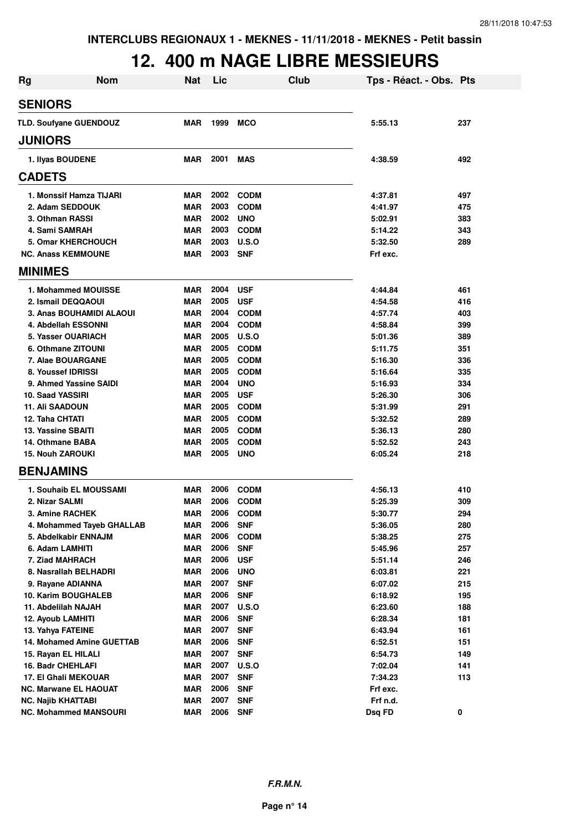# **12. 400 m NAGE LIBRE MESSIEURS**

| <b>Rg</b> | <b>Nom</b>                       | <b>Nat</b> | Lic  | <b>Club</b>  | Tps - Réact. - Obs. Pts |     |
|-----------|----------------------------------|------------|------|--------------|-------------------------|-----|
|           | <b>SENIORS</b>                   |            |      |              |                         |     |
|           | TLD. Soufyane GUENDOUZ           | <b>MAR</b> | 1999 | <b>MCO</b>   | 5:55.13                 | 237 |
|           | <b>JUNIORS</b>                   |            |      |              |                         |     |
|           | 1. Ilyas BOUDENE                 | <b>MAR</b> | 2001 | <b>MAS</b>   | 4:38.59                 | 492 |
|           | <b>CADETS</b>                    |            |      |              |                         |     |
|           | 1. Monssif Hamza TIJARI          | <b>MAR</b> | 2002 | <b>CODM</b>  | 4:37.81                 | 497 |
|           | 2. Adam SEDDOUK                  | <b>MAR</b> | 2003 | <b>CODM</b>  | 4:41.97                 | 475 |
|           | 3. Othman RASSI                  | <b>MAR</b> | 2002 | <b>UNO</b>   | 5:02.91                 | 383 |
|           | 4. Sami SAMRAH                   | <b>MAR</b> | 2003 | <b>CODM</b>  | 5:14.22                 | 343 |
|           | 5. Omar KHERCHOUCH               | <b>MAR</b> | 2003 | U.S.O        | 5:32.50                 | 289 |
|           | <b>NC. Anass KEMMOUNE</b>        | <b>MAR</b> | 2003 | <b>SNF</b>   | Frf exc.                |     |
|           | <b>MINIMES</b>                   |            |      |              |                         |     |
|           | 1. Mohammed MOUISSE              | <b>MAR</b> | 2004 | <b>USF</b>   | 4:44.84                 | 461 |
|           | 2. Ismail DEQQAOUI               | <b>MAR</b> | 2005 | <b>USF</b>   | 4:54.58                 | 416 |
|           | 3. Anas BOUHAMIDI ALAOUI         | <b>MAR</b> | 2004 | <b>CODM</b>  | 4:57.74                 | 403 |
|           | 4. Abdellah ESSONNI              | <b>MAR</b> | 2004 | <b>CODM</b>  | 4:58.84                 | 399 |
|           | 5. Yasser OUARIACH               | <b>MAR</b> | 2005 | U.S.O        | 5:01.36                 | 389 |
|           | 6. Othmane ZITOUNI               | <b>MAR</b> | 2005 | <b>CODM</b>  | 5:11.75                 | 351 |
|           | 7. Alae BOUARGANE                | <b>MAR</b> | 2005 | <b>CODM</b>  | 5:16.30                 | 336 |
|           | 8. Youssef IDRISSI               | <b>MAR</b> | 2005 | <b>CODM</b>  | 5:16.64                 | 335 |
|           | 9. Ahmed Yassine SAIDI           | <b>MAR</b> | 2004 | <b>UNO</b>   | 5:16.93                 | 334 |
|           | 10. Saad YASSIRI                 | <b>MAR</b> | 2005 | <b>USF</b>   | 5:26.30                 | 306 |
|           | <b>11. Ali SAADOUN</b>           | <b>MAR</b> | 2005 | <b>CODM</b>  | 5:31.99                 | 291 |
|           | 12. Taha CHTATI                  | <b>MAR</b> | 2005 | <b>CODM</b>  | 5:32.52                 | 289 |
|           | 13. Yassine SBAITI               | <b>MAR</b> | 2005 | <b>CODM</b>  | 5:36.13                 | 280 |
|           | 14. Othmane BABA                 | <b>MAR</b> | 2005 | <b>CODM</b>  | 5:52.52                 | 243 |
|           | <b>15. Nouh ZAROUKI</b>          | <b>MAR</b> | 2005 | <b>UNO</b>   | 6:05.24                 | 218 |
|           | <b>BENJAMINS</b>                 |            |      |              |                         |     |
|           | 1. Souhaib EL MOUSSAMI           | MAR        | 2006 | <b>CODM</b>  | 4:56.13                 | 410 |
|           | 2. Nizar SALMI                   | <b>MAR</b> | 2006 | <b>CODM</b>  | 5:25.39                 | 309 |
|           | 3. Amine RACHEK                  | <b>MAR</b> | 2006 | <b>CODM</b>  | 5:30.77                 | 294 |
|           | 4. Mohammed Tayeb GHALLAB        | MAR        | 2006 | <b>SNF</b>   | 5:36.05                 | 280 |
|           | 5. Abdelkabir ENNAJM             | <b>MAR</b> | 2006 | <b>CODM</b>  | 5:38.25                 | 275 |
|           | 6. Adam LAMHITI                  | <b>MAR</b> | 2006 | <b>SNF</b>   | 5:45.96                 | 257 |
|           | 7. Ziad MAHRACH                  | <b>MAR</b> | 2006 | <b>USF</b>   | 5:51.14                 | 246 |
|           | 8. Nasrallah BELHADRI            | <b>MAR</b> | 2006 | <b>UNO</b>   | 6:03.81                 | 221 |
|           | 9. Rayane ADIANNA                | MAR        | 2007 | <b>SNF</b>   | 6:07.02                 | 215 |
|           | 10. Karim BOUGHALEB              | <b>MAR</b> | 2006 | <b>SNF</b>   | 6:18.92                 | 195 |
|           | 11. Abdelilah NAJAH              | MAR        | 2007 | <b>U.S.O</b> | 6:23.60                 | 188 |
|           | 12. Ayoub LAMHITI                | <b>MAR</b> | 2006 | <b>SNF</b>   | 6:28.34                 | 181 |
|           | 13. Yahya FATEINE                | <b>MAR</b> | 2007 | <b>SNF</b>   | 6:43.94                 | 161 |
|           | <b>14. Mohamed Amine GUETTAB</b> | <b>MAR</b> | 2006 | <b>SNF</b>   | 6:52.51                 | 151 |
|           | 15. Rayan EL HILALI              | <b>MAR</b> | 2007 | <b>SNF</b>   | 6:54.73                 | 149 |
|           | 16. Badr CHEHLAFI                | <b>MAR</b> | 2007 | <b>U.S.O</b> | 7:02.04                 | 141 |
|           | 17. El Ghali MEKOUAR             | <b>MAR</b> | 2007 | <b>SNF</b>   | 7:34.23                 | 113 |
|           | <b>NC. Marwane EL HAOUAT</b>     | <b>MAR</b> | 2006 | <b>SNF</b>   | Frf exc.                |     |
|           | <b>NC. Najib KHATTABI</b>        | <b>MAR</b> | 2007 | <b>SNF</b>   | Frf n.d.                |     |
|           | <b>NC. Mohammed MANSOURI</b>     | <b>MAR</b> | 2006 | <b>SNF</b>   | Dsq FD                  | 0   |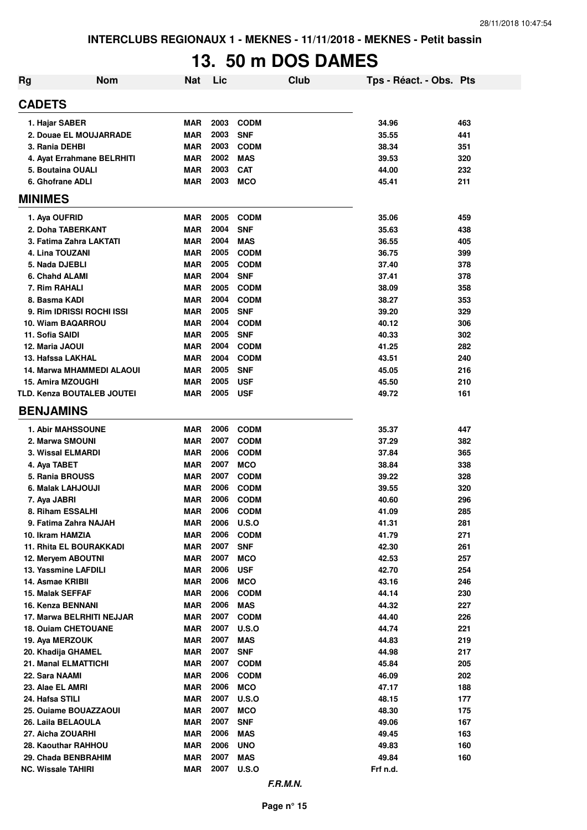# **13. 50 m DOS DAMES**

| <b>Rg</b> | <b>Nom</b>                 | Nat        | Lic  |              | <b>Club</b> | Tps - Réact. - Obs. Pts |     |
|-----------|----------------------------|------------|------|--------------|-------------|-------------------------|-----|
|           | <b>CADETS</b>              |            |      |              |             |                         |     |
|           | 1. Hajar SABER             | <b>MAR</b> | 2003 | <b>CODM</b>  |             | 34.96                   | 463 |
|           | 2. Douae EL MOUJARRADE     | MAR        | 2003 | <b>SNF</b>   |             | 35.55                   | 441 |
|           | 3. Rania DEHBI             | <b>MAR</b> | 2003 | <b>CODM</b>  |             | 38.34                   | 351 |
|           | 4. Ayat Errahmane BELRHITI | <b>MAR</b> | 2002 | <b>MAS</b>   |             | 39.53                   | 320 |
|           | 5. Boutaina OUALI          | <b>MAR</b> | 2003 | <b>CAT</b>   |             | 44.00                   | 232 |
|           | 6. Ghofrane ADLI           | <b>MAR</b> | 2003 | <b>MCO</b>   |             | 45.41                   | 211 |
|           | <b>MINIMES</b>             |            |      |              |             |                         |     |
|           | 1. Aya OUFRID              | <b>MAR</b> | 2005 | <b>CODM</b>  |             | 35.06                   | 459 |
|           | 2. Doha TABERKANT          | <b>MAR</b> | 2004 | <b>SNF</b>   |             | 35.63                   | 438 |
|           | 3. Fatima Zahra LAKTATI    | <b>MAR</b> | 2004 | <b>MAS</b>   |             | 36.55                   | 405 |
|           | 4. Lina TOUZANI            | <b>MAR</b> | 2005 | <b>CODM</b>  |             | 36.75                   | 399 |
|           | 5. Nada DJEBLI             | <b>MAR</b> | 2005 | <b>CODM</b>  |             | 37.40                   | 378 |
|           | 6. Chahd ALAMI             | <b>MAR</b> | 2004 | <b>SNF</b>   |             | 37.41                   | 378 |
|           | 7. Rim RAHALI              | <b>MAR</b> | 2005 | <b>CODM</b>  |             | 38.09                   | 358 |
|           | 8. Basma KADI              | <b>MAR</b> | 2004 | <b>CODM</b>  |             | 38.27                   | 353 |
|           | 9. Rim IDRISSI ROCHI ISSI  | <b>MAR</b> | 2005 | <b>SNF</b>   |             | 39.20                   | 329 |
|           | 10. Wiam BAQARROU          | <b>MAR</b> | 2004 | <b>CODM</b>  |             | 40.12                   | 306 |
|           | 11. Sofia SAIDI            | <b>MAR</b> | 2005 | <b>SNF</b>   |             | 40.33                   | 302 |
|           | 12. Maria JAOUI            | <b>MAR</b> | 2004 | <b>CODM</b>  |             | 41.25                   | 282 |
|           | 13. Hafssa LAKHAL          | <b>MAR</b> | 2004 | <b>CODM</b>  |             | 43.51                   | 240 |
|           | 14. Marwa MHAMMEDI ALAOUI  | <b>MAR</b> | 2005 | <b>SNF</b>   |             | 45.05                   | 216 |
|           | <b>15. Amira MZOUGHI</b>   | <b>MAR</b> | 2005 | <b>USF</b>   |             | 45.50                   | 210 |
|           | TLD. Kenza BOUTALEB JOUTEI | <b>MAR</b> | 2005 | <b>USF</b>   |             | 49.72                   | 161 |
|           | <b>BENJAMINS</b>           |            |      |              |             |                         |     |
|           | <b>1. Abir MAHSSOUNE</b>   | <b>MAR</b> | 2006 | <b>CODM</b>  |             | 35.37                   | 447 |
|           | 2. Marwa SMOUNI            | <b>MAR</b> | 2007 | <b>CODM</b>  |             | 37.29                   | 382 |
|           | 3. Wissal ELMARDI          | <b>MAR</b> | 2006 | <b>CODM</b>  |             | 37.84                   | 365 |
|           | 4. Aya TABET               | <b>MAR</b> | 2007 | <b>MCO</b>   |             | 38.84                   | 338 |
|           | 5. Rania BROUSS            | <b>MAR</b> | 2007 | <b>CODM</b>  |             | 39.22                   | 328 |
|           | 6. Malak LAHJOUJI          | <b>MAR</b> | 2006 | <b>CODM</b>  |             | 39.55                   | 320 |
|           | 7. Aya JABRI               | <b>MAR</b> | 2006 | <b>CODM</b>  |             | 40.60                   | 296 |
|           | 8. Riham ESSALHI           | <b>MAR</b> | 2006 | <b>CODM</b>  |             | 41.09                   | 285 |
|           | 9. Fatima Zahra NAJAH      | <b>MAR</b> | 2006 | U.S.O        |             | 41.31                   | 281 |
|           | 10. Ikram HAMZIA           | <b>MAR</b> | 2006 | <b>CODM</b>  |             | 41.79                   | 271 |
|           | 11. Rhita EL BOURAKKADI    | <b>MAR</b> | 2007 | <b>SNF</b>   |             | 42.30                   | 261 |
|           | 12. Meryem ABOUTNI         | <b>MAR</b> | 2007 | <b>MCO</b>   |             | 42.53                   | 257 |
|           | 13. Yassmine LAFDILI       | <b>MAR</b> | 2006 | <b>USF</b>   |             | 42.70                   | 254 |
|           | 14. Asmae KRIBII           | <b>MAR</b> | 2006 | <b>MCO</b>   |             | 43.16                   | 246 |
|           | 15. Malak SEFFAF           | <b>MAR</b> | 2006 | <b>CODM</b>  |             | 44.14                   | 230 |
|           | 16. Kenza BENNANI          | <b>MAR</b> | 2006 | <b>MAS</b>   |             | 44.32                   | 227 |
|           | 17. Marwa BELRHITI NEJJAR  | <b>MAR</b> | 2007 | <b>CODM</b>  |             | 44.40                   | 226 |
|           | <b>18. Ouiam CHETOUANE</b> | <b>MAR</b> | 2007 | U.S.O        |             | 44.74                   | 221 |
|           | 19. Aya MERZOUK            | <b>MAR</b> | 2007 | <b>MAS</b>   |             | 44.83                   | 219 |
|           | 20. Khadija GHAMEL         | <b>MAR</b> | 2007 | <b>SNF</b>   |             | 44.98                   | 217 |
|           | 21. Manal ELMATTICHI       | <b>MAR</b> | 2007 | <b>CODM</b>  |             | 45.84                   | 205 |
|           | 22. Sara NAAMI             | MAR        | 2006 | <b>CODM</b>  |             | 46.09                   | 202 |
|           | 23. Alae EL AMRI           | <b>MAR</b> | 2006 | <b>MCO</b>   |             | 47.17                   | 188 |
|           | 24. Hafsa STILI            | <b>MAR</b> | 2007 | <b>U.S.O</b> |             | 48.15                   | 177 |
|           | 25. Ouiame BOUAZZAOUI      | <b>MAR</b> | 2007 | <b>MCO</b>   |             | 48.30                   | 175 |
|           | 26. Laila BELAOULA         | <b>MAR</b> | 2007 | <b>SNF</b>   |             | 49.06                   | 167 |
|           | 27. Aicha ZOUARHI          | <b>MAR</b> | 2006 | <b>MAS</b>   |             | 49.45                   | 163 |
|           | 28. Kaouthar RAHHOU        | <b>MAR</b> | 2006 | <b>UNO</b>   |             | 49.83                   | 160 |
|           | 29. Chada BENBRAHIM        | <b>MAR</b> | 2007 | <b>MAS</b>   |             | 49.84                   | 160 |
|           | <b>NC. Wissale TAHIRI</b>  | <b>MAR</b> | 2007 | <b>U.S.O</b> |             | Frf n.d.                |     |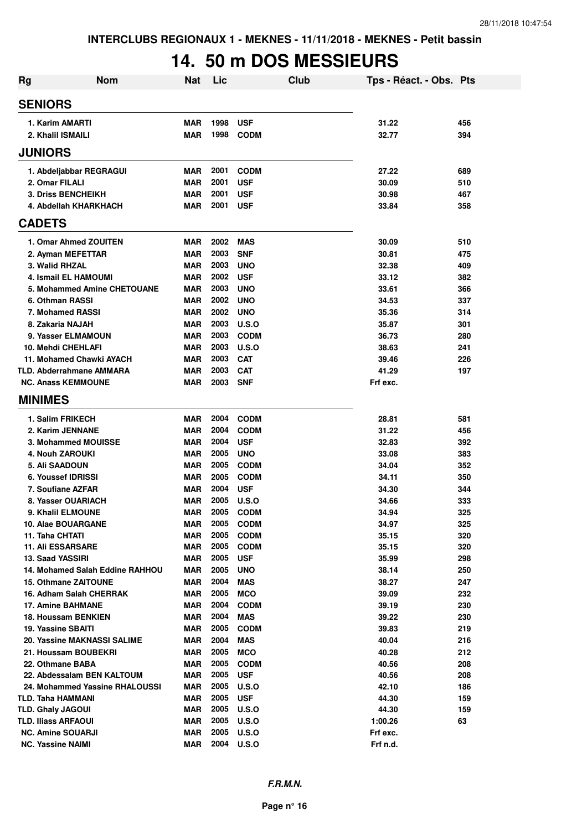# **14. 50 m DOS MESSIEURS**

| <b>Rg</b> | <b>Nom</b>                            | <b>Nat</b>               | Lic          | <b>Club</b>                | Tps - Réact. - Obs. Pts |            |
|-----------|---------------------------------------|--------------------------|--------------|----------------------------|-------------------------|------------|
|           | <b>SENIORS</b>                        |                          |              |                            |                         |            |
|           | 1. Karim AMARTI                       | <b>MAR</b>               | 1998         | <b>USF</b>                 | 31.22                   | 456        |
|           | 2. Khalil ISMAILI                     | <b>MAR</b>               | 1998         | <b>CODM</b>                | 32.77                   | 394        |
|           | <b>JUNIORS</b>                        |                          |              |                            |                         |            |
|           | 1. Abdeljabbar REGRAGUI               | <b>MAR</b>               | 2001         | <b>CODM</b>                | 27.22                   | 689        |
|           | 2. Omar FILALI                        | MAR                      | 2001         | <b>USF</b>                 | 30.09                   | 510        |
|           | <b>3. Driss BENCHEIKH</b>             | MAR                      | 2001         | <b>USF</b>                 | 30.98                   | 467        |
|           | 4. Abdellah KHARKHACH                 | <b>MAR</b>               | 2001         | <b>USF</b>                 | 33.84                   | 358        |
|           | <b>CADETS</b>                         |                          |              |                            |                         |            |
|           | 1. Omar Ahmed ZOUITEN                 | MAR                      | 2002         | <b>MAS</b>                 | 30.09                   | 510        |
|           | 2. Ayman MEFETTAR                     | MAR                      | 2003         | <b>SNF</b>                 | 30.81                   | 475        |
|           | 3. Walid RHZAL                        | MAR                      | 2003         | <b>UNO</b>                 | 32.38                   | 409        |
|           | 4. Ismail EL HAMOUMI                  | MAR                      | 2002         | <b>USF</b>                 | 33.12                   | 382        |
|           | 5. Mohammed Amine CHETOUANE           | <b>MAR</b>               | 2003         | <b>UNO</b>                 | 33.61                   | 366        |
|           | 6. Othman RASSI                       | MAR                      | 2002         | <b>UNO</b>                 | 34.53                   | 337        |
|           | 7. Mohamed RASSI                      | MAR                      | 2002         | <b>UNO</b>                 | 35.36                   | 314        |
|           | 8. Zakaria NAJAH                      | MAR                      | 2003         | <b>U.S.O</b>               | 35.87                   | 301        |
|           | 9. Yasser ELMAMOUN                    | <b>MAR</b>               | 2003         | <b>CODM</b>                | 36.73                   | 280        |
|           | 10. Mehdi CHEHLAFI                    | <b>MAR</b>               | 2003         | U.S.O                      | 38.63                   | 241        |
|           | 11. Mohamed Chawki AYACH              | <b>MAR</b>               | 2003         | <b>CAT</b>                 | 39.46                   | 226        |
|           | TLD. Abderrahmane AMMARA              | <b>MAR</b>               | 2003         | <b>CAT</b>                 | 41.29                   | 197        |
|           | <b>NC. Anass KEMMOUNE</b>             | <b>MAR</b>               | 2003         | <b>SNF</b>                 | Frf exc.                |            |
|           | <b>MINIMES</b>                        |                          |              |                            |                         |            |
|           | 1. Salim FRIKECH                      | MAR                      | 2004         | <b>CODM</b>                | 28.81                   | 581        |
|           | 2. Karim JENNANE                      | <b>MAR</b>               | 2004         | <b>CODM</b>                | 31.22                   | 456        |
|           | 3. Mohammed MOUISSE                   | <b>MAR</b>               | 2004         | <b>USF</b>                 | 32.83                   | 392        |
|           | <b>4. Nouh ZAROUKI</b>                | <b>MAR</b>               | 2005         | <b>UNO</b>                 | 33.08                   | 383        |
|           | 5. Ali SAADOUN                        | <b>MAR</b>               | 2005         | <b>CODM</b>                | 34.04                   | 352        |
|           | 6. Youssef IDRISSI                    | <b>MAR</b>               | 2005         | <b>CODM</b>                | 34.11                   | 350        |
|           | 7. Soufiane AZFAR                     | <b>MAR</b>               | 2004         | <b>USF</b>                 | 34.30                   | 344        |
|           | 8. Yasser OUARIACH                    | MAR                      | 2005         | <b>U.S.O</b>               | 34.66                   | 333        |
|           | 9. Khalil ELMOUNE                     | <b>MAR</b>               | 2005         | <b>CODM</b>                | 34.94                   | 325        |
|           | 10. Alae BOUARGANE<br>11. Taha CHTATI | <b>MAR</b>               | 2005<br>2005 | <b>CODM</b>                | 34.97                   | 325        |
|           | <b>11. Ali ESSARSARE</b>              | <b>MAR</b><br><b>MAR</b> | 2005         | <b>CODM</b><br><b>CODM</b> | 35.15<br>35.15          | 320<br>320 |
|           | 13. Saad YASSIRI                      | <b>MAR</b>               | 2005         | <b>USF</b>                 | 35.99                   | 298        |
|           | 14. Mohamed Salah Eddine RAHHOU       | <b>MAR</b>               | 2005         | <b>UNO</b>                 | 38.14                   | 250        |
|           | <b>15. Othmane ZAITOUNE</b>           | <b>MAR</b>               | 2004         | <b>MAS</b>                 | 38.27                   | 247        |
|           | 16. Adham Salah CHERRAK               | <b>MAR</b>               | 2005         | <b>MCO</b>                 | 39.09                   | 232        |
|           | <b>17. Amine BAHMANE</b>              | <b>MAR</b>               | 2004         | <b>CODM</b>                | 39.19                   | 230        |
|           | 18. Houssam BENKIEN                   | <b>MAR</b>               | 2004         | <b>MAS</b>                 | 39.22                   | 230        |
|           | <b>19. Yassine SBAITI</b>             | <b>MAR</b>               | 2005         | <b>CODM</b>                | 39.83                   | 219        |
|           | 20. Yassine MAKNASSI SALIME           | <b>MAR</b>               | 2004         | <b>MAS</b>                 | 40.04                   | 216        |
|           | 21. Houssam BOUBEKRI                  | <b>MAR</b>               | 2005         | <b>MCO</b>                 | 40.28                   | 212        |
|           | 22. Othmane BABA                      | MAR                      | 2005         | <b>CODM</b>                | 40.56                   | 208        |
|           | 22. Abdessalam BEN KALTOUM            | MAR                      | 2005         | <b>USF</b>                 | 40.56                   | 208        |
|           | 24. Mohammed Yassine RHALOUSSI        | <b>MAR</b>               | 2005         | <b>U.S.O</b>               | 42.10                   | 186        |
|           | TLD. Taha HAMMANI                     | <b>MAR</b>               | 2005         | <b>USF</b>                 | 44.30                   | 159        |
|           | <b>TLD. Ghaly JAGOUI</b>              | <b>MAR</b>               | 2005         | <b>U.S.O</b>               | 44.30                   | 159        |
|           | TLD. Iliass ARFAOUI                   | <b>MAR</b>               | 2005         | <b>U.S.O</b>               | 1:00.26                 | 63         |
|           | <b>NC. Amine SOUARJI</b>              | <b>MAR</b>               | 2005         | <b>U.S.O</b>               | Frf exc.                |            |
|           | <b>NC. Yassine NAIMI</b>              | <b>MAR</b>               | 2004         | <b>U.S.O</b>               | Frf n.d.                |            |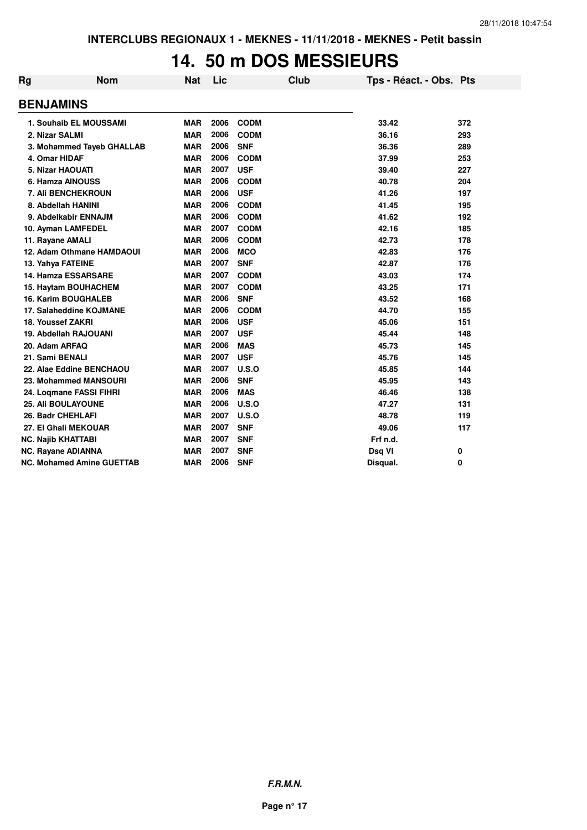### **14. 50 m DOS MESSIEURS**

| <b>Rg</b> | <b>Nom</b>                       | Nat        | Lic  |             | <b>Club</b> | Tps - Réact. - Obs. Pts |     |
|-----------|----------------------------------|------------|------|-------------|-------------|-------------------------|-----|
|           | <b>BENJAMINS</b>                 |            |      |             |             |                         |     |
|           | 1. Souhaib EL MOUSSAMI           | <b>MAR</b> | 2006 | <b>CODM</b> |             | 33.42                   | 372 |
|           | 2. Nizar SALMI                   | <b>MAR</b> | 2006 | <b>CODM</b> |             | 36.16                   | 293 |
|           | 3. Mohammed Tayeb GHALLAB        | <b>MAR</b> | 2006 | <b>SNF</b>  |             | 36.36                   | 289 |
|           | 4. Omar HIDAF                    | MAR        | 2006 | <b>CODM</b> |             | 37.99                   | 253 |
|           | <b>5. Nizar HAOUATI</b>          | <b>MAR</b> | 2007 | <b>USF</b>  |             | 39.40                   | 227 |
|           | 6. Hamza AINOUSS                 | <b>MAR</b> | 2006 | <b>CODM</b> |             | 40.78                   | 204 |
|           | 7. Ali BENCHEKROUN               | <b>MAR</b> | 2006 | <b>USF</b>  |             | 41.26                   | 197 |
|           | 8. Abdellah HANINI               | <b>MAR</b> | 2006 | <b>CODM</b> |             | 41.45                   | 195 |
|           | 9. Abdelkabir ENNAJM             | <b>MAR</b> | 2006 | <b>CODM</b> |             | 41.62                   | 192 |
|           | 10. Ayman LAMFEDEL               | <b>MAR</b> | 2007 | <b>CODM</b> |             | 42.16                   | 185 |
|           | 11. Rayane AMALI                 | <b>MAR</b> | 2006 | <b>CODM</b> |             | 42.73                   | 178 |
|           | 12. Adam Othmane HAMDAOUI        | <b>MAR</b> | 2006 | <b>MCO</b>  |             | 42.83                   | 176 |
|           | 13. Yahya FATEINE                | <b>MAR</b> | 2007 | <b>SNF</b>  |             | 42.87                   | 176 |
|           | 14. Hamza ESSARSARE              | <b>MAR</b> | 2007 | <b>CODM</b> |             | 43.03                   | 174 |
|           | 15. Haytam BOUHACHEM             | <b>MAR</b> | 2007 | <b>CODM</b> |             | 43.25                   | 171 |
|           | <b>16. Karim BOUGHALEB</b>       | <b>MAR</b> | 2006 | <b>SNF</b>  |             | 43.52                   | 168 |
|           | 17. Salaheddine KOJMANE          | <b>MAR</b> | 2006 | <b>CODM</b> |             | 44.70                   | 155 |
|           | 18. Youssef ZAKRI                | <b>MAR</b> | 2006 | <b>USF</b>  |             | 45.06                   | 151 |
|           | 19. Abdellah RAJOUANI            | <b>MAR</b> | 2007 | <b>USF</b>  |             | 45.44                   | 148 |
|           | 20. Adam ARFAQ                   | <b>MAR</b> | 2006 | <b>MAS</b>  |             | 45.73                   | 145 |
|           | 21. Sami BENALI                  | <b>MAR</b> | 2007 | <b>USF</b>  |             | 45.76                   | 145 |
|           | 22. Alae Eddine BENCHAOU         | <b>MAR</b> | 2007 | U.S.O       |             | 45.85                   | 144 |
|           | 23. Mohammed MANSOURI            | <b>MAR</b> | 2006 | <b>SNF</b>  |             | 45.95                   | 143 |
|           | 24. Logmane FASSI FIHRI          | <b>MAR</b> | 2006 | <b>MAS</b>  |             | 46.46                   | 138 |
|           | 25. Ali BOULAYOUNE               | <b>MAR</b> | 2006 | U.S.O       |             | 47.27                   | 131 |
|           | 26. Badr CHEHLAFI                | <b>MAR</b> | 2007 | U.S.O       |             | 48.78                   | 119 |
|           | 27. El Ghali MEKOUAR             | <b>MAR</b> | 2007 | <b>SNF</b>  |             | 49.06                   | 117 |
|           | <b>NC. Najib KHATTABI</b>        | <b>MAR</b> | 2007 | <b>SNF</b>  |             | Frf n.d.                |     |
|           | <b>NC. Rayane ADIANNA</b>        | <b>MAR</b> | 2007 | <b>SNF</b>  |             | Dsq VI                  | 0   |
|           | <b>NC. Mohamed Amine GUETTAB</b> | <b>MAR</b> | 2006 | <b>SNF</b>  |             | Disqual.                | 0   |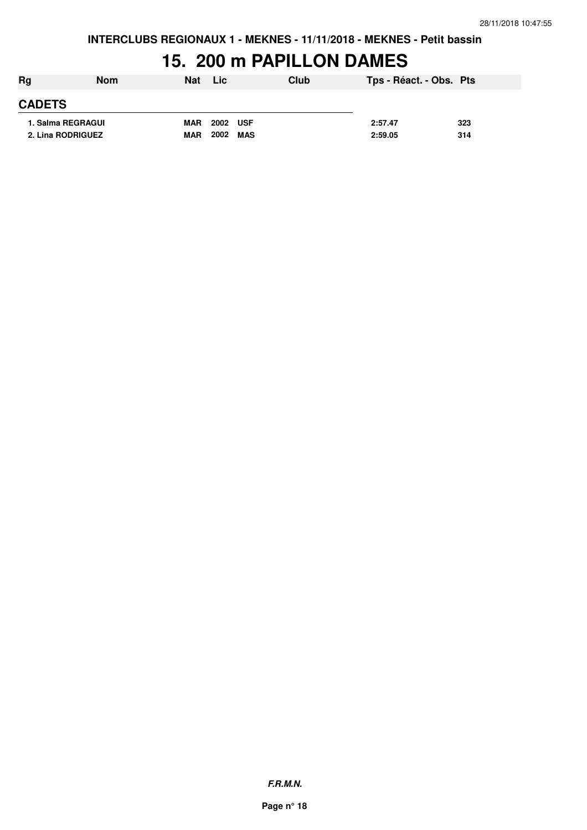### **15. 200 m PAPILLON DAMES**

| Rg            | <b>Nom</b>        | <b>Nat</b> | Lic                | Club | Tps - Réact. - Obs. Pts |     |
|---------------|-------------------|------------|--------------------|------|-------------------------|-----|
| <b>CADETS</b> |                   |            |                    |      |                         |     |
|               | 1. Salma REGRAGUI | <b>MAR</b> | 2002 USF           |      | 2:57.47                 | 323 |
|               | 2. Lina RODRIGUEZ | <b>MAR</b> | 2002<br><b>MAS</b> |      | 2:59.05                 | 314 |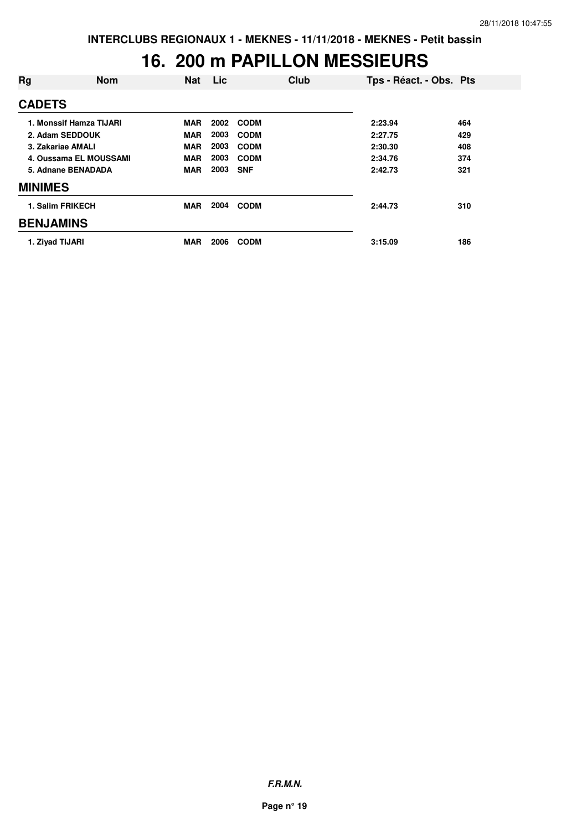### **16. 200 m PAPILLON MESSIEURS**

| Rg               | <b>Nom</b>              | <b>Nat</b> | Lic  | Club        |         | Tps - Réact. - Obs. Pts |
|------------------|-------------------------|------------|------|-------------|---------|-------------------------|
| <b>CADETS</b>    |                         |            |      |             |         |                         |
|                  | 1. Monssif Hamza TIJARI | <b>MAR</b> | 2002 | <b>CODM</b> | 2:23.94 | 464                     |
|                  | 2. Adam SEDDOUK         | <b>MAR</b> | 2003 | <b>CODM</b> | 2:27.75 | 429                     |
|                  | 3. Zakariae AMALI       | <b>MAR</b> | 2003 | <b>CODM</b> | 2:30.30 | 408                     |
|                  | 4. Oussama EL MOUSSAMI  | <b>MAR</b> | 2003 | <b>CODM</b> | 2:34.76 | 374                     |
|                  | 5. Adnane BENADADA      | <b>MAR</b> | 2003 | <b>SNF</b>  | 2:42.73 | 321                     |
| <b>MINIMES</b>   |                         |            |      |             |         |                         |
|                  | 1. Salim FRIKECH        | <b>MAR</b> | 2004 | <b>CODM</b> | 2:44.73 | 310                     |
| <b>BENJAMINS</b> |                         |            |      |             |         |                         |
|                  | 1. Ziyad TIJARI         | <b>MAR</b> | 2006 | <b>CODM</b> | 3:15.09 | 186                     |

**F.R.M.N.**

**Page n° 19**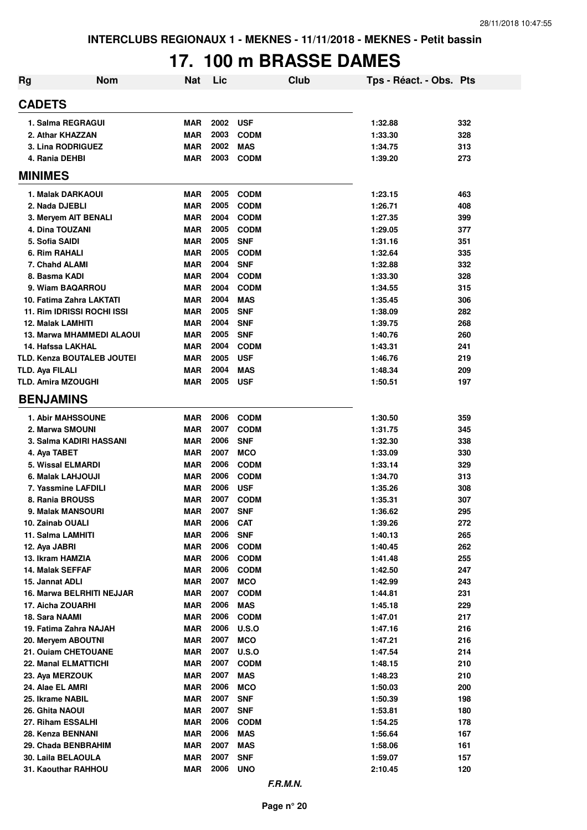# **17. 100 m BRASSE DAMES**

| <b>Rg</b>                            | <b>Nom</b> | <b>Nat</b>               | Lic          | Club                      | Tps - Réact. - Obs. Pts |            |
|--------------------------------------|------------|--------------------------|--------------|---------------------------|-------------------------|------------|
| <b>CADETS</b>                        |            |                          |              |                           |                         |            |
| 1. Salma REGRAGUI                    |            | <b>MAR</b>               | 2002         | <b>USF</b>                | 1:32.88                 | 332        |
| 2. Athar KHAZZAN                     |            | <b>MAR</b>               | 2003         | <b>CODM</b>               | 1:33.30                 | 328        |
| 3. Lina RODRIGUEZ                    |            | <b>MAR</b>               | 2002         | <b>MAS</b>                | 1:34.75                 | 313        |
| 4. Rania DEHBI                       |            | <b>MAR</b>               | 2003         | <b>CODM</b>               | 1:39.20                 | 273        |
| <b>MINIMES</b>                       |            |                          |              |                           |                         |            |
| 1. Malak DARKAOUI                    |            | <b>MAR</b>               | 2005         | <b>CODM</b>               | 1:23.15                 | 463        |
| 2. Nada DJEBLI                       |            | <b>MAR</b>               | 2005         | <b>CODM</b>               | 1:26.71                 | 408        |
| 3. Meryem AIT BENALI                 |            | <b>MAR</b>               | 2004         | <b>CODM</b>               | 1:27.35                 | 399        |
| 4. Dina TOUZANI                      |            | <b>MAR</b>               | 2005         | <b>CODM</b>               | 1:29.05                 | 377        |
| 5. Sofia SAIDI                       |            | <b>MAR</b>               | 2005         | <b>SNF</b>                | 1:31.16                 | 351        |
| 6. Rim RAHALI                        |            | <b>MAR</b>               | 2005         | <b>CODM</b>               | 1:32.64                 | 335        |
| 7. Chahd ALAMI                       |            | <b>MAR</b>               | 2004         | <b>SNF</b>                | 1:32.88                 | 332        |
| 8. Basma KADI                        |            | <b>MAR</b>               | 2004         | <b>CODM</b>               | 1:33.30                 | 328        |
| 9. Wiam BAQARROU                     |            | <b>MAR</b>               | 2004         | <b>CODM</b>               | 1:34.55                 | 315        |
| 10. Fatima Zahra LAKTATI             |            | <b>MAR</b>               | 2004         | <b>MAS</b>                | 1:35.45                 | 306        |
| 11. Rim IDRISSI ROCHI ISSI           |            | MAR                      | 2005         | <b>SNF</b>                | 1:38.09                 | 282        |
| <b>12. Malak LAMHITI</b>             |            | <b>MAR</b>               | 2004         | <b>SNF</b>                | 1:39.75                 | 268        |
| 13. Marwa MHAMMEDI ALAOUI            |            | MAR                      | 2005         | <b>SNF</b>                | 1:40.76                 | 260        |
| 14. Hafssa LAKHAL                    |            | <b>MAR</b>               | 2004         | <b>CODM</b>               | 1:43.31                 | 241        |
| TLD. Kenza BOUTALEB JOUTEI           |            | MAR                      | 2005         | <b>USF</b>                | 1:46.76                 | 219        |
| TLD. Aya FILALI                      |            | <b>MAR</b>               | 2004         | <b>MAS</b>                | 1:48.34                 | 209        |
| <b>TLD. Amira MZOUGHI</b>            |            | <b>MAR</b>               | 2005         | <b>USF</b>                | 1:50.51                 | 197        |
| <b>BENJAMINS</b>                     |            |                          |              |                           |                         |            |
| <b>1. Abir MAHSSOUNE</b>             |            | <b>MAR</b>               | 2006         | <b>CODM</b>               | 1:30.50                 | 359        |
| 2. Marwa SMOUNI                      |            | <b>MAR</b>               | 2007         | <b>CODM</b>               | 1:31.75                 | 345        |
| 3. Salma KADIRI HASSANI              |            | <b>MAR</b>               | 2006         | <b>SNF</b>                | 1:32.30                 | 338        |
| 4. Aya TABET                         |            | <b>MAR</b>               | 2007         | <b>MCO</b>                | 1:33.09                 | 330        |
| 5. Wissal ELMARDI                    |            | <b>MAR</b>               | 2006         | <b>CODM</b>               | 1:33.14                 | 329        |
| 6. Malak LAHJOUJI                    |            | <b>MAR</b>               | 2006         | <b>CODM</b>               | 1:34.70                 | 313        |
| 7. Yassmine LAFDILI                  |            | <b>MAR</b>               | 2006         | <b>USF</b>                | 1:35.26                 | 308        |
| 8. Rania BROUSS                      |            | <b>MAR</b>               | 2007         | <b>CODM</b>               | 1:35.31                 | 307        |
| <b>9. Malak MANSOURI</b>             |            | <b>MAR</b>               | 2007         | <b>SNF</b>                | 1:36.62                 | 295        |
| 10. Zainab OUALI                     |            | <b>MAR</b>               | 2006         | <b>CAT</b>                | 1:39.26                 | 272        |
| 11. Salma LAMHITI                    |            | <b>MAR</b>               | 2006         | <b>SNF</b>                | 1:40.13                 | 265        |
| 12. Aya JABRI                        |            | <b>MAR</b>               | 2006<br>2006 | <b>CODM</b>               | 1:40.45                 | 262        |
| 13. Ikram HAMZIA<br>14. Malak SEFFAF |            | <b>MAR</b>               | 2006         | <b>CODM</b>               | 1:41.48                 | 255        |
| 15. Jannat ADLI                      |            | <b>MAR</b><br><b>MAR</b> | 2007         | <b>CODM</b><br><b>MCO</b> | 1:42.50<br>1:42.99      | 247<br>243 |
| 16. Marwa BELRHITI NEJJAR            |            | <b>MAR</b>               | 2007         | <b>CODM</b>               | 1:44.81                 | 231        |
| 17. Aicha ZOUARHI                    |            | <b>MAR</b>               | 2006         | <b>MAS</b>                | 1:45.18                 | 229        |
| 18. Sara NAAMI                       |            | <b>MAR</b>               | 2006         | <b>CODM</b>               | 1:47.01                 | 217        |
| 19. Fatima Zahra NAJAH               |            | <b>MAR</b>               | 2006         | <b>U.S.O</b>              | 1:47.16                 | 216        |
| 20. Meryem ABOUTNI                   |            | <b>MAR</b>               | 2007         | <b>MCO</b>                | 1:47.21                 | 216        |
| 21. Ouiam CHETOUANE                  |            | <b>MAR</b>               | 2007         | <b>U.S.O</b>              | 1:47.54                 | 214        |
| <b>22. Manal ELMATTICHI</b>          |            | <b>MAR</b>               | 2007         | <b>CODM</b>               | 1:48.15                 | 210        |
| 23. Aya MERZOUK                      |            | <b>MAR</b>               | 2007         | <b>MAS</b>                | 1:48.23                 | 210        |
| 24. Alae EL AMRI                     |            | <b>MAR</b>               | 2006         | <b>MCO</b>                | 1:50.03                 | 200        |
| 25. Ikrame NABIL                     |            | <b>MAR</b>               | 2007         | <b>SNF</b>                | 1:50.39                 | 198        |
| 26. Ghita NAOUI                      |            | <b>MAR</b>               | 2007         | <b>SNF</b>                | 1:53.81                 | 180        |
| 27. Riham ESSALHI                    |            | <b>MAR</b>               | 2006         | <b>CODM</b>               | 1:54.25                 | 178        |
| 28. Kenza BENNANI                    |            | <b>MAR</b>               | 2006         | <b>MAS</b>                | 1:56.64                 | 167        |
| 29. Chada BENBRAHIM                  |            | <b>MAR</b>               | 2007         | <b>MAS</b>                | 1:58.06                 | 161        |
| 30. Laila BELAOULA                   |            | <b>MAR</b>               | 2007         | <b>SNF</b>                | 1:59.07                 | 157        |
| 31. Kaouthar RAHHOU                  |            | <b>MAR</b>               | 2006         | <b>UNO</b>                | 2:10.45                 | 120        |
|                                      |            |                          |              |                           |                         |            |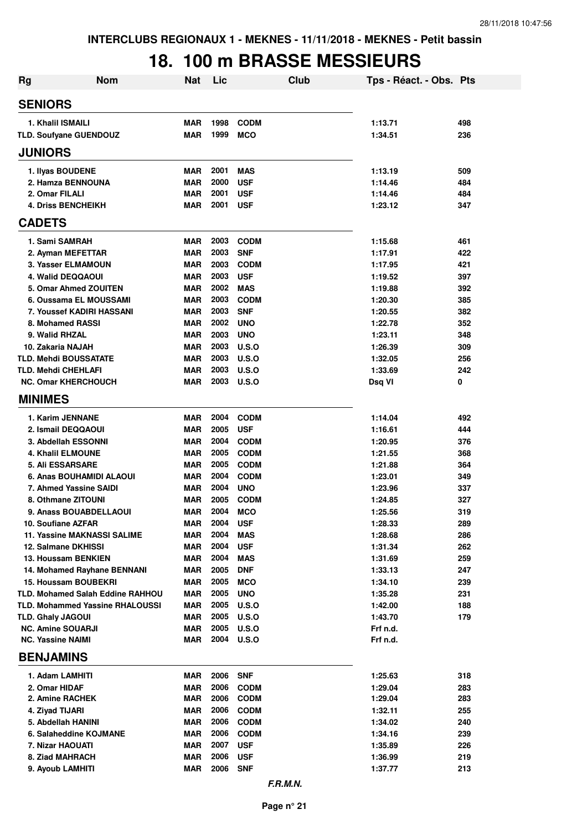# **18. 100 m BRASSE MESSIEURS**

| <b>Rg</b>                                            | <b>Nom</b> | Nat                      | Lic          |                           | Club     | Tps - Réact. - Obs. Pts |            |
|------------------------------------------------------|------------|--------------------------|--------------|---------------------------|----------|-------------------------|------------|
| <b>SENIORS</b>                                       |            |                          |              |                           |          |                         |            |
| 1. Khalil ISMAILI                                    |            | <b>MAR</b>               | 1998         | <b>CODM</b>               |          | 1:13.71                 | 498        |
| TLD. Soufyane GUENDOUZ                               |            | <b>MAR</b>               | 1999         | <b>MCO</b>                |          | 1:34.51                 | 236        |
| <b>JUNIORS</b>                                       |            |                          |              |                           |          |                         |            |
| 1. Ilyas BOUDENE                                     |            | <b>MAR</b>               | 2001         | <b>MAS</b>                |          | 1:13.19                 | 509        |
| 2. Hamza BENNOUNA                                    |            | <b>MAR</b>               | 2000         | <b>USF</b>                |          | 1:14.46                 | 484        |
| 2. Omar FILALI                                       |            | <b>MAR</b>               | 2001         | <b>USF</b>                |          | 1:14.46                 | 484        |
| <b>4. Driss BENCHEIKH</b><br><b>CADETS</b>           |            | <b>MAR</b>               | 2001         | <b>USF</b>                |          | 1:23.12                 | 347        |
|                                                      |            |                          |              |                           |          |                         |            |
| 1. Sami SAMRAH                                       |            | <b>MAR</b>               | 2003         | <b>CODM</b>               |          | 1:15.68                 | 461        |
| 2. Ayman MEFETTAR                                    |            | <b>MAR</b>               | 2003         | <b>SNF</b>                |          | 1:17.91                 | 422        |
| 3. Yasser ELMAMOUN<br>4. Walid DEQQAOUI              |            | <b>MAR</b><br><b>MAR</b> | 2003<br>2003 | <b>CODM</b><br><b>USF</b> |          | 1:17.95<br>1:19.52      | 421<br>397 |
| 5. Omar Ahmed ZOUITEN                                |            | <b>MAR</b>               | 2002         | <b>MAS</b>                |          | 1:19.88                 | 392        |
| 6. Oussama EL MOUSSAMI                               |            | <b>MAR</b>               | 2003         | <b>CODM</b>               |          | 1:20.30                 | 385        |
| <b>7. Youssef KADIRI HASSANI</b>                     |            | <b>MAR</b>               | 2003         | <b>SNF</b>                |          | 1:20.55                 | 382        |
| 8. Mohamed RASSI                                     |            | <b>MAR</b>               | 2002         | <b>UNO</b>                |          | 1:22.78                 | 352        |
| 9. Walid RHZAL                                       |            | <b>MAR</b>               | 2003         | <b>UNO</b>                |          | 1:23.11                 | 348        |
| 10. Zakaria NAJAH                                    |            | <b>MAR</b>               | 2003         | U.S.O                     |          | 1:26.39                 | 309        |
| TLD. Mehdi BOUSSATATE                                |            | <b>MAR</b>               | 2003         | U.S.O                     |          | 1:32.05                 | 256        |
| TLD. Mehdi CHEHLAFI                                  |            | <b>MAR</b>               | 2003         | U.S.O                     |          | 1:33.69                 | 242        |
| <b>NC. Omar KHERCHOUCH</b>                           |            | <b>MAR</b>               | 2003         | U.S.O                     |          | Dsq VI                  | 0          |
| <b>MINIMES</b>                                       |            |                          |              |                           |          |                         |            |
| 1. Karim JENNANE                                     |            | <b>MAR</b>               | 2004         | <b>CODM</b>               |          | 1:14.04                 | 492        |
| 2. Ismail DEQQAOUI                                   |            | <b>MAR</b>               | 2005         | <b>USF</b>                |          | 1:16.61                 | 444        |
| 3. Abdellah ESSONNI                                  |            | <b>MAR</b>               | 2004         | <b>CODM</b>               |          | 1:20.95                 | 376        |
| <b>4. Khalil ELMOUNE</b>                             |            | <b>MAR</b>               | 2005         | <b>CODM</b>               |          | 1:21.55                 | 368        |
| <b>5. Ali ESSARSARE</b>                              |            | <b>MAR</b>               | 2005         | <b>CODM</b>               |          | 1:21.88                 | 364        |
| 6. Anas BOUHAMIDI ALAOUI                             |            | <b>MAR</b>               | 2004<br>2004 | <b>CODM</b>               |          | 1:23.01                 | 349        |
| 7. Ahmed Yassine SAIDI<br>8. Othmane ZITOUNI         |            | <b>MAR</b><br><b>MAR</b> | 2005         | <b>UNO</b><br><b>CODM</b> |          | 1:23.96<br>1:24.85      | 337<br>327 |
| <b>9. Anass BOUABDELLAOUI</b>                        |            | <b>MAR</b>               | 2004         | <b>MCO</b>                |          | 1:25.56                 | 319        |
| 10. Soufiane AZFAR                                   |            | MAR                      | 2004         | <b>USF</b>                |          | 1:28.33                 | 289        |
| <b>11. Yassine MAKNASSI SALIME</b>                   |            | MAR                      | 2004         | <b>MAS</b>                |          | 1:28.68                 | 286        |
| 12. Salmane DKHISSI                                  |            | <b>MAR</b>               | 2004         | <b>USF</b>                |          | 1:31.34                 | 262        |
| 13. Houssam BENKIEN                                  |            | <b>MAR</b>               | 2004         | <b>MAS</b>                |          | 1:31.69                 | 259        |
| 14. Mohamed Rayhane BENNANI                          |            | MAR                      | 2005         | <b>DNF</b>                |          | 1:33.13                 | 247        |
| <b>15. Houssam BOUBEKRI</b>                          |            | <b>MAR</b>               | 2005         | <b>MCO</b>                |          | 1:34.10                 | 239        |
| <b>TLD. Mohamed Salah Eddine RAHHOU</b>              |            | <b>MAR</b>               | 2005         | <b>UNO</b>                |          | 1:35.28                 | 231        |
| <b>TLD. Mohammed Yassine RHALOUSSI</b>               |            | MAR                      | 2005         | U.S.O                     |          | 1:42.00                 | 188        |
| <b>TLD. Ghaly JAGOUI</b><br><b>NC. Amine SOUARJI</b> |            | <b>MAR</b><br><b>MAR</b> | 2005<br>2005 | U.S.O<br>U.S.O            |          | 1:43.70<br>Frf n.d.     | 179        |
| <b>NC. Yassine NAIMI</b>                             |            | <b>MAR</b>               | 2004         | U.S.O                     |          | Frf n.d.                |            |
| <b>BENJAMINS</b>                                     |            |                          |              |                           |          |                         |            |
| 1. Adam LAMHITI                                      |            | <b>MAR</b>               | 2006         | <b>SNF</b>                |          | 1:25.63                 | 318        |
| 2. Omar HIDAF                                        |            | <b>MAR</b>               | 2006         | <b>CODM</b>               |          | 1:29.04                 | 283        |
| 2. Amine RACHEK                                      |            | <b>MAR</b>               | 2006         | <b>CODM</b>               |          | 1:29.04                 | 283        |
| 4. Ziyad TIJARI                                      |            | <b>MAR</b>               | 2006         | <b>CODM</b>               |          | 1:32.11                 | 255        |
| 5. Abdellah HANINI                                   |            | <b>MAR</b>               | 2006         | <b>CODM</b>               |          | 1:34.02                 | 240        |
| 6. Salaheddine KOJMANE                               |            | <b>MAR</b>               | 2006         | <b>CODM</b>               |          | 1:34.16                 | 239        |
| 7. Nizar HAOUATI                                     |            | <b>MAR</b>               | 2007         | <b>USF</b>                |          | 1:35.89                 | 226        |
| 8. Ziad MAHRACH                                      |            | <b>MAR</b>               | 2006<br>2006 | <b>USF</b>                |          | 1:36.99                 | 219        |
| 9. Ayoub LAMHITI                                     |            | <b>MAR</b>               |              | <b>SNF</b>                |          | 1:37.77                 | 213        |
|                                                      |            |                          |              |                           | F.R.M.N. |                         |            |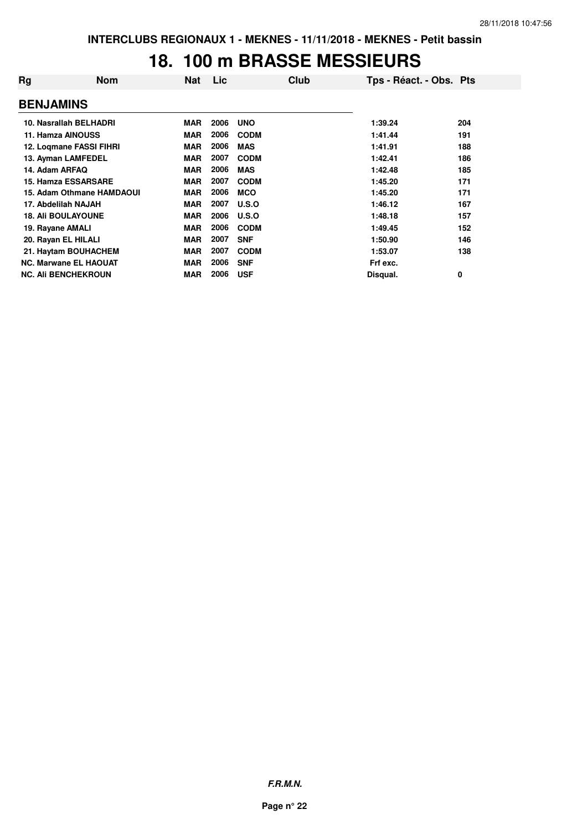#### **18. 100 m BRASSE MESSIEURS**

| Rg               | Nom                          | <b>Nat</b> | Lic  | Club        | Tps - Réact. - Obs. Pts |     |
|------------------|------------------------------|------------|------|-------------|-------------------------|-----|
| <b>BENJAMINS</b> |                              |            |      |             |                         |     |
|                  | 10. Nasrallah BELHADRI       | <b>MAR</b> | 2006 | <b>UNO</b>  | 1:39.24                 | 204 |
|                  | 11. Hamza AINOUSS            | <b>MAR</b> | 2006 | <b>CODM</b> | 1:41.44                 | 191 |
|                  | 12. Logmane FASSI FIHRI      | <b>MAR</b> | 2006 | <b>MAS</b>  | 1:41.91                 | 188 |
|                  | 13. Ayman LAMFEDEL           | <b>MAR</b> | 2007 | <b>CODM</b> | 1:42.41                 | 186 |
| 14. Adam ARFAQ   |                              | <b>MAR</b> | 2006 | <b>MAS</b>  | 1:42.48                 | 185 |
|                  | 15. Hamza ESSARSARE          | <b>MAR</b> | 2007 | <b>CODM</b> | 1:45.20                 | 171 |
|                  | 15. Adam Othmane HAMDAOUI    | <b>MAR</b> | 2006 | <b>MCO</b>  | 1:45.20                 | 171 |
|                  | 17. Abdelilah NAJAH          | <b>MAR</b> | 2007 | U.S.O       | 1:46.12                 | 167 |
|                  | <b>18. Ali BOULAYOUNE</b>    | <b>MAR</b> | 2006 | U.S.O       | 1:48.18                 | 157 |
| 19. Rayane AMALI |                              | <b>MAR</b> | 2006 | <b>CODM</b> | 1:49.45                 | 152 |
|                  | 20. Rayan EL HILALI          | <b>MAR</b> | 2007 | <b>SNF</b>  | 1:50.90                 | 146 |
|                  | 21. Haytam BOUHACHEM         | <b>MAR</b> | 2007 | <b>CODM</b> | 1:53.07                 | 138 |
|                  | <b>NC. Marwane EL HAOUAT</b> | <b>MAR</b> | 2006 | <b>SNF</b>  | Frf exc.                |     |
|                  | <b>NC. Ali BENCHEKROUN</b>   | <b>MAR</b> | 2006 | <b>USF</b>  | Disqual.                | 0   |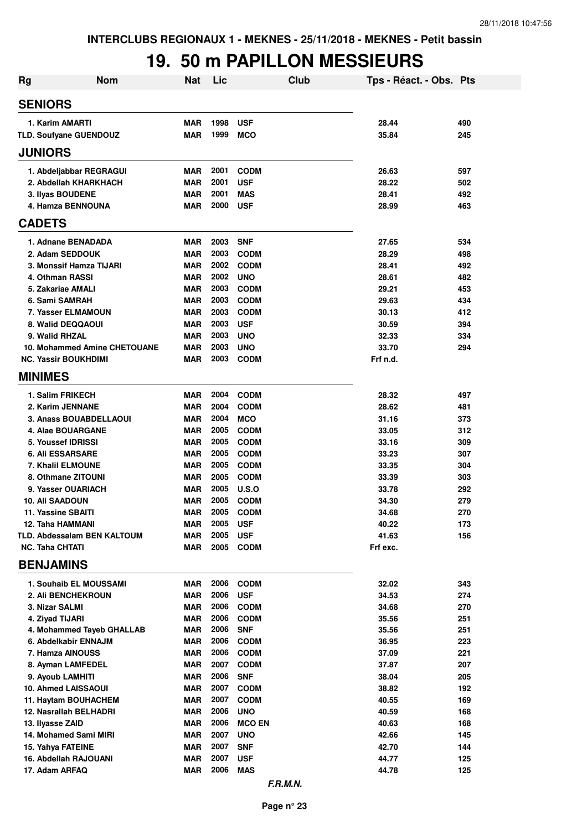## **19. 50 m PAPILLON MESSIEURS**

| <b>Rg</b>                                      | <b>Nom</b>                   | <b>Nat</b>               | Lic          | Club                       | Tps - Réact. - Obs. Pts |            |
|------------------------------------------------|------------------------------|--------------------------|--------------|----------------------------|-------------------------|------------|
| <b>SENIORS</b>                                 |                              |                          |              |                            |                         |            |
| 1. Karim AMARTI                                |                              | <b>MAR</b>               | 1998         | <b>USF</b>                 | 28.44                   | 490        |
| TLD. Soufyane GUENDOUZ                         |                              | <b>MAR</b>               | 1999         | <b>MCO</b>                 | 35.84                   | 245        |
| <b>JUNIORS</b>                                 |                              |                          |              |                            |                         |            |
| 1. Abdeljabbar REGRAGUI                        |                              | MAR                      | 2001         | <b>CODM</b>                | 26.63                   | 597        |
| 2. Abdellah KHARKHACH                          |                              | <b>MAR</b>               | 2001         | <b>USF</b>                 | 28.22                   | 502        |
| 3. Ilyas BOUDENE                               |                              | <b>MAR</b>               | 2001         | <b>MAS</b>                 | 28.41                   | 492        |
| 4. Hamza BENNOUNA                              |                              | <b>MAR</b>               | 2000         | <b>USF</b>                 | 28.99                   | 463        |
| <b>CADETS</b>                                  |                              |                          |              |                            |                         |            |
| 1. Adnane BENADADA                             |                              | <b>MAR</b>               | 2003         | <b>SNF</b>                 | 27.65                   | 534        |
| 2. Adam SEDDOUK                                |                              | <b>MAR</b>               | 2003         | <b>CODM</b>                | 28.29                   | 498        |
| 3. Monssif Hamza TIJARI                        |                              | <b>MAR</b>               | 2002         | <b>CODM</b>                | 28.41                   | 492        |
| 4. Othman RASSI                                |                              | <b>MAR</b>               | 2002         | <b>UNO</b>                 | 28.61                   | 482        |
| 5. Zakariae AMALI                              |                              | <b>MAR</b>               | 2003         | <b>CODM</b>                | 29.21                   | 453        |
| 6. Sami SAMRAH                                 |                              | <b>MAR</b>               | 2003         | <b>CODM</b>                | 29.63                   | 434        |
| <b>7. Yasser ELMAMOUN</b>                      |                              | <b>MAR</b>               | 2003         | <b>CODM</b>                | 30.13                   | 412        |
| 8. Walid DEQQAOUI                              |                              | <b>MAR</b>               | 2003         | <b>USF</b>                 | 30.59                   | 394        |
| 9. Walid RHZAL                                 |                              | <b>MAR</b>               | 2003         | <b>UNO</b>                 | 32.33                   | 334        |
|                                                | 10. Mohammed Amine CHETOUANE | <b>MAR</b>               | 2003         | <b>UNO</b>                 | 33.70                   | 294        |
| <b>NC. Yassir BOUKHDIMI</b>                    |                              | <b>MAR</b>               | 2003         | <b>CODM</b>                | Frf n.d.                |            |
| <b>MINIMES</b>                                 |                              |                          |              |                            |                         |            |
| 1. Salim FRIKECH                               |                              | <b>MAR</b>               | 2004         | <b>CODM</b>                | 28.32                   | 497        |
| 2. Karim JENNANE                               |                              | <b>MAR</b>               | 2004         | <b>CODM</b>                | 28.62                   | 481        |
| 3. Anass BOUABDELLAOUI                         |                              | <b>MAR</b>               | 2004         | <b>MCO</b>                 | 31.16                   | 373        |
| 4. Alae BOUARGANE                              |                              | <b>MAR</b>               | 2005         | <b>CODM</b>                | 33.05                   | 312        |
| 5. Youssef IDRISSI                             |                              | <b>MAR</b>               | 2005         | <b>CODM</b>                | 33.16                   | 309        |
| <b>6. Ali ESSARSARE</b>                        |                              | <b>MAR</b>               | 2005<br>2005 | <b>CODM</b>                | 33.23                   | 307        |
| 7. Khalil ELMOUNE<br>8. Othmane ZITOUNI        |                              | <b>MAR</b><br><b>MAR</b> | 2005         | <b>CODM</b><br><b>CODM</b> | 33.35<br>33.39          | 304<br>303 |
| 9. Yasser OUARIACH                             |                              | <b>MAR</b>               | 2005         | <b>U.S.O</b>               | 33.78                   | 292        |
| 10. Ali SAADOUN                                |                              | <b>MAR</b>               | 2005         | <b>CODM</b>                | 34.30                   | 279        |
| 11. Yassine SBAITI                             |                              | <b>MAR</b>               | 2005         | <b>CODM</b>                | 34.68                   | 270        |
| 12. Taha HAMMANI                               |                              | MAR                      | 2005         | <b>USF</b>                 | 40.22                   | 173        |
| TLD. Abdessalam BEN KALTOUM                    |                              | <b>MAR</b>               | 2005         | <b>USF</b>                 | 41.63                   | 156        |
| <b>NC. Taha CHTATI</b>                         |                              | <b>MAR</b>               | 2005         | <b>CODM</b>                | Frf exc.                |            |
| <b>BENJAMINS</b>                               |                              |                          |              |                            |                         |            |
| 1. Souhaib EL MOUSSAMI                         |                              | MAR                      | 2006         | <b>CODM</b>                | 32.02                   | 343        |
| 2. Ali BENCHEKROUN                             |                              | <b>MAR</b>               | 2006         | <b>USF</b>                 | 34.53                   | 274        |
| 3. Nizar SALMI                                 |                              | <b>MAR</b>               | 2006         | <b>CODM</b>                | 34.68                   | 270        |
| 4. Ziyad TIJARI                                |                              | <b>MAR</b>               | 2006         | <b>CODM</b>                | 35.56                   | 251        |
|                                                | 4. Mohammed Tayeb GHALLAB    | <b>MAR</b>               | 2006         | <b>SNF</b>                 | 35.56                   | 251        |
| 6. Abdelkabir ENNAJM                           |                              | <b>MAR</b>               | 2006         | <b>CODM</b>                | 36.95                   | 223        |
| 7. Hamza AINOUSS                               |                              | <b>MAR</b>               | 2006         | <b>CODM</b>                | 37.09                   | 221        |
| 8. Ayman LAMFEDEL                              |                              | MAR                      | 2007         | <b>CODM</b>                | 37.87                   | 207        |
| 9. Ayoub LAMHITI                               |                              | <b>MAR</b>               | 2006         | <b>SNF</b>                 | 38.04                   | 205        |
| 10. Ahmed LAISSAOUI                            |                              | <b>MAR</b><br><b>MAR</b> | 2007<br>2007 | <b>CODM</b>                | 38.82                   | 192        |
| 11. Haytam BOUHACHEM<br>12. Nasrallah BELHADRI |                              | <b>MAR</b>               | 2006         | <b>CODM</b><br><b>UNO</b>  | 40.55<br>40.59          | 169<br>168 |
| 13. Ilyasse ZAID                               |                              | <b>MAR</b>               | 2006         | <b>MCO EN</b>              | 40.63                   | 168        |
| 14. Mohamed Sami MIRI                          |                              | MAR                      | 2007         | <b>UNO</b>                 | 42.66                   | 145        |
| 15. Yahya FATEINE                              |                              | MAR                      | 2007         | <b>SNF</b>                 | 42.70                   | 144        |
| 16. Abdellah RAJOUANI                          |                              | <b>MAR</b>               | 2007         | <b>USF</b>                 | 44.77                   | 125        |
| 17. Adam ARFAQ                                 |                              | MAR                      | 2006         | <b>MAS</b>                 | 44.78                   | 125        |
|                                                |                              |                          |              |                            |                         |            |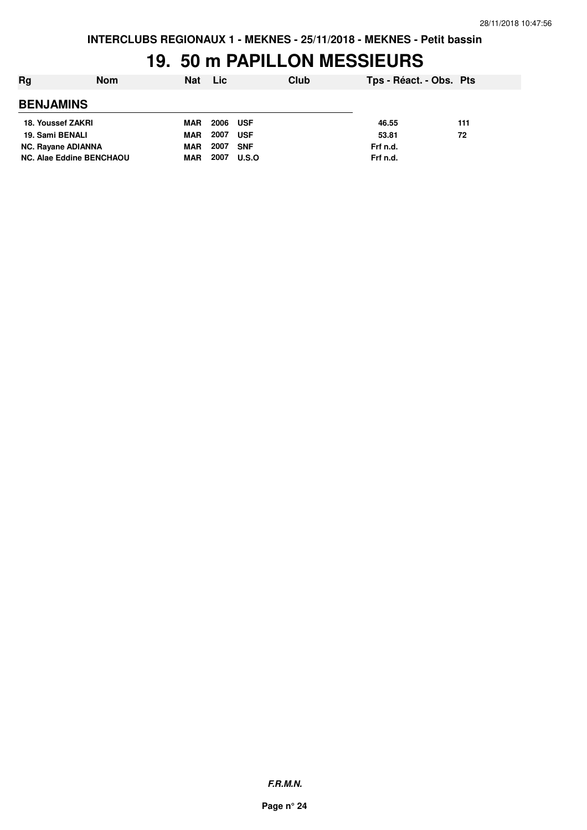### **19. 50 m PAPILLON MESSIEURS**

| Rg<br><b>Nom</b>                | <b>Nat</b> | <b>Lic</b> |            | Club | Tps - Réact. - Obs. Pts |     |
|---------------------------------|------------|------------|------------|------|-------------------------|-----|
| <b>BENJAMINS</b>                |            |            |            |      |                         |     |
| 18. Youssef ZAKRI               | <b>MAR</b> | 2006       | <b>USF</b> |      | 46.55                   | 111 |
| 19. Sami BENALI                 | <b>MAR</b> | 2007       | <b>USF</b> |      | 53.81                   | 72  |
| <b>NC. Rayane ADIANNA</b>       | <b>MAR</b> | 2007       | <b>SNF</b> |      | Frf n.d.                |     |
| <b>NC. Alae Eddine BENCHAOU</b> | MAR        | 2007       | U.S.O      |      | Frf n.d.                |     |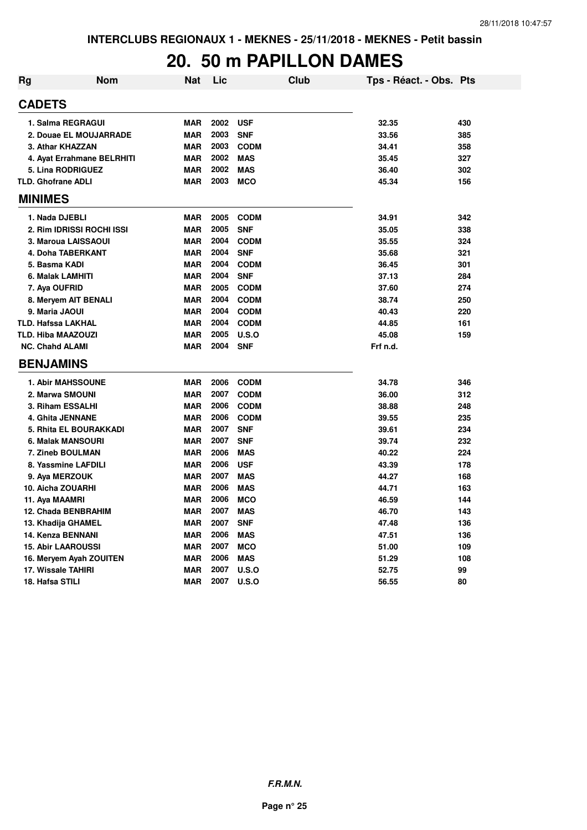#### **20. 50 m PAPILLON DAMES**

| <b>Rg</b> | <b>Nom</b>                 | Nat        | Lic  | <b>Club</b> | Tps - Réact. - Obs. Pts |     |
|-----------|----------------------------|------------|------|-------------|-------------------------|-----|
|           | <b>CADETS</b>              |            |      |             |                         |     |
|           | 1. Salma REGRAGUI          | <b>MAR</b> | 2002 | <b>USF</b>  | 32.35                   | 430 |
|           | 2. Douae EL MOUJARRADE     | <b>MAR</b> | 2003 | <b>SNF</b>  | 33.56                   | 385 |
|           | 3. Athar KHAZZAN           | <b>MAR</b> | 2003 | <b>CODM</b> | 34.41                   | 358 |
|           | 4. Ayat Errahmane BELRHITI | <b>MAR</b> | 2002 | <b>MAS</b>  | 35.45                   | 327 |
|           | 5. Lina RODRIGUEZ          | <b>MAR</b> | 2002 | <b>MAS</b>  | 36.40                   | 302 |
|           | <b>TLD. Ghofrane ADLI</b>  | <b>MAR</b> | 2003 | <b>MCO</b>  | 45.34                   | 156 |
|           | <b>MINIMES</b>             |            |      |             |                         |     |
|           | 1. Nada DJEBLI             | <b>MAR</b> | 2005 | <b>CODM</b> | 34.91                   | 342 |
|           | 2. Rim IDRISSI ROCHI ISSI  | <b>MAR</b> | 2005 | <b>SNF</b>  | 35.05                   | 338 |
|           | 3. Maroua LAISSAOUI        | <b>MAR</b> | 2004 | <b>CODM</b> | 35.55                   | 324 |
|           | 4. Doha TABERKANT          | <b>MAR</b> | 2004 | <b>SNF</b>  | 35.68                   | 321 |
|           | 5. Basma KADI              | <b>MAR</b> | 2004 | <b>CODM</b> | 36.45                   | 301 |
|           | 6. Malak LAMHITI           | <b>MAR</b> | 2004 | <b>SNF</b>  | 37.13                   | 284 |
|           | 7. Aya OUFRID              | <b>MAR</b> | 2005 | <b>CODM</b> | 37.60                   | 274 |
|           | 8. Meryem AIT BENALI       | <b>MAR</b> | 2004 | <b>CODM</b> | 38.74                   | 250 |
|           | 9. Maria JAOUI             | <b>MAR</b> | 2004 | <b>CODM</b> | 40.43                   | 220 |
|           | <b>TLD. Hafssa LAKHAL</b>  | <b>MAR</b> | 2004 | <b>CODM</b> | 44.85                   | 161 |
|           | <b>TLD. Hiba MAAZOUZI</b>  | <b>MAR</b> | 2005 | U.S.O       | 45.08                   | 159 |
|           | <b>NC. Chahd ALAMI</b>     | <b>MAR</b> | 2004 | <b>SNF</b>  | Frf n.d.                |     |
|           | <b>BENJAMINS</b>           |            |      |             |                         |     |
|           | <b>1. Abir MAHSSOUNE</b>   | <b>MAR</b> | 2006 | <b>CODM</b> | 34.78                   | 346 |
|           | 2. Marwa SMOUNI            | <b>MAR</b> | 2007 | <b>CODM</b> | 36.00                   | 312 |
|           | 3. Riham ESSALHI           | <b>MAR</b> | 2006 | <b>CODM</b> | 38.88                   | 248 |
|           | 4. Ghita JENNANE           | <b>MAR</b> | 2006 | <b>CODM</b> | 39.55                   | 235 |
|           | 5. Rhita EL BOURAKKADI     | <b>MAR</b> | 2007 | <b>SNF</b>  | 39.61                   | 234 |
|           | 6. Malak MANSOURI          | <b>MAR</b> | 2007 | <b>SNF</b>  | 39.74                   | 232 |
|           | 7. Zineb BOULMAN           | <b>MAR</b> | 2006 | <b>MAS</b>  | 40.22                   | 224 |
|           | 8. Yassmine LAFDILI        | <b>MAR</b> | 2006 | <b>USF</b>  | 43.39                   | 178 |
|           | 9. Aya MERZOUK             | <b>MAR</b> | 2007 | <b>MAS</b>  | 44.27                   | 168 |
|           | 10. Aicha ZOUARHI          | <b>MAR</b> | 2006 | <b>MAS</b>  | 44.71                   | 163 |
|           | 11. Aya MAAMRI             | <b>MAR</b> | 2006 | <b>MCO</b>  | 46.59                   | 144 |
|           | 12. Chada BENBRAHIM        | <b>MAR</b> | 2007 | <b>MAS</b>  | 46.70                   | 143 |
|           | 13. Khadija GHAMEL         | <b>MAR</b> | 2007 | <b>SNF</b>  | 47.48                   | 136 |
|           | 14. Kenza BENNANI          | <b>MAR</b> | 2006 | <b>MAS</b>  | 47.51                   | 136 |
|           | <b>15. Abir LAAROUSSI</b>  | <b>MAR</b> | 2007 | <b>MCO</b>  | 51.00                   | 109 |
|           | 16. Meryem Ayah ZOUITEN    | <b>MAR</b> | 2006 | <b>MAS</b>  | 51.29                   | 108 |
|           | 17. Wissale TAHIRI         | <b>MAR</b> | 2007 | U.S.O       | 52.75                   | 99  |
|           | 18. Hafsa STILI            | <b>MAR</b> | 2007 | U.S.O       | 56.55                   | 80  |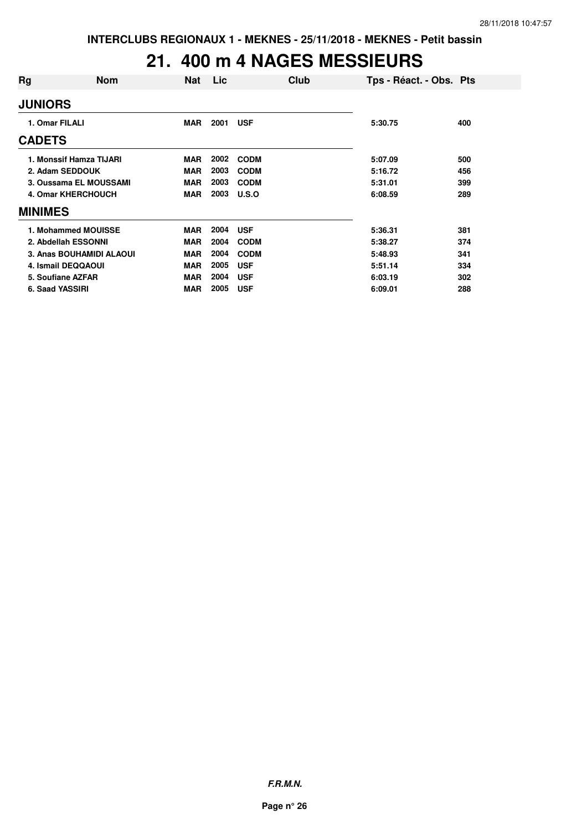### **21. 400 m 4 NAGES MESSIEURS**

| Rg                | <b>Nom</b>                | <b>Nat</b> | Lic. | <b>Club</b> | Tps - Réact. - Obs. Pts |     |
|-------------------|---------------------------|------------|------|-------------|-------------------------|-----|
| <b>JUNIORS</b>    |                           |            |      |             |                         |     |
| 1. Omar FILALI    |                           | <b>MAR</b> | 2001 | <b>USF</b>  | 5:30.75                 | 400 |
| <b>CADETS</b>     |                           |            |      |             |                         |     |
|                   | 1. Monssif Hamza TIJARI   | <b>MAR</b> | 2002 | <b>CODM</b> | 5:07.09                 | 500 |
|                   | 2. Adam SEDDOUK           | <b>MAR</b> | 2003 | <b>CODM</b> | 5:16.72                 | 456 |
|                   | 3. Oussama EL MOUSSAMI    | <b>MAR</b> | 2003 | <b>CODM</b> | 5:31.01                 | 399 |
|                   | <b>4. Omar KHERCHOUCH</b> | <b>MAR</b> | 2003 | U.S.O       | 6:08.59                 | 289 |
| <b>MINIMES</b>    |                           |            |      |             |                         |     |
|                   | 1. Mohammed MOUISSE       | <b>MAR</b> | 2004 | <b>USF</b>  | 5:36.31                 | 381 |
|                   | 2. Abdellah ESSONNI       | <b>MAR</b> | 2004 | <b>CODM</b> | 5:38.27                 | 374 |
|                   | 3. Anas BOUHAMIDI ALAOUI  | <b>MAR</b> | 2004 | <b>CODM</b> | 5:48.93                 | 341 |
|                   | 4. Ismail DEQQAOUI        | <b>MAR</b> | 2005 | <b>USF</b>  | 5:51.14                 | 334 |
| 5. Soufiane AZFAR |                           | <b>MAR</b> | 2004 | <b>USF</b>  | 6:03.19                 | 302 |
| 6. Saad YASSIRI   |                           | <b>MAR</b> | 2005 | <b>USF</b>  | 6:09.01                 | 288 |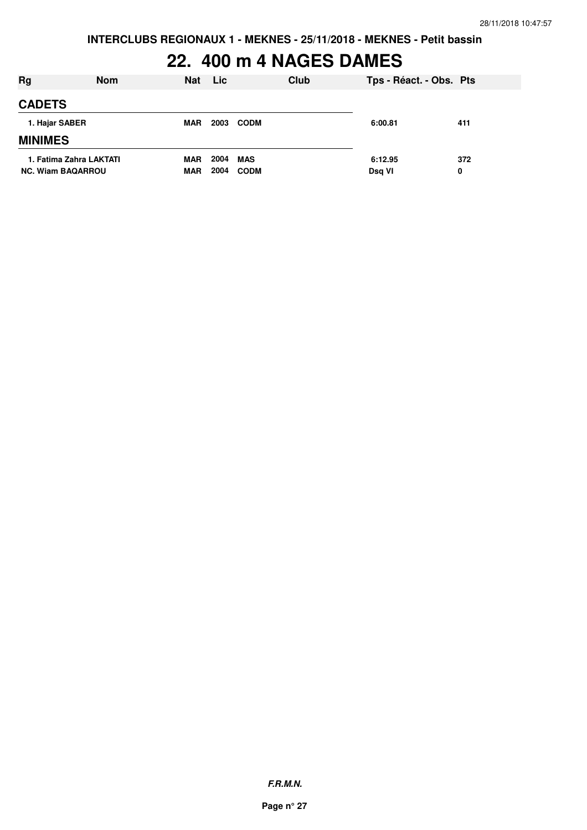# **22. 400 m 4 NAGES DAMES**

| Rg                                                  | <b>Nom</b> | <b>Nat</b>               | <b>Lic</b>   |                    | Club | Tps - Réact. - Obs. Pts |          |
|-----------------------------------------------------|------------|--------------------------|--------------|--------------------|------|-------------------------|----------|
| <b>CADETS</b>                                       |            |                          |              |                    |      |                         |          |
| 1. Hajar SABER                                      |            | <b>MAR</b>               | 2003         | <b>CODM</b>        |      | 6:00.81                 | 411      |
| <b>MINIMES</b>                                      |            |                          |              |                    |      |                         |          |
| 1. Fatima Zahra LAKTATI<br><b>NC. Wiam BAQARROU</b> |            | <b>MAR</b><br><b>MAR</b> | 2004<br>2004 | MAS<br><b>CODM</b> |      | 6:12.95<br>Dsq VI       | 372<br>0 |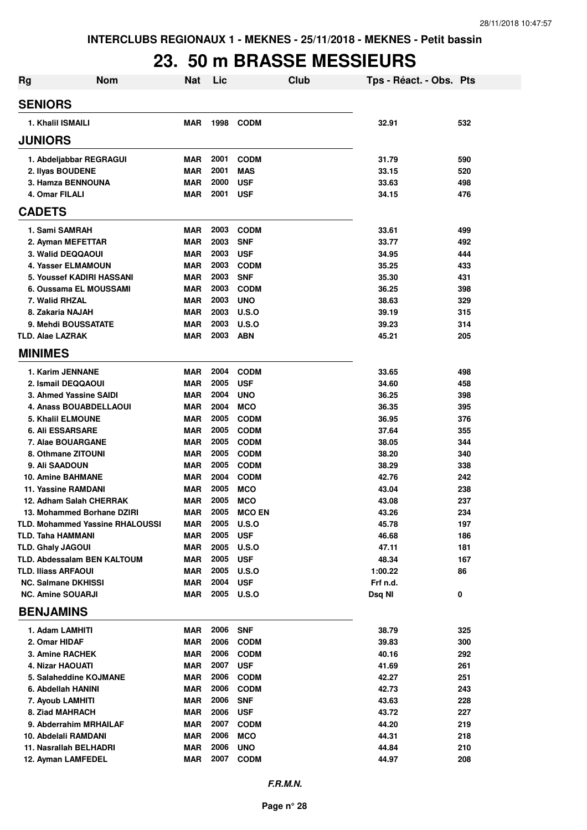### **23. 50 m BRASSE MESSIEURS**

| <b>Rg</b>                          | <b>Nom</b>                             | Nat        | Lic          |                               | <b>Club</b> | Tps - Réact. - Obs. Pts |            |
|------------------------------------|----------------------------------------|------------|--------------|-------------------------------|-------------|-------------------------|------------|
| <b>SENIORS</b>                     |                                        |            |              |                               |             |                         |            |
| 1. Khalil ISMAILI                  |                                        | <b>MAR</b> | 1998         | <b>CODM</b>                   |             | 32.91                   | 532        |
| <b>JUNIORS</b>                     |                                        |            |              |                               |             |                         |            |
| 1. Abdeljabbar REGRAGUI            |                                        | MAR        | 2001         | <b>CODM</b>                   |             | 31.79                   | 590        |
| 2. Ilyas BOUDENE                   |                                        | <b>MAR</b> | 2001         | <b>MAS</b>                    |             | 33.15                   | 520        |
| 3. Hamza BENNOUNA                  |                                        | <b>MAR</b> | 2000         | <b>USF</b>                    |             | 33.63                   | 498        |
| 4. Omar FILALI                     |                                        | <b>MAR</b> | 2001         | <b>USF</b>                    |             | 34.15                   | 476        |
| <b>CADETS</b>                      |                                        |            |              |                               |             |                         |            |
| 1. Sami SAMRAH                     |                                        | <b>MAR</b> | 2003         | <b>CODM</b>                   |             | 33.61                   | 499        |
| 2. Ayman MEFETTAR                  |                                        | <b>MAR</b> | 2003         | <b>SNF</b>                    |             | 33.77                   | 492        |
| 3. Walid DEQQAOUI                  |                                        | <b>MAR</b> | 2003         | <b>USF</b>                    |             | 34.95                   | 444        |
| <b>4. Yasser ELMAMOUN</b>          |                                        | <b>MAR</b> | 2003         | <b>CODM</b>                   |             | 35.25                   | 433        |
| 5. Youssef KADIRI HASSANI          |                                        | <b>MAR</b> | 2003         | <b>SNF</b>                    |             | 35.30                   | 431        |
| 6. Oussama EL MOUSSAMI             |                                        | <b>MAR</b> | 2003         | <b>CODM</b>                   |             | 36.25                   | 398        |
| 7. Walid RHZAL                     |                                        | <b>MAR</b> | 2003         | <b>UNO</b>                    |             | 38.63                   | 329        |
| 8. Zakaria NAJAH                   |                                        | <b>MAR</b> | 2003         | U.S.O                         |             | 39.19                   | 315        |
| 9. Mehdi BOUSSATATE                |                                        | <b>MAR</b> | 2003         | U.S.O                         |             | 39.23                   | 314        |
| <b>TLD. Alae LAZRAK</b>            |                                        | <b>MAR</b> | 2003         | <b>ABN</b>                    |             | 45.21                   | 205        |
| <b>MINIMES</b>                     |                                        |            |              |                               |             |                         |            |
| 1. Karim JENNANE                   |                                        | <b>MAR</b> | 2004         | <b>CODM</b>                   |             | 33.65                   | 498        |
| 2. Ismail DEQQAOUI                 |                                        | <b>MAR</b> | 2005         | <b>USF</b>                    |             | 34.60                   | 458        |
| 3. Ahmed Yassine SAIDI             |                                        | <b>MAR</b> | 2004         | <b>UNO</b>                    |             | 36.25                   | 398        |
| 4. Anass BOUABDELLAOUI             |                                        | <b>MAR</b> | 2004         | <b>MCO</b>                    |             | 36.35                   | 395        |
| 5. Khalil ELMOUNE                  |                                        | <b>MAR</b> | 2005         | <b>CODM</b>                   |             | 36.95                   | 376        |
| <b>6. Ali ESSARSARE</b>            |                                        | <b>MAR</b> | 2005         | <b>CODM</b>                   |             | 37.64                   | 355        |
| 7. Alae BOUARGANE                  |                                        | <b>MAR</b> | 2005         | <b>CODM</b>                   |             | 38.05                   | 344        |
| 8. Othmane ZITOUNI                 |                                        | <b>MAR</b> | 2005         | <b>CODM</b>                   |             | 38.20                   | 340        |
| 9. Ali SAADOUN                     |                                        | <b>MAR</b> | 2005         | <b>CODM</b>                   |             | 38.29                   | 338        |
| 10. Amine BAHMANE                  |                                        | <b>MAR</b> | 2004         | <b>CODM</b>                   |             | 42.76                   | 242        |
| 11. Yassine RAMDANI                |                                        | <b>MAR</b> | 2005         | <b>MCO</b>                    |             | 43.04                   | 238        |
| 12. Adham Salah CHERRAK            |                                        | MAR        | 2005<br>2005 | <b>MCO</b>                    |             | 43.08                   | 237        |
| 13. Mohammed Borhane DZIRI         | <b>TLD. Mohammed Yassine RHALOUSSI</b> | MAR<br>MAR | 2005         | <b>MCO EN</b><br><b>U.S.O</b> |             | 43.26<br>45.78          | 234<br>197 |
| <b>TLD. Taha HAMMANI</b>           |                                        | <b>MAR</b> | 2005         | <b>USF</b>                    |             | 46.68                   | 186        |
| <b>TLD. Ghaly JAGOUI</b>           |                                        | MAR        | 2005         | U.S.O                         |             | 47.11                   | 181        |
| <b>TLD. Abdessalam BEN KALTOUM</b> |                                        | MAR        | 2005         | <b>USF</b>                    |             | 48.34                   | 167        |
| TLD. Iliass ARFAOUI                |                                        | <b>MAR</b> | 2005         | U.S.O                         |             | 1:00.22                 | 86         |
| <b>NC. Salmane DKHISSI</b>         |                                        | <b>MAR</b> | 2004         | <b>USF</b>                    |             | Frf n.d.                |            |
| <b>NC. Amine SOUARJI</b>           |                                        | MAR        |              | 2005 U.S.O                    |             | Dsq NI                  | 0          |
| <b>BENJAMINS</b>                   |                                        |            |              |                               |             |                         |            |
| 1. Adam LAMHITI                    |                                        | <b>MAR</b> | 2006         | <b>SNF</b>                    |             | 38.79                   | 325        |
| 2. Omar HIDAF                      |                                        | <b>MAR</b> | 2006         | <b>CODM</b>                   |             | 39.83                   | 300        |
| 3. Amine RACHEK                    |                                        | <b>MAR</b> | 2006         | <b>CODM</b>                   |             | 40.16                   | 292        |
| 4. Nizar HAOUATI                   |                                        | MAR        | 2007         | <b>USF</b>                    |             | 41.69                   | 261        |
| 5. Salaheddine KOJMANE             |                                        | <b>MAR</b> | 2006         | <b>CODM</b>                   |             | 42.27                   | 251        |
| 6. Abdellah HANINI                 |                                        | <b>MAR</b> | 2006         | <b>CODM</b>                   |             | 42.73                   | 243        |
| 7. Ayoub LAMHITI                   |                                        | <b>MAR</b> | 2006         | <b>SNF</b>                    |             | 43.63                   | 228        |
| 8. Ziad MAHRACH                    |                                        | <b>MAR</b> | 2006         | <b>USF</b>                    |             | 43.72                   | 227        |
| 9. Abderrahim MRHAILAF             |                                        | <b>MAR</b> | 2007         | <b>CODM</b>                   |             | 44.20                   | 219        |
| 10. Abdelali RAMDANI               |                                        | <b>MAR</b> | 2006         | <b>MCO</b>                    |             | 44.31                   | 218        |
| 11. Nasrallah BELHADRI             |                                        | <b>MAR</b> | 2006         | <b>UNO</b>                    |             | 44.84                   | 210        |
| 12. Ayman LAMFEDEL                 |                                        | <b>MAR</b> | 2007         | <b>CODM</b>                   |             | 44.97                   | 208        |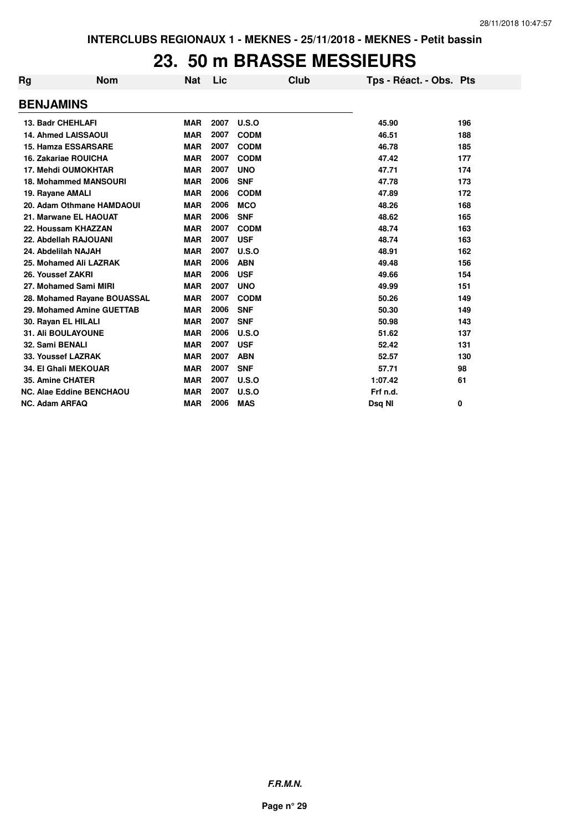#### **23. 50 m BRASSE MESSIEURS**

| Rg | <b>Nom</b>                      | <b>Nat</b> | Lic  |             | Club | Tps - Réact. - Obs. Pts |     |
|----|---------------------------------|------------|------|-------------|------|-------------------------|-----|
|    | <b>BENJAMINS</b>                |            |      |             |      |                         |     |
|    | 13. Badr CHEHLAFI               | <b>MAR</b> | 2007 | U.S.O       |      | 45.90                   | 196 |
|    | <b>14. Ahmed LAISSAOUI</b>      | <b>MAR</b> | 2007 | <b>CODM</b> |      | 46.51                   | 188 |
|    | <b>15. Hamza ESSARSARE</b>      | <b>MAR</b> | 2007 | <b>CODM</b> |      | 46.78                   | 185 |
|    | 16. Zakariae ROUICHA            | <b>MAR</b> | 2007 | <b>CODM</b> |      | 47.42                   | 177 |
|    | <b>17. Mehdi OUMOKHTAR</b>      | <b>MAR</b> | 2007 | <b>UNO</b>  |      | 47.71                   | 174 |
|    | <b>18. Mohammed MANSOURI</b>    | <b>MAR</b> | 2006 | <b>SNF</b>  |      | 47.78                   | 173 |
|    | 19. Rayane AMALI                | <b>MAR</b> | 2006 | <b>CODM</b> |      | 47.89                   | 172 |
|    | 20. Adam Othmane HAMDAOUI       | <b>MAR</b> | 2006 | <b>MCO</b>  |      | 48.26                   | 168 |
|    | 21. Marwane EL HAOUAT           | <b>MAR</b> | 2006 | <b>SNF</b>  |      | 48.62                   | 165 |
|    | 22. Houssam KHAZZAN             | <b>MAR</b> | 2007 | <b>CODM</b> |      | 48.74                   | 163 |
|    | 22. Abdellah RAJOUANI           | <b>MAR</b> | 2007 | <b>USF</b>  |      | 48.74                   | 163 |
|    | 24. Abdelilah NAJAH             | <b>MAR</b> | 2007 | U.S.O       |      | 48.91                   | 162 |
|    | 25. Mohamed Ali LAZRAK          | <b>MAR</b> | 2006 | <b>ABN</b>  |      | 49.48                   | 156 |
|    | 26. Youssef ZAKRI               | <b>MAR</b> | 2006 | <b>USF</b>  |      | 49.66                   | 154 |
|    | 27. Mohamed Sami MIRI           | <b>MAR</b> | 2007 | <b>UNO</b>  |      | 49.99                   | 151 |
|    | 28. Mohamed Rayane BOUASSAL     | <b>MAR</b> | 2007 | <b>CODM</b> |      | 50.26                   | 149 |
|    | 29. Mohamed Amine GUETTAB       | <b>MAR</b> | 2006 | <b>SNF</b>  |      | 50.30                   | 149 |
|    | 30. Rayan EL HILALI             | <b>MAR</b> | 2007 | <b>SNF</b>  |      | 50.98                   | 143 |
|    | <b>31. Ali BOULAYOUNE</b>       | <b>MAR</b> | 2006 | U.S.O       |      | 51.62                   | 137 |
|    | 32. Sami BENALI                 | <b>MAR</b> | 2007 | <b>USF</b>  |      | 52.42                   | 131 |
|    | 33. Youssef LAZRAK              | <b>MAR</b> | 2007 | <b>ABN</b>  |      | 52.57                   | 130 |
|    | <b>34. El Ghali MEKOUAR</b>     | <b>MAR</b> | 2007 | <b>SNF</b>  |      | 57.71                   | 98  |
|    | 35. Amine CHATER                | <b>MAR</b> | 2007 | U.S.O       |      | 1:07.42                 | 61  |
|    | <b>NC. Alae Eddine BENCHAOU</b> | <b>MAR</b> | 2007 | U.S.O       |      | Frf n.d.                |     |
|    | <b>NC. Adam ARFAQ</b>           | <b>MAR</b> | 2006 | <b>MAS</b>  |      | Dsg NI                  | 0   |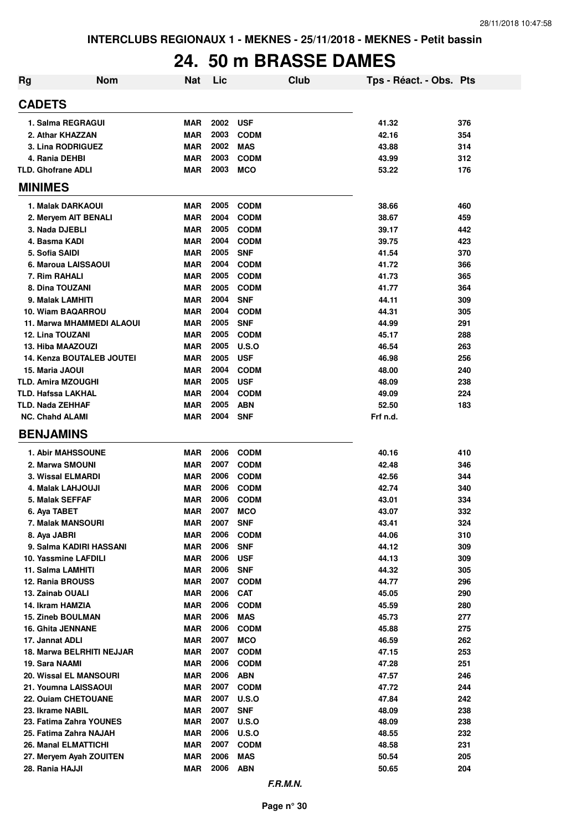# **24. 50 m BRASSE DAMES**

| <b>Rg</b> | <b>Nom</b>                                 | <b>Nat</b>               | Lic          |                           | Club | Tps - Réact. - Obs. Pts |            |
|-----------|--------------------------------------------|--------------------------|--------------|---------------------------|------|-------------------------|------------|
|           | <b>CADETS</b>                              |                          |              |                           |      |                         |            |
|           | 1. Salma REGRAGUI                          | <b>MAR</b>               | 2002         | <b>USF</b>                |      | 41.32                   | 376        |
|           | 2. Athar KHAZZAN                           | <b>MAR</b>               | 2003         | <b>CODM</b>               |      | 42.16                   | 354        |
|           | 3. Lina RODRIGUEZ                          | <b>MAR</b>               | 2002         | <b>MAS</b>                |      | 43.88                   | 314        |
|           | 4. Rania DEHBI                             | <b>MAR</b>               | 2003         | <b>CODM</b>               |      | 43.99                   | 312        |
|           | <b>TLD. Ghofrane ADLI</b>                  | MAR                      | 2003         | <b>MCO</b>                |      | 53.22                   | 176        |
|           | <b>MINIMES</b>                             |                          |              |                           |      |                         |            |
|           | 1. Malak DARKAOUI                          | <b>MAR</b>               | 2005         | <b>CODM</b>               |      | 38.66                   | 460        |
|           | 2. Meryem AIT BENALI                       | <b>MAR</b>               | 2004         | <b>CODM</b>               |      | 38.67                   | 459        |
|           | 3. Nada DJEBLI                             | <b>MAR</b>               | 2005         | <b>CODM</b>               |      | 39.17                   | 442        |
|           | 4. Basma KADI                              | <b>MAR</b>               | 2004         | <b>CODM</b>               |      | 39.75                   | 423        |
|           | 5. Sofia SAIDI                             | <b>MAR</b>               | 2005         | <b>SNF</b>                |      | 41.54                   | 370        |
|           | 6. Maroua LAISSAOUI                        | <b>MAR</b>               | 2004         | <b>CODM</b>               |      | 41.72                   | 366        |
|           | 7. Rim RAHALI                              | <b>MAR</b>               | 2005         | <b>CODM</b>               |      | 41.73                   | 365        |
|           | 8. Dina TOUZANI                            | <b>MAR</b>               | 2005         | <b>CODM</b>               |      | 41.77                   | 364        |
|           | 9. Malak LAMHITI                           | <b>MAR</b>               | 2004         | <b>SNF</b>                |      | 44.11                   | 309        |
|           | 10. Wiam BAQARROU                          | MAR                      | 2004         | <b>CODM</b>               |      | 44.31                   | 305        |
|           | 11. Marwa MHAMMEDI ALAOUI                  | MAR                      | 2005         | <b>SNF</b>                |      | 44.99                   | 291        |
|           | <b>12. Lina TOUZANI</b>                    | <b>MAR</b>               | 2005         | <b>CODM</b>               |      | 45.17                   | 288        |
|           | 13. Hiba MAAZOUZI                          | <b>MAR</b>               | 2005         | U.S.O                     |      | 46.54                   | 263        |
|           | <b>14. Kenza BOUTALEB JOUTEI</b>           | MAR                      | 2005         | <b>USF</b>                |      | 46.98                   | 256        |
|           | 15. Maria JAOUI                            | <b>MAR</b>               | 2004         | <b>CODM</b>               |      | 48.00                   | 240        |
|           | <b>TLD. Amira MZOUGHI</b>                  | <b>MAR</b>               | 2005         | <b>USF</b>                |      | 48.09                   | 238        |
|           | <b>TLD. Hafssa LAKHAL</b>                  | <b>MAR</b>               | 2004         | <b>CODM</b>               |      | 49.09                   | 224        |
|           | <b>TLD. Nada ZEHHAF</b>                    | <b>MAR</b>               | 2005         | <b>ABN</b>                |      | 52.50                   | 183        |
|           | <b>NC. Chahd ALAMI</b><br><b>BENJAMINS</b> | <b>MAR</b>               | 2004         | <b>SNF</b>                |      | Frf n.d.                |            |
|           |                                            |                          |              |                           |      |                         |            |
|           | <b>1. Abir MAHSSOUNE</b>                   | MAR                      | 2006         | <b>CODM</b>               |      | 40.16                   | 410        |
|           | 2. Marwa SMOUNI                            | <b>MAR</b>               | 2007         | <b>CODM</b>               |      | 42.48                   | 346        |
|           | 3. Wissal ELMARDI                          | <b>MAR</b>               | 2006         | <b>CODM</b>               |      | 42.56                   | 344        |
|           | 4. Malak LAHJOUJI                          | <b>MAR</b>               | 2006         | <b>CODM</b>               |      | 42.74                   | 340        |
|           | 5. Malak SEFFAF                            | <b>MAR</b>               | 2006         | <b>CODM</b>               |      | 43.01                   | 334        |
|           | 6. Aya TABET                               | <b>MAR</b>               | 2007         | <b>MCO</b>                |      | 43.07                   | 332        |
|           | 7. Malak MANSOURI                          | <b>MAR</b>               | 2007         | <b>SNF</b>                |      | 43.41                   | 324        |
|           | 8. Aya JABRI                               | <b>MAR</b>               | 2006         | <b>CODM</b>               |      | 44.06                   | 310        |
|           | 9. Salma KADIRI HASSANI                    | <b>MAR</b>               | 2006         | <b>SNF</b>                |      | 44.12                   | 309        |
|           | 10. Yassmine LAFDILI                       | <b>MAR</b>               | 2006<br>2006 | <b>USF</b>                |      | 44.13                   | 309        |
|           | 11. Salma LAMHITI<br>12. Rania BROUSS      | <b>MAR</b><br><b>MAR</b> | 2007         | <b>SNF</b>                |      | 44.32<br>44.77          | 305<br>296 |
|           | 13. Zainab OUALI                           | <b>MAR</b>               | 2006         | <b>CODM</b><br><b>CAT</b> |      | 45.05                   | 290        |
|           | 14. Ikram HAMZIA                           | <b>MAR</b>               | 2006         | <b>CODM</b>               |      | 45.59                   | 280        |
|           | <b>15. Zineb BOULMAN</b>                   | <b>MAR</b>               | 2006         | <b>MAS</b>                |      | 45.73                   | 277        |
|           | <b>16. Ghita JENNANE</b>                   | <b>MAR</b>               | 2006         | <b>CODM</b>               |      | 45.88                   | 275        |
|           | 17. Jannat ADLI                            | <b>MAR</b>               | 2007         | <b>MCO</b>                |      | 46.59                   | 262        |
|           | 18. Marwa BELRHITI NEJJAR                  | <b>MAR</b>               | 2007         | <b>CODM</b>               |      | 47.15                   | 253        |
|           | 19. Sara NAAMI                             | <b>MAR</b>               | 2006         | <b>CODM</b>               |      | 47.28                   | 251        |
|           | 20. Wissal EL MANSOURI                     | <b>MAR</b>               | 2006         | <b>ABN</b>                |      | 47.57                   | 246        |
|           | 21. Youmna LAISSAOUI                       | <b>MAR</b>               | 2007         | <b>CODM</b>               |      | 47.72                   | 244        |
|           | 22. Ouiam CHETOUANE                        | <b>MAR</b>               | 2007         | <b>U.S.O</b>              |      | 47.84                   | 242        |
|           | 23. Ikrame NABIL                           | <b>MAR</b>               | 2007         | <b>SNF</b>                |      | 48.09                   | 238        |
|           | 23. Fatima Zahra YOUNES                    | <b>MAR</b>               | 2007         | <b>U.S.O</b>              |      | 48.09                   | 238        |
|           | 25. Fatima Zahra NAJAH                     | <b>MAR</b>               | 2006         | <b>U.S.O</b>              |      | 48.55                   | 232        |
|           | 26. Manal ELMATTICHI                       | <b>MAR</b>               | 2007         | <b>CODM</b>               |      | 48.58                   | 231        |
|           | 27. Meryem Ayah ZOUITEN                    | MAR                      | 2006         | <b>MAS</b>                |      | 50.54                   | 205        |
|           | 28. Rania HAJJI                            | <b>MAR</b>               | 2006         | <b>ABN</b>                |      | 50.65                   | 204        |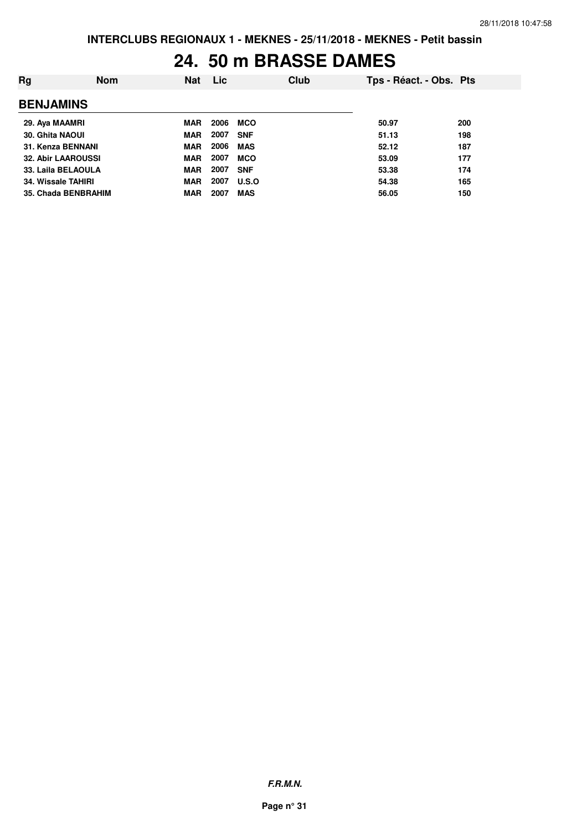### **24. 50 m BRASSE DAMES**

| Rg                 | <b>Nom</b>                | <b>Nat</b> | <b>Lic</b> | Club       | Tps - Réact. - Obs. Pts |     |
|--------------------|---------------------------|------------|------------|------------|-------------------------|-----|
| <b>BENJAMINS</b>   |                           |            |            |            |                         |     |
| 29. Aya MAAMRI     |                           | <b>MAR</b> | 2006       | MCO        | 50.97                   | 200 |
| 30. Ghita NAOUI    |                           | <b>MAR</b> | 2007       | <b>SNF</b> | 51.13                   | 198 |
|                    | 31. Kenza BENNANI         | <b>MAR</b> | 2006       | <b>MAS</b> | 52.12                   | 187 |
|                    | <b>32. Abir LAAROUSSI</b> | <b>MAR</b> | 2007       | <b>MCO</b> | 53.09                   | 177 |
|                    | 33. Laila BELAOULA        | <b>MAR</b> | 2007       | <b>SNF</b> | 53.38                   | 174 |
| 34. Wissale TAHIRI |                           | <b>MAR</b> | 2007       | U.S.O      | 54.38                   | 165 |
|                    | 35. Chada BENBRAHIM       | <b>MAR</b> | 2007       | <b>MAS</b> | 56.05                   | 150 |
|                    |                           |            |            |            |                         |     |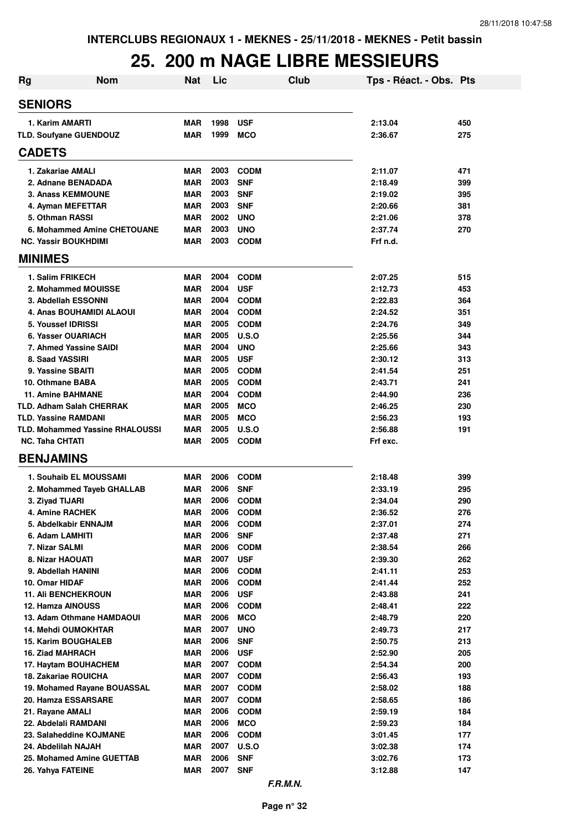### **25. 200 m NAGE LIBRE MESSIEURS**

| <b>Rg</b>                                        | <b>Nom</b>                             | <b>Nat</b>               | Lic          |                            | <b>Club</b> | Tps - Réact. - Obs. Pts |            |
|--------------------------------------------------|----------------------------------------|--------------------------|--------------|----------------------------|-------------|-------------------------|------------|
| <b>SENIORS</b>                                   |                                        |                          |              |                            |             |                         |            |
| 1. Karim AMARTI                                  |                                        | <b>MAR</b>               | 1998         | <b>USF</b>                 |             | 2:13.04                 | 450        |
| TLD. Soufyane GUENDOUZ                           |                                        | MAR                      | 1999         | <b>MCO</b>                 |             | 2:36.67                 | 275        |
| <b>CADETS</b>                                    |                                        |                          |              |                            |             |                         |            |
| 1. Zakariae AMALI                                |                                        | <b>MAR</b>               | 2003         | <b>CODM</b>                |             | 2:11.07                 | 471        |
| 2. Adnane BENADADA                               |                                        | <b>MAR</b>               | 2003         | <b>SNF</b>                 |             | 2:18.49                 | 399        |
| <b>3. Anass KEMMOUNE</b>                         |                                        | <b>MAR</b>               | 2003         | <b>SNF</b>                 |             | 2:19.02                 | 395        |
| 4. Ayman MEFETTAR                                |                                        | <b>MAR</b>               | 2003         | <b>SNF</b>                 |             | 2:20.66                 | 381        |
| 5. Othman RASSI                                  |                                        | <b>MAR</b>               | 2002         | <b>UNO</b>                 |             | 2:21.06                 | 378        |
|                                                  | 6. Mohammed Amine CHETOUANE            | MAR                      | 2003         | <b>UNO</b>                 |             | 2:37.74                 | 270        |
| <b>NC. Yassir BOUKHDIMI</b>                      |                                        | <b>MAR</b>               | 2003         | <b>CODM</b>                |             | Frf n.d.                |            |
| <b>MINIMES</b>                                   |                                        |                          |              |                            |             |                         |            |
| 1. Salim FRIKECH                                 |                                        | MAR                      | 2004         | <b>CODM</b>                |             | 2:07.25                 | 515        |
| 2. Mohammed MOUISSE                              |                                        | <b>MAR</b>               | 2004         | <b>USF</b>                 |             | 2:12.73                 | 453        |
| 3. Abdellah ESSONNI                              |                                        | MAR                      | 2004         | <b>CODM</b>                |             | 2:22.83                 | 364        |
| 4. Anas BOUHAMIDI ALAOUI                         |                                        | MAR                      | 2004         | <b>CODM</b>                |             | 2:24.52                 | 351        |
| 5. Youssef IDRISSI                               |                                        | <b>MAR</b>               | 2005         | <b>CODM</b>                |             | 2:24.76                 | 349        |
| 6. Yasser OUARIACH                               |                                        | <b>MAR</b>               | 2005         | U.S.O                      |             | 2:25.56                 | 344        |
| 7. Ahmed Yassine SAIDI                           |                                        | <b>MAR</b>               | 2004         | <b>UNO</b>                 |             | 2:25.66                 | 343        |
| 8. Saad YASSIRI                                  |                                        | <b>MAR</b>               | 2005         | <b>USF</b>                 |             | 2:30.12                 | 313        |
| 9. Yassine SBAITI                                |                                        | <b>MAR</b>               | 2005         | <b>CODM</b>                |             | 2:41.54                 | 251        |
| 10. Othmane BABA                                 |                                        | <b>MAR</b>               | 2005         | <b>CODM</b>                |             | 2:43.71                 | 241        |
| <b>11. Amine BAHMANE</b>                         |                                        | <b>MAR</b>               | 2004         | <b>CODM</b>                |             | 2:44.90                 | 236        |
| <b>TLD. Adham Salah CHERRAK</b>                  |                                        | <b>MAR</b>               | 2005<br>2005 | <b>MCO</b>                 |             | 2:46.25                 | 230        |
| <b>TLD. Yassine RAMDANI</b>                      | <b>TLD. Mohammed Yassine RHALOUSSI</b> | <b>MAR</b><br><b>MAR</b> | 2005         | <b>MCO</b><br><b>U.S.O</b> |             | 2:56.23<br>2:56.88      | 193<br>191 |
| <b>NC. Taha CHTATI</b>                           |                                        | MAR                      | 2005         | <b>CODM</b>                |             | Frf exc.                |            |
| <b>BENJAMINS</b>                                 |                                        |                          |              |                            |             |                         |            |
|                                                  |                                        |                          |              |                            |             |                         |            |
| 1. Souhaib EL MOUSSAMI                           |                                        | <b>MAR</b>               | 2006         | <b>CODM</b>                |             | 2:18.48                 | 399        |
| 2. Mohammed Tayeb GHALLAB                        |                                        | MAR                      | 2006         | <b>SNF</b>                 |             | 2:33.19                 | 295        |
| 3. Ziyad TIJARI<br>4. Amine RACHEK               |                                        | <b>MAR</b><br><b>MAR</b> | 2006<br>2006 | <b>CODM</b><br><b>CODM</b> |             | 2:34.04<br>2:36.52      | 290<br>276 |
| 5. Abdelkabir ENNAJM                             |                                        | <b>MAR</b>               | 2006         | <b>CODM</b>                |             | 2:37.01                 | 274        |
| 6. Adam LAMHITI                                  |                                        | <b>MAR</b>               | 2006         | <b>SNF</b>                 |             | 2:37.48                 | 271        |
| 7. Nizar SALMI                                   |                                        | <b>MAR</b>               | 2006         | <b>CODM</b>                |             | 2:38.54                 | 266        |
| 8. Nizar HAOUATI                                 |                                        | <b>MAR</b>               | 2007         | <b>USF</b>                 |             | 2:39.30                 | 262        |
| 9. Abdellah HANINI                               |                                        | <b>MAR</b>               | 2006         | <b>CODM</b>                |             | 2:41.11                 | 253        |
| 10. Omar HIDAF                                   |                                        | <b>MAR</b>               | 2006         | <b>CODM</b>                |             | 2:41.44                 | 252        |
| <b>11. Ali BENCHEKROUN</b>                       |                                        | <b>MAR</b>               | 2006         | <b>USF</b>                 |             | 2:43.88                 | 241        |
| 12. Hamza AINOUSS                                |                                        | <b>MAR</b>               | 2006         | <b>CODM</b>                |             | 2:48.41                 | 222        |
| 13. Adam Othmane HAMDAOUI                        |                                        | <b>MAR</b>               | 2006         | <b>MCO</b>                 |             | 2:48.79                 | 220        |
| <b>14. Mehdi OUMOKHTAR</b>                       |                                        | <b>MAR</b>               | 2007         | <b>UNO</b>                 |             | 2:49.73                 | 217        |
| <b>15. Karim BOUGHALEB</b>                       |                                        | <b>MAR</b>               | 2006         | <b>SNF</b>                 |             | 2:50.75                 | 213        |
| <b>16. Ziad MAHRACH</b>                          |                                        | <b>MAR</b>               | 2006         | <b>USF</b>                 |             | 2:52.90                 | 205        |
| 17. Haytam BOUHACHEM                             |                                        | MAR                      | 2007         | <b>CODM</b>                |             | 2:54.34                 | 200        |
| 18. Zakariae ROUICHA                             |                                        | MAR                      | 2007         | <b>CODM</b>                |             | 2:56.43                 | 193        |
| 19. Mohamed Rayane BOUASSAL                      |                                        | MAR                      | 2007         | <b>CODM</b>                |             | 2:58.02                 | 188        |
| 20. Hamza ESSARSARE                              |                                        | MAR                      | 2007         | <b>CODM</b>                |             | 2:58.65                 | 186        |
| 21. Rayane AMALI                                 |                                        | <b>MAR</b>               | 2006         | <b>CODM</b>                |             | 2:59.19                 | 184        |
| 22. Abdelali RAMDANI                             |                                        | <b>MAR</b>               | 2006         | <b>MCO</b>                 |             | 2:59.23                 | 184        |
| 23. Salaheddine KOJMANE                          |                                        | <b>MAR</b>               | 2006<br>2007 | <b>CODM</b>                |             | 3:01.45                 | 177        |
| 24. Abdelilah NAJAH<br>25. Mohamed Amine GUETTAB |                                        | <b>MAR</b><br><b>MAR</b> | 2006         | U.S.O<br><b>SNF</b>        |             | 3:02.38<br>3:02.76      | 174<br>173 |
| 26. Yahya FATEINE                                |                                        | <b>MAR</b>               | 2007         | <b>SNF</b>                 |             | 3:12.88                 | 147        |
|                                                  |                                        |                          |              |                            |             |                         |            |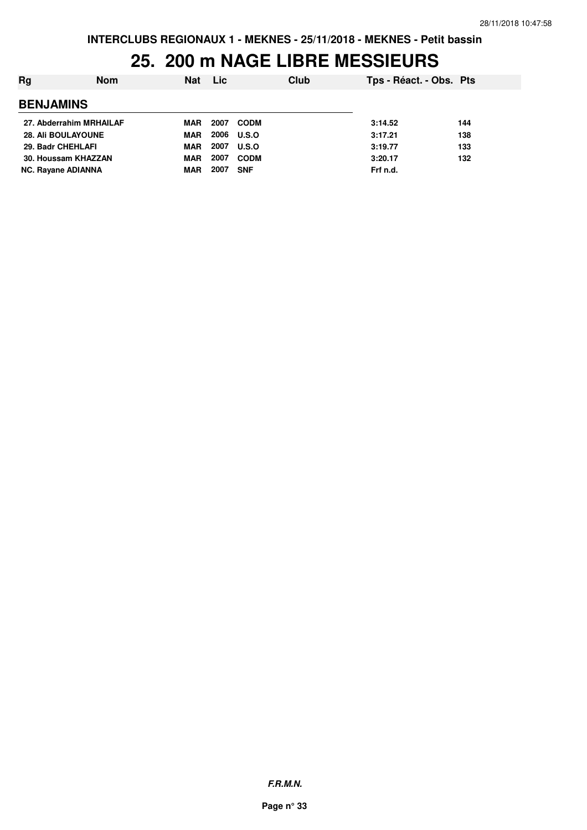### **25. 200 m NAGE LIBRE MESSIEURS**

| Rg                        | <b>Nom</b> | <b>Nat</b> | Lic  |              | Club | Tps - Réact. - Obs. Pts |     |
|---------------------------|------------|------------|------|--------------|------|-------------------------|-----|
| <b>BENJAMINS</b>          |            |            |      |              |      |                         |     |
| 27. Abderrahim MRHAILAF   |            | MAR        | 2007 | <b>CODM</b>  |      | 3:14.52                 | 144 |
| <b>28. Ali BOULAYOUNE</b> |            | <b>MAR</b> | 2006 | <b>U.S.O</b> |      | 3:17.21                 | 138 |
| 29. Badr CHEHLAFI         |            | <b>MAR</b> | 2007 | U.S.O        |      | 3:19.77                 | 133 |
| 30. Houssam KHAZZAN       |            | <b>MAR</b> | 2007 | <b>CODM</b>  |      | 3:20.17                 | 132 |
| <b>NC. Rayane ADIANNA</b> |            | MAR        | 2007 | <b>SNF</b>   |      | Frf n.d.                |     |

**F.R.M.N.**

**Page n° 33**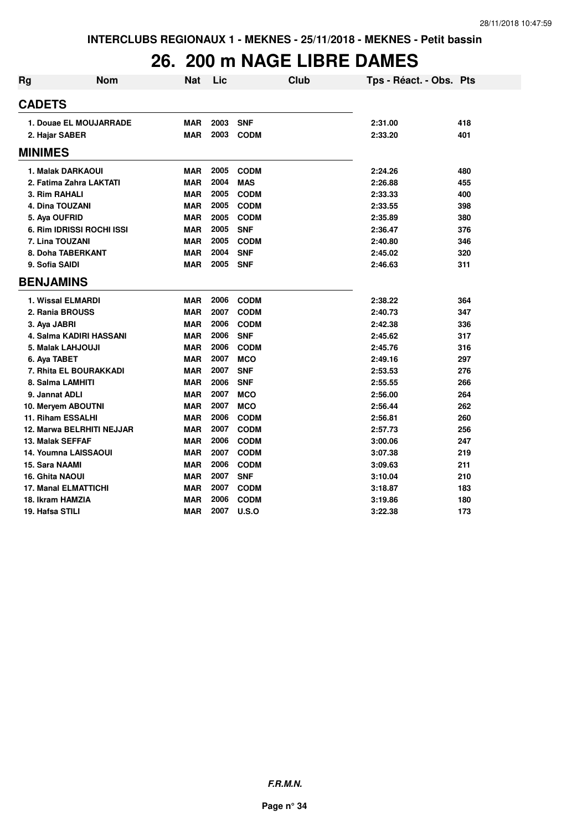## **26. 200 m NAGE LIBRE DAMES**

| <b>Rg</b>              | Nom                         | Nat        | Lic  | Club        | Tps - Réact. - Obs. Pts |     |
|------------------------|-----------------------------|------------|------|-------------|-------------------------|-----|
| <b>CADETS</b>          |                             |            |      |             |                         |     |
|                        | 1. Douae EL MOUJARRADE      | <b>MAR</b> | 2003 | <b>SNF</b>  | 2:31.00                 | 418 |
|                        | 2. Hajar SABER              | <b>MAR</b> | 2003 | <b>CODM</b> | 2:33.20                 | 401 |
| <b>MINIMES</b>         |                             |            |      |             |                         |     |
|                        | 1. Malak DARKAOUI           | <b>MAR</b> | 2005 | <b>CODM</b> | 2:24.26                 | 480 |
|                        | 2. Fatima Zahra LAKTATI     | <b>MAR</b> | 2004 | <b>MAS</b>  | 2:26.88                 | 455 |
|                        | 3. Rim RAHALI               | <b>MAR</b> | 2005 | <b>CODM</b> | 2:33.33                 | 400 |
|                        | 4. Dina TOUZANI             | <b>MAR</b> | 2005 | <b>CODM</b> | 2:33.55                 | 398 |
| 5. Aya OUFRID          |                             | <b>MAR</b> | 2005 | <b>CODM</b> | 2:35.89                 | 380 |
|                        | 6. Rim IDRISSI ROCHI ISSI   | <b>MAR</b> | 2005 | <b>SNF</b>  | 2:36.47                 | 376 |
|                        | 7. Lina TOUZANI             | <b>MAR</b> | 2005 | <b>CODM</b> | 2:40.80                 | 346 |
|                        | 8. Doha TABERKANT           | <b>MAR</b> | 2004 | <b>SNF</b>  | 2:45.02                 | 320 |
| 9. Sofia SAIDI         |                             | <b>MAR</b> | 2005 | <b>SNF</b>  | 2:46.63                 | 311 |
| <b>BENJAMINS</b>       |                             |            |      |             |                         |     |
|                        | 1. Wissal ELMARDI           | <b>MAR</b> | 2006 | <b>CODM</b> | 2:38.22                 | 364 |
|                        | 2. Rania BROUSS             | <b>MAR</b> | 2007 | <b>CODM</b> | 2:40.73                 | 347 |
| 3. Aya JABRI           |                             | <b>MAR</b> | 2006 | <b>CODM</b> | 2:42.38                 | 336 |
|                        | 4. Salma KADIRI HASSANI     | <b>MAR</b> | 2006 | <b>SNF</b>  | 2:45.62                 | 317 |
|                        | 5. Malak LAHJOUJI           | <b>MAR</b> | 2006 | <b>CODM</b> | 2:45.76                 | 316 |
| 6. Aya TABET           |                             | <b>MAR</b> | 2007 | <b>MCO</b>  | 2:49.16                 | 297 |
|                        | 7. Rhita EL BOURAKKADI      | <b>MAR</b> | 2007 | <b>SNF</b>  | 2:53.53                 | 276 |
|                        | 8. Salma LAMHITI            | <b>MAR</b> | 2006 | <b>SNF</b>  | 2:55.55                 | 266 |
|                        | 9. Jannat ADLI              | <b>MAR</b> | 2007 | <b>MCO</b>  | 2:56.00                 | 264 |
|                        | 10. Meryem ABOUTNI          | <b>MAR</b> | 2007 | <b>MCO</b>  | 2:56.44                 | 262 |
|                        | 11. Riham ESSALHI           | <b>MAR</b> | 2006 | <b>CODM</b> | 2:56.81                 | 260 |
|                        | 12. Marwa BELRHITI NEJJAR   | <b>MAR</b> | 2007 | <b>CODM</b> | 2:57.73                 | 256 |
|                        | 13. Malak SEFFAF            | <b>MAR</b> | 2006 | <b>CODM</b> | 3:00.06                 | 247 |
|                        | <b>14. Youmna LAISSAOUI</b> | <b>MAR</b> | 2007 | <b>CODM</b> | 3:07.38                 | 219 |
| 15. Sara NAAMI         |                             | <b>MAR</b> | 2006 | <b>CODM</b> | 3:09.63                 | 211 |
| <b>16. Ghita NAOUI</b> |                             | <b>MAR</b> | 2007 | <b>SNF</b>  | 3:10.04                 | 210 |
|                        | <b>17. Manal ELMATTICHI</b> | <b>MAR</b> | 2007 | <b>CODM</b> | 3:18.87                 | 183 |
|                        | 18. Ikram HAMZIA            | <b>MAR</b> | 2006 | <b>CODM</b> | 3:19.86                 | 180 |
| 19. Hafsa STILI        |                             | <b>MAR</b> | 2007 | U.S.O       | 3:22.38                 | 173 |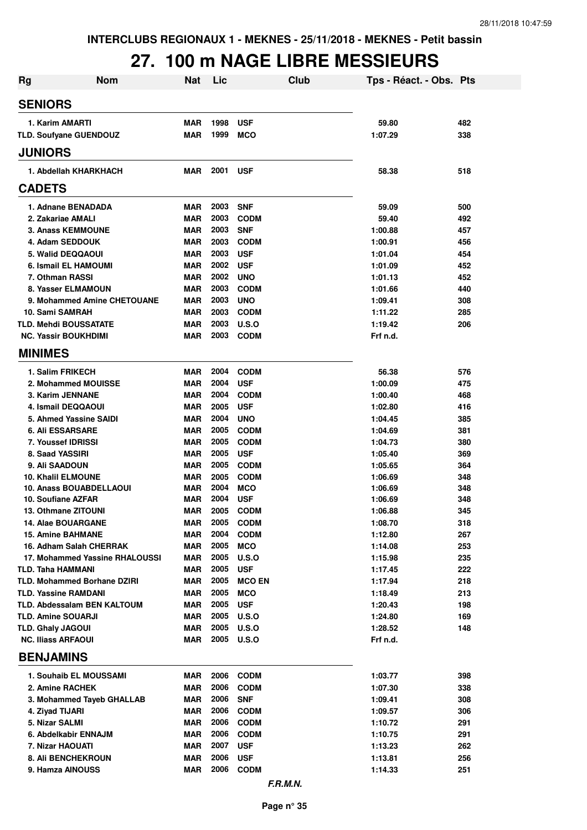## **27. 100 m NAGE LIBRE MESSIEURS**

| <b>Rg</b>                | <b>Nom</b>                                    | <b>Nat</b>               | Lic          |                           | <b>Club</b> | Tps - Réact. - Obs. Pts |            |
|--------------------------|-----------------------------------------------|--------------------------|--------------|---------------------------|-------------|-------------------------|------------|
| <b>SENIORS</b>           |                                               |                          |              |                           |             |                         |            |
|                          | 1. Karim AMARTI                               | <b>MAR</b>               | 1998         | <b>USF</b>                |             | 59.80                   | 482        |
|                          | TLD. Soufyane GUENDOUZ                        | <b>MAR</b>               | 1999         | <b>MCO</b>                |             | 1:07.29                 | 338        |
| <b>JUNIORS</b>           |                                               |                          |              |                           |             |                         |            |
|                          | 1. Abdellah KHARKHACH                         | MAR                      | 2001         | <b>USF</b>                |             | 58.38                   | 518        |
| <b>CADETS</b>            |                                               |                          |              |                           |             |                         |            |
|                          | 1. Adnane BENADADA                            | <b>MAR</b>               | 2003         | <b>SNF</b>                |             | 59.09                   | 500        |
|                          | 2. Zakariae AMALI                             | <b>MAR</b>               | 2003         | <b>CODM</b>               |             | 59.40                   | 492        |
|                          | <b>3. Anass KEMMOUNE</b>                      | <b>MAR</b>               | 2003         | <b>SNF</b>                |             | 1:00.88                 | 457        |
|                          | 4. Adam SEDDOUK                               | MAR                      | 2003<br>2003 | <b>CODM</b>               |             | 1:00.91                 | 456        |
|                          | 5. Walid DEQQAOUI<br>6. Ismail EL HAMOUMI     | <b>MAR</b><br><b>MAR</b> | 2002         | <b>USF</b><br><b>USF</b>  |             | 1:01.04<br>1:01.09      | 454<br>452 |
|                          | 7. Othman RASSI                               | <b>MAR</b>               | 2002         | <b>UNO</b>                |             | 1:01.13                 | 452        |
|                          | 8. Yasser ELMAMOUN                            | <b>MAR</b>               | 2003         | <b>CODM</b>               |             | 1:01.66                 | 440        |
|                          | 9. Mohammed Amine CHETOUANE                   | <b>MAR</b>               | 2003         | <b>UNO</b>                |             | 1:09.41                 | 308        |
|                          | 10. Sami SAMRAH                               | <b>MAR</b>               | 2003         | <b>CODM</b>               |             | 1:11.22                 | 285        |
|                          | <b>TLD. Mehdi BOUSSATATE</b>                  | <b>MAR</b>               | 2003         | U.S.O                     |             | 1:19.42                 | 206        |
|                          | <b>NC. Yassir BOUKHDIMI</b>                   | <b>MAR</b>               | 2003         | <b>CODM</b>               |             | Frf n.d.                |            |
| <b>MINIMES</b>           |                                               |                          |              |                           |             |                         |            |
|                          | 1. Salim FRIKECH                              | MAR                      | 2004         | <b>CODM</b>               |             | 56.38                   | 576        |
|                          | 2. Mohammed MOUISSE                           | <b>MAR</b>               | 2004         | <b>USF</b>                |             | 1:00.09                 | 475        |
|                          | 3. Karim JENNANE                              | <b>MAR</b>               | 2004         | <b>CODM</b>               |             | 1:00.40                 | 468        |
|                          | 4. Ismail DEQQAOUI                            | <b>MAR</b>               | 2005         | <b>USF</b>                |             | 1:02.80                 | 416        |
|                          | 5. Ahmed Yassine SAIDI                        | <b>MAR</b>               | 2004         | <b>UNO</b>                |             | 1:04.45                 | 385        |
|                          | <b>6. Ali ESSARSARE</b>                       | <b>MAR</b>               | 2005         | <b>CODM</b>               |             | 1:04.69                 | 381        |
|                          | 7. Youssef IDRISSI                            | <b>MAR</b>               | 2005         | <b>CODM</b>               |             | 1:04.73                 | 380        |
|                          | 8. Saad YASSIRI                               | <b>MAR</b>               | 2005         | <b>USF</b>                |             | 1:05.40                 | 369        |
|                          | 9. Ali SAADOUN                                | <b>MAR</b>               | 2005         | <b>CODM</b>               |             | 1:05.65                 | 364        |
|                          | <b>10. Khalil ELMOUNE</b>                     | <b>MAR</b>               | 2005         | <b>CODM</b>               |             | 1:06.69                 | 348        |
|                          | 10. Anass BOUABDELLAOUI<br>10. Soufiane AZFAR | <b>MAR</b>               | 2004<br>2004 | <b>MCO</b>                |             | 1:06.69                 | 348<br>348 |
|                          | <b>13. Othmane ZITOUNI</b>                    | MAR<br><b>MAR</b>        | 2005         | <b>USF</b><br><b>CODM</b> |             | 1:06.69<br>1:06.88      | 345        |
|                          | <b>14. Alae BOUARGANE</b>                     | MAR                      | 2005         | <b>CODM</b>               |             | 1:08.70                 | 318        |
|                          | <b>15. Amine BAHMANE</b>                      | <b>MAR</b>               | 2004         | <b>CODM</b>               |             | 1:12.80                 | 267        |
|                          | 16. Adham Salah CHERRAK                       | <b>MAR</b>               | 2005         | <b>MCO</b>                |             | 1:14.08                 | 253        |
|                          | 17. Mohammed Yassine RHALOUSSI                | <b>MAR</b>               | 2005         | <b>U.S.O</b>              |             | 1:15.98                 | 235        |
|                          | <b>TLD. Taha HAMMANI</b>                      | <b>MAR</b>               | 2005         | <b>USF</b>                |             | 1:17.45                 | 222        |
|                          | <b>TLD. Mohammed Borhane DZIRI</b>            | <b>MAR</b>               | 2005         | <b>MCO EN</b>             |             | 1:17.94                 | 218        |
|                          | <b>TLD. Yassine RAMDANI</b>                   | <b>MAR</b>               | 2005         | <b>MCO</b>                |             | 1:18.49                 | 213        |
|                          | <b>TLD. Abdessalam BEN KALTOUM</b>            | <b>MAR</b>               | 2005         | <b>USF</b>                |             | 1:20.43                 | 198        |
|                          | <b>TLD. Amine SOUARJI</b>                     | MAR                      | 2005         | U.S.O                     |             | 1:24.80                 | 169        |
| <b>TLD. Ghaly JAGOUI</b> |                                               | <b>MAR</b>               | 2005         | <b>U.S.O</b>              |             | 1:28.52                 | 148        |
|                          | <b>NC. Iliass ARFAOUI</b>                     | MAR                      |              | 2005 U.S.O                |             | Frf n.d.                |            |
| <b>BENJAMINS</b>         |                                               |                          |              |                           |             |                         |            |
|                          | 1. Souhaib EL MOUSSAMI                        | MAR                      | 2006         | <b>CODM</b>               |             | 1:03.77                 | 398        |
|                          | 2. Amine RACHEK                               | <b>MAR</b>               | 2006         | <b>CODM</b>               |             | 1:07.30                 | 338        |
|                          | 3. Mohammed Tayeb GHALLAB                     | MAR                      | 2006         | <b>SNF</b>                |             | 1:09.41                 | 308        |
|                          | 4. Ziyad TIJARI                               | <b>MAR</b>               | 2006         | <b>CODM</b>               |             | 1:09.57                 | 306        |
|                          | 5. Nizar SALMI                                | <b>MAR</b>               | 2006         | <b>CODM</b>               |             | 1:10.72                 | 291        |
|                          | 6. Abdelkabir ENNAJM                          | MAR                      | 2006         | <b>CODM</b>               |             | 1:10.75                 | 291        |
|                          | 7. Nizar HAOUATI                              | <b>MAR</b>               | 2007<br>2006 | <b>USF</b>                |             | 1:13.23                 | 262        |
|                          | <b>8. Ali BENCHEKROUN</b><br>9. Hamza AINOUSS | <b>MAR</b><br>MAR        | 2006         | <b>USF</b><br><b>CODM</b> |             | 1:13.81<br>1:14.33      | 256<br>251 |
|                          |                                               |                          |              | F.R.M.N.                  |             |                         |            |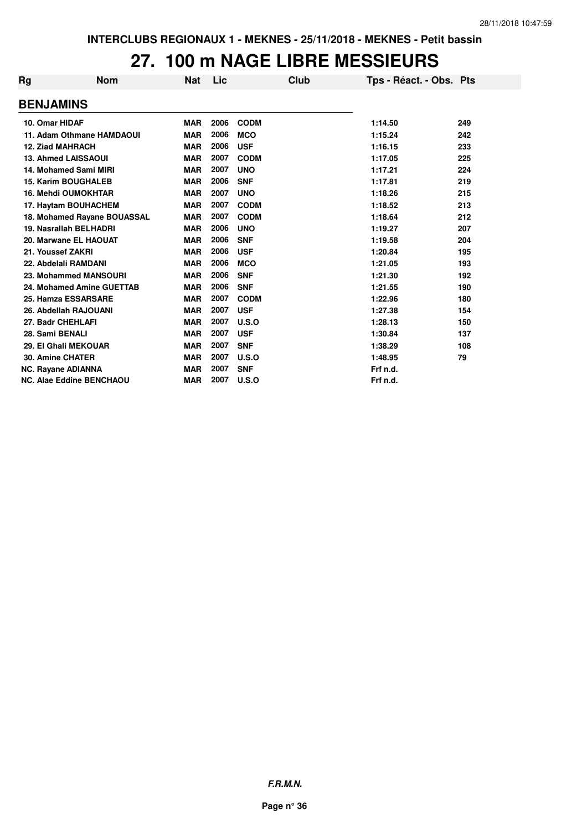### **27. 100 m NAGE LIBRE MESSIEURS**

| Rg                      | <b>Nom</b>                      | <b>Nat</b> | Lic  | Club        | Tps - Réact. - Obs. Pts |     |
|-------------------------|---------------------------------|------------|------|-------------|-------------------------|-----|
| <b>BENJAMINS</b>        |                                 |            |      |             |                         |     |
| 10. Omar HIDAF          |                                 | <b>MAR</b> | 2006 | <b>CODM</b> | 1:14.50                 | 249 |
|                         | 11. Adam Othmane HAMDAOUI       | <b>MAR</b> | 2006 | <b>MCO</b>  | 1:15.24                 | 242 |
| <b>12. Ziad MAHRACH</b> |                                 | <b>MAR</b> | 2006 | <b>USF</b>  | 1:16.15                 | 233 |
|                         | <b>13. Ahmed LAISSAOUI</b>      | <b>MAR</b> | 2007 | <b>CODM</b> | 1:17.05                 | 225 |
|                         | 14. Mohamed Sami MIRI           | <b>MAR</b> | 2007 | <b>UNO</b>  | 1:17.21                 | 224 |
|                         | <b>15. Karim BOUGHALEB</b>      | <b>MAR</b> | 2006 | <b>SNF</b>  | 1:17.81                 | 219 |
|                         | <b>16. Mehdi OUMOKHTAR</b>      | <b>MAR</b> | 2007 | <b>UNO</b>  | 1:18.26                 | 215 |
|                         | 17. Haytam BOUHACHEM            | <b>MAR</b> | 2007 | <b>CODM</b> | 1:18.52                 | 213 |
|                         | 18. Mohamed Rayane BOUASSAL     | <b>MAR</b> | 2007 | <b>CODM</b> | 1:18.64                 | 212 |
|                         | 19. Nasrallah BELHADRI          | <b>MAR</b> | 2006 | <b>UNO</b>  | 1:19.27                 | 207 |
|                         | 20. Marwane EL HAOUAT           | <b>MAR</b> | 2006 | <b>SNF</b>  | 1:19.58                 | 204 |
| 21. Youssef ZAKRI       |                                 | <b>MAR</b> | 2006 | <b>USF</b>  | 1:20.84                 | 195 |
|                         | 22. Abdelali RAMDANI            | <b>MAR</b> | 2006 | <b>MCO</b>  | 1:21.05                 | 193 |
|                         | 23. Mohammed MANSOURI           | <b>MAR</b> | 2006 | <b>SNF</b>  | 1:21.30                 | 192 |
|                         | 24. Mohamed Amine GUETTAB       | <b>MAR</b> | 2006 | <b>SNF</b>  | 1:21.55                 | 190 |
|                         | 25. Hamza ESSARSARE             | <b>MAR</b> | 2007 | <b>CODM</b> | 1:22.96                 | 180 |
|                         | 26. Abdellah RAJOUANI           | <b>MAR</b> | 2007 | <b>USF</b>  | 1:27.38                 | 154 |
| 27. Badr CHEHLAFI       |                                 | <b>MAR</b> | 2007 | U.S.O       | 1:28.13                 | 150 |
| 28. Sami BENALI         |                                 | <b>MAR</b> | 2007 | <b>USF</b>  | 1:30.84                 | 137 |
|                         | 29. El Ghali MEKOUAR            | <b>MAR</b> | 2007 | <b>SNF</b>  | 1:38.29                 | 108 |
| 30. Amine CHATER        |                                 | <b>MAR</b> | 2007 | U.S.O       | 1:48.95                 | 79  |
|                         | NC. Rayane ADIANNA              | <b>MAR</b> | 2007 | <b>SNF</b>  | Frf n.d.                |     |
|                         | <b>NC. Alae Eddine BENCHAOU</b> | <b>MAR</b> | 2007 | U.S.O       | Frf n.d.                |     |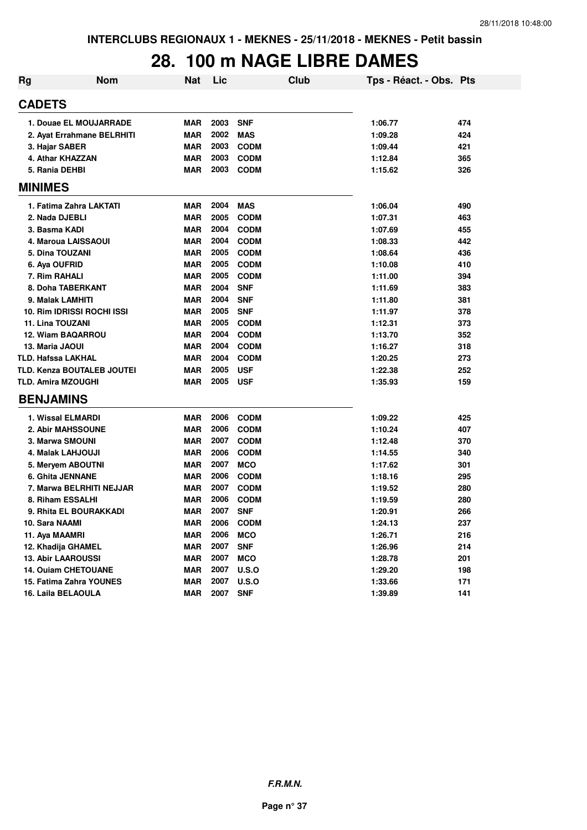### **28. 100 m NAGE LIBRE DAMES**

| Rg | <b>Nom</b>                 | Nat        | Lic  | Club         | Tps - Réact. - Obs. Pts |     |
|----|----------------------------|------------|------|--------------|-------------------------|-----|
|    | <b>CADETS</b>              |            |      |              |                         |     |
|    | 1. Douae EL MOUJARRADE     | <b>MAR</b> | 2003 | <b>SNF</b>   | 1:06.77                 | 474 |
|    | 2. Ayat Errahmane BELRHITI | <b>MAR</b> | 2002 | <b>MAS</b>   | 1:09.28                 | 424 |
|    | 3. Hajar SABER             | <b>MAR</b> | 2003 | <b>CODM</b>  | 1:09.44                 | 421 |
|    | 4. Athar KHAZZAN           | <b>MAR</b> | 2003 | <b>CODM</b>  | 1:12.84                 | 365 |
|    | 5. Rania DEHBI             | <b>MAR</b> | 2003 | <b>CODM</b>  | 1:15.62                 | 326 |
|    | <b>MINIMES</b>             |            |      |              |                         |     |
|    | 1. Fatima Zahra LAKTATI    | <b>MAR</b> | 2004 | <b>MAS</b>   | 1:06.04                 | 490 |
|    | 2. Nada DJEBLI             | <b>MAR</b> | 2005 | <b>CODM</b>  | 1:07.31                 | 463 |
|    | 3. Basma KADI              | <b>MAR</b> | 2004 | <b>CODM</b>  | 1:07.69                 | 455 |
|    | 4. Maroua LAISSAOUI        | <b>MAR</b> | 2004 | <b>CODM</b>  | 1:08.33                 | 442 |
|    | 5. Dina TOUZANI            | <b>MAR</b> | 2005 | <b>CODM</b>  | 1:08.64                 | 436 |
|    | 6. Aya OUFRID              | <b>MAR</b> | 2005 | <b>CODM</b>  | 1:10.08                 | 410 |
|    | 7. Rim RAHALI              | <b>MAR</b> | 2005 | <b>CODM</b>  | 1:11.00                 | 394 |
|    | 8. Doha TABERKANT          | <b>MAR</b> | 2004 | <b>SNF</b>   | 1:11.69                 | 383 |
|    | 9. Malak LAMHITI           | <b>MAR</b> | 2004 | <b>SNF</b>   | 1:11.80                 | 381 |
|    | 10. Rim IDRISSI ROCHI ISSI | <b>MAR</b> | 2005 | <b>SNF</b>   | 1:11.97                 | 378 |
|    | 11. Lina TOUZANI           | <b>MAR</b> | 2005 | <b>CODM</b>  | 1:12.31                 | 373 |
|    | <b>12. Wiam BAQARROU</b>   | <b>MAR</b> | 2004 | <b>CODM</b>  | 1:13.70                 | 352 |
|    | 13. Maria JAOUI            | <b>MAR</b> | 2004 | <b>CODM</b>  | 1:16.27                 | 318 |
|    | <b>TLD. Hafssa LAKHAL</b>  | <b>MAR</b> | 2004 | <b>CODM</b>  | 1:20.25                 | 273 |
|    | TLD. Kenza BOUTALEB JOUTEI | <b>MAR</b> | 2005 | <b>USF</b>   | 1:22.38                 | 252 |
|    | <b>TLD. Amira MZOUGHI</b>  | <b>MAR</b> | 2005 | <b>USF</b>   | 1:35.93                 | 159 |
|    | <b>BENJAMINS</b>           |            |      |              |                         |     |
|    | 1. Wissal ELMARDI          | <b>MAR</b> | 2006 | <b>CODM</b>  | 1:09.22                 | 425 |
|    | 2. Abir MAHSSOUNE          | <b>MAR</b> | 2006 | <b>CODM</b>  | 1:10.24                 | 407 |
|    | 3. Marwa SMOUNI            | <b>MAR</b> | 2007 | <b>CODM</b>  | 1:12.48                 | 370 |
|    | 4. Malak LAHJOUJI          | <b>MAR</b> | 2006 | <b>CODM</b>  | 1:14.55                 | 340 |
|    | 5. Mervem ABOUTNI          | <b>MAR</b> | 2007 | <b>MCO</b>   | 1:17.62                 | 301 |
|    | <b>6. Ghita JENNANE</b>    | <b>MAR</b> | 2006 | <b>CODM</b>  | 1:18.16                 | 295 |
|    | 7. Marwa BELRHITI NEJJAR   | <b>MAR</b> | 2007 | <b>CODM</b>  | 1:19.52                 | 280 |
|    | 8. Riham ESSALHI           | <b>MAR</b> | 2006 | <b>CODM</b>  | 1:19.59                 | 280 |
|    | 9. Rhita EL BOURAKKADI     | <b>MAR</b> | 2007 | <b>SNF</b>   | 1:20.91                 | 266 |
|    | 10. Sara NAAMI             | <b>MAR</b> | 2006 | <b>CODM</b>  | 1:24.13                 | 237 |
|    | 11. Aya MAAMRI             | <b>MAR</b> | 2006 | <b>MCO</b>   | 1:26.71                 | 216 |
|    | 12. Khadija GHAMEL         | <b>MAR</b> | 2007 | <b>SNF</b>   | 1:26.96                 | 214 |
|    | <b>13. Abir LAAROUSSI</b>  | <b>MAR</b> | 2007 | <b>MCO</b>   | 1:28.78                 | 201 |
|    | 14. Ouiam CHETOUANE        | <b>MAR</b> | 2007 | <b>U.S.O</b> | 1:29.20                 | 198 |
|    | 15. Fatima Zahra YOUNES    | <b>MAR</b> | 2007 | <b>U.S.O</b> | 1:33.66                 | 171 |
|    | 16. Laila BELAOULA         | <b>MAR</b> | 2007 | <b>SNF</b>   | 1:39.89                 | 141 |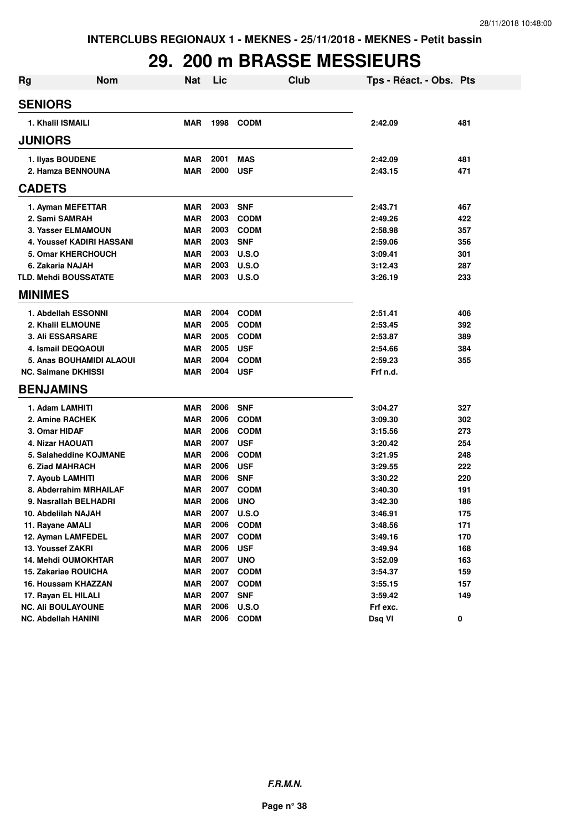## **29. 200 m BRASSE MESSIEURS**

| <b>Rg</b> | <b>Nom</b>                   | <b>Nat</b> | Lic  | Club        | Tps - Réact. - Obs. Pts |     |
|-----------|------------------------------|------------|------|-------------|-------------------------|-----|
|           | <b>SENIORS</b>               |            |      |             |                         |     |
|           | 1. Khalil ISMAILI            | <b>MAR</b> | 1998 | <b>CODM</b> | 2:42.09                 | 481 |
|           | <b>JUNIORS</b>               |            |      |             |                         |     |
|           | 1. Ilyas BOUDENE             | <b>MAR</b> | 2001 | <b>MAS</b>  | 2:42.09                 | 481 |
|           | 2. Hamza BENNOUNA            | <b>MAR</b> | 2000 | <b>USF</b>  | 2:43.15                 | 471 |
|           | <b>CADETS</b>                |            |      |             |                         |     |
|           | 1. Ayman MEFETTAR            | <b>MAR</b> | 2003 | <b>SNF</b>  | 2:43.71                 | 467 |
|           | 2. Sami SAMRAH               | <b>MAR</b> | 2003 | <b>CODM</b> | 2:49.26                 | 422 |
|           | 3. Yasser ELMAMOUN           | <b>MAR</b> | 2003 | <b>CODM</b> | 2:58.98                 | 357 |
|           | 4. Youssef KADIRI HASSANI    | <b>MAR</b> | 2003 | <b>SNF</b>  | 2:59.06                 | 356 |
|           | <b>5. Omar KHERCHOUCH</b>    | <b>MAR</b> | 2003 | U.S.O       | 3:09.41                 | 301 |
|           | 6. Zakaria NAJAH             | <b>MAR</b> | 2003 | U.S.O       | 3:12.43                 | 287 |
|           | <b>TLD. Mehdi BOUSSATATE</b> | <b>MAR</b> | 2003 | U.S.O       | 3:26.19                 | 233 |
|           | <b>MINIMES</b>               |            |      |             |                         |     |
|           | 1. Abdellah ESSONNI          | <b>MAR</b> | 2004 | <b>CODM</b> | 2:51.41                 | 406 |
|           | 2. Khalil ELMOUNE            | <b>MAR</b> | 2005 | <b>CODM</b> | 2:53.45                 | 392 |
|           | <b>3. Ali ESSARSARE</b>      | <b>MAR</b> | 2005 | <b>CODM</b> | 2:53.87                 | 389 |
|           | 4. Ismail DEQQAOUI           | <b>MAR</b> | 2005 | <b>USF</b>  | 2:54.66                 | 384 |
|           | 5. Anas BOUHAMIDI ALAOUI     | <b>MAR</b> | 2004 | <b>CODM</b> | 2:59.23                 | 355 |
|           | <b>NC. Salmane DKHISSI</b>   | <b>MAR</b> | 2004 | <b>USF</b>  | Frf n.d.                |     |
|           | <b>BENJAMINS</b>             |            |      |             |                         |     |
|           | 1. Adam LAMHITI              | <b>MAR</b> | 2006 | <b>SNF</b>  | 3:04.27                 | 327 |
|           | 2. Amine RACHEK              | <b>MAR</b> | 2006 | <b>CODM</b> | 3:09.30                 | 302 |
|           | 3. Omar HIDAF                | <b>MAR</b> | 2006 | <b>CODM</b> | 3:15.56                 | 273 |
|           | 4. Nizar HAOUATI             | <b>MAR</b> | 2007 | <b>USF</b>  | 3:20.42                 | 254 |
|           | 5. Salaheddine KOJMANE       | <b>MAR</b> | 2006 | <b>CODM</b> | 3:21.95                 | 248 |
|           | 6. Ziad MAHRACH              | <b>MAR</b> | 2006 | <b>USF</b>  | 3:29.55                 | 222 |
|           | 7. Ayoub LAMHITI             | <b>MAR</b> | 2006 | <b>SNF</b>  | 3:30.22                 | 220 |
|           | 8. Abderrahim MRHAILAF       | <b>MAR</b> | 2007 | <b>CODM</b> | 3:40.30                 | 191 |
|           | 9. Nasrallah BELHADRI        | <b>MAR</b> | 2006 | <b>UNO</b>  | 3:42.30                 | 186 |
|           | 10. Abdelilah NAJAH          | <b>MAR</b> | 2007 | U.S.O       | 3:46.91                 | 175 |
|           | 11. Rayane AMALI             | MAR        | 2006 | <b>CODM</b> | 3:48.56                 | 171 |
|           | 12. Ayman LAMFEDEL           | <b>MAR</b> | 2007 | <b>CODM</b> | 3:49.16                 | 170 |
|           | 13. Youssef ZAKRI            | <b>MAR</b> | 2006 | <b>USF</b>  | 3:49.94                 | 168 |
|           | 14. Mehdi OUMOKHTAR          | <b>MAR</b> | 2007 | <b>UNO</b>  | 3:52.09                 | 163 |
|           | 15. Zakariae ROUICHA         | <b>MAR</b> | 2007 | <b>CODM</b> | 3:54.37                 | 159 |
|           | 16. Houssam KHAZZAN          | <b>MAR</b> | 2007 | <b>CODM</b> | 3:55.15                 | 157 |
|           | 17. Rayan EL HILALI          | <b>MAR</b> | 2007 | <b>SNF</b>  | 3:59.42                 | 149 |
|           | <b>NC. Ali BOULAYOUNE</b>    | <b>MAR</b> | 2006 | U.S.O       | Frf exc.                |     |
|           | <b>NC. Abdellah HANINI</b>   | <b>MAR</b> | 2006 | <b>CODM</b> | Dsq VI                  | 0   |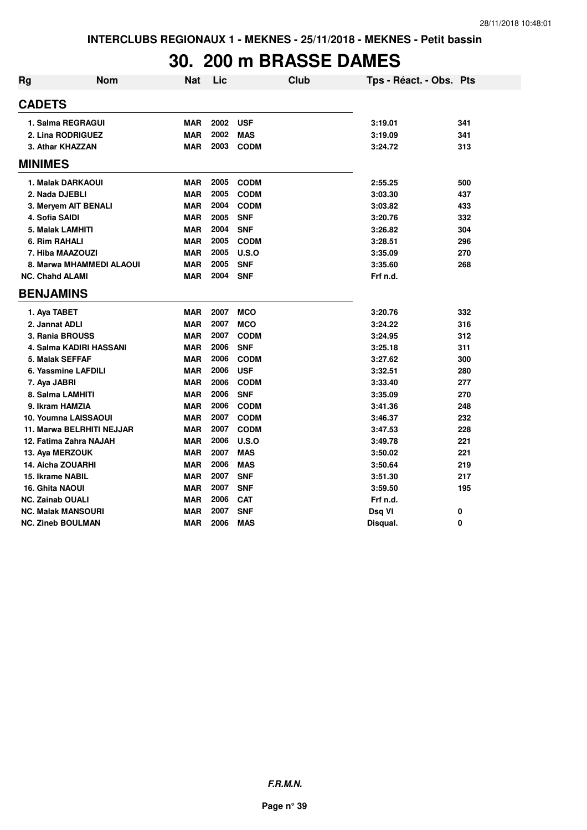# **30. 200 m BRASSE DAMES**

| Rg                       | <b>Nom</b>                | <b>Nat</b> | Lic  | <b>Club</b> | Tps - Réact. - Obs. Pts |     |
|--------------------------|---------------------------|------------|------|-------------|-------------------------|-----|
| <b>CADETS</b>            |                           |            |      |             |                         |     |
|                          | 1. Salma REGRAGUI         | <b>MAR</b> | 2002 | <b>USF</b>  | 3:19.01                 | 341 |
|                          | 2. Lina RODRIGUEZ         | <b>MAR</b> | 2002 | <b>MAS</b>  | 3:19.09                 | 341 |
|                          | 3. Athar KHAZZAN          | <b>MAR</b> | 2003 | <b>CODM</b> | 3:24.72                 | 313 |
| <b>MINIMES</b>           |                           |            |      |             |                         |     |
|                          | 1. Malak DARKAOUI         | <b>MAR</b> | 2005 | <b>CODM</b> | 2:55.25                 | 500 |
| 2. Nada DJEBLI           |                           | <b>MAR</b> | 2005 | <b>CODM</b> | 3:03.30                 | 437 |
|                          | 3. Meryem AIT BENALI      | <b>MAR</b> | 2004 | <b>CODM</b> | 3:03.82                 | 433 |
| 4. Sofia SAIDI           |                           | <b>MAR</b> | 2005 | <b>SNF</b>  | 3:20.76                 | 332 |
| 5. Malak LAMHITI         |                           | <b>MAR</b> | 2004 | <b>SNF</b>  | 3:26.82                 | 304 |
| 6. Rim RAHALI            |                           | <b>MAR</b> | 2005 | <b>CODM</b> | 3:28.51                 | 296 |
|                          | 7. Hiba MAAZOUZI          | <b>MAR</b> | 2005 | U.S.O       | 3:35.09                 | 270 |
|                          | 8. Marwa MHAMMEDI ALAOUI  | <b>MAR</b> | 2005 | <b>SNF</b>  | 3:35.60                 | 268 |
| <b>NC. Chahd ALAMI</b>   |                           | <b>MAR</b> | 2004 | <b>SNF</b>  | Frf n.d.                |     |
| <b>BENJAMINS</b>         |                           |            |      |             |                         |     |
| 1. Aya TABET             |                           | <b>MAR</b> | 2007 | <b>MCO</b>  | 3:20.76                 | 332 |
| 2. Jannat ADLI           |                           | <b>MAR</b> | 2007 | <b>MCO</b>  | 3:24.22                 | 316 |
| 3. Rania BROUSS          |                           | <b>MAR</b> | 2007 | <b>CODM</b> | 3:24.95                 | 312 |
|                          | 4. Salma KADIRI HASSANI   | <b>MAR</b> | 2006 | <b>SNF</b>  | 3:25.18                 | 311 |
| 5. Malak SEFFAF          |                           | <b>MAR</b> | 2006 | <b>CODM</b> | 3:27.62                 | 300 |
|                          | 6. Yassmine LAFDILI       | <b>MAR</b> | 2006 | <b>USF</b>  | 3:32.51                 | 280 |
| 7. Aya JABRI             |                           | <b>MAR</b> | 2006 | <b>CODM</b> | 3:33.40                 | 277 |
| 8. Salma LAMHITI         |                           | <b>MAR</b> | 2006 | <b>SNF</b>  | 3:35.09                 | 270 |
| 9. Ikram HAMZIA          |                           | <b>MAR</b> | 2006 | <b>CODM</b> | 3:41.36                 | 248 |
|                          | 10. Youmna LAISSAOUI      | <b>MAR</b> | 2007 | <b>CODM</b> | 3:46.37                 | 232 |
|                          | 11. Marwa BELRHITI NEJJAR | <b>MAR</b> | 2007 | <b>CODM</b> | 3:47.53                 | 228 |
|                          | 12. Fatima Zahra NAJAH    | <b>MAR</b> | 2006 | U.S.O       | 3:49.78                 | 221 |
| 13. Aya MERZOUK          |                           | <b>MAR</b> | 2007 | <b>MAS</b>  | 3:50.02                 | 221 |
| <b>14. Aicha ZOUARHI</b> |                           | <b>MAR</b> | 2006 | <b>MAS</b>  | 3:50.64                 | 219 |
| 15. Ikrame NABIL         |                           | <b>MAR</b> | 2007 | <b>SNF</b>  | 3:51.30                 | 217 |
| 16. Ghita NAOUI          |                           | <b>MAR</b> | 2007 | <b>SNF</b>  | 3:59.50                 | 195 |
| <b>NC. Zainab OUALI</b>  |                           | <b>MAR</b> | 2006 | <b>CAT</b>  | Frf n.d.                |     |
|                          | <b>NC. Malak MANSOURI</b> | <b>MAR</b> | 2007 | <b>SNF</b>  | Dsq VI                  | 0   |
| <b>NC. Zineb BOULMAN</b> |                           | <b>MAR</b> | 2006 | <b>MAS</b>  | Disqual.                | 0   |

**F.R.M.N.**

**Page n° 39**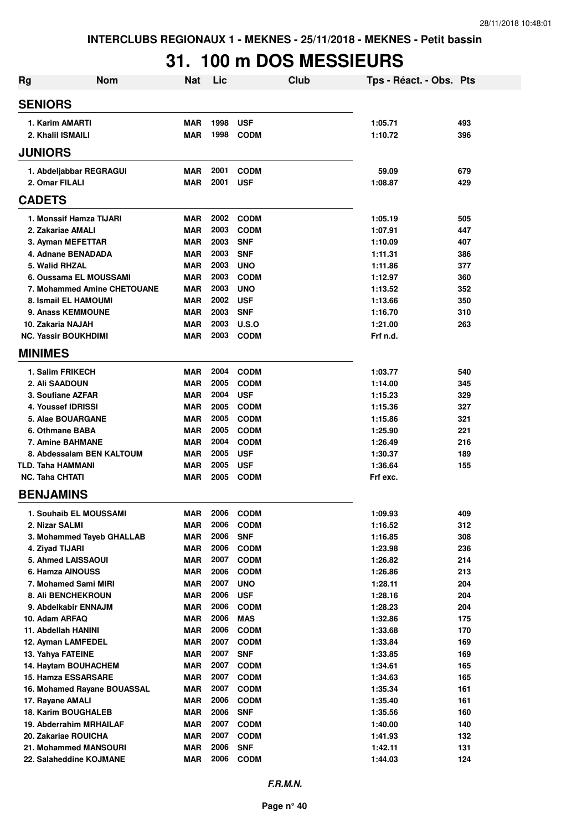# **31. 100 m DOS MESSIEURS**

| Rg                                      | <b>Nom</b>                  | <b>Nat</b>               | Lic          |                           | Club | Tps - Réact. - Obs. Pts |            |
|-----------------------------------------|-----------------------------|--------------------------|--------------|---------------------------|------|-------------------------|------------|
| <b>SENIORS</b>                          |                             |                          |              |                           |      |                         |            |
| 1. Karim AMARTI                         |                             | <b>MAR</b>               | 1998         | <b>USF</b>                |      | 1:05.71                 | 493        |
| 2. Khalil ISMAILI                       |                             | <b>MAR</b>               | 1998         | <b>CODM</b>               |      | 1:10.72                 | 396        |
| <b>JUNIORS</b>                          |                             |                          |              |                           |      |                         |            |
| 1. Abdeljabbar REGRAGUI                 |                             | <b>MAR</b>               | 2001         | <b>CODM</b>               |      | 59.09                   | 679        |
| 2. Omar FILALI                          |                             | <b>MAR</b>               | 2001         | <b>USF</b>                |      | 1:08.87                 | 429        |
| <b>CADETS</b>                           |                             |                          |              |                           |      |                         |            |
| 1. Monssif Hamza TIJARI                 |                             | <b>MAR</b>               | 2002         | <b>CODM</b>               |      | 1:05.19                 | 505        |
| 2. Zakariae AMALI                       |                             | <b>MAR</b>               | 2003         | <b>CODM</b>               |      | 1:07.91                 | 447        |
| 3. Ayman MEFETTAR                       |                             | <b>MAR</b>               | 2003         | <b>SNF</b>                |      | 1:10.09                 | 407        |
| 4. Adnane BENADADA                      |                             | <b>MAR</b>               | 2003         | <b>SNF</b>                |      | 1:11.31                 | 386        |
| 5. Walid RHZAL                          |                             | <b>MAR</b>               | 2003         | <b>UNO</b>                |      | 1:11.86                 | 377        |
| 6. Oussama EL MOUSSAMI                  |                             | <b>MAR</b>               | 2003         | <b>CODM</b>               |      | 1:12.97                 | 360        |
|                                         | 7. Mohammed Amine CHETOUANE | <b>MAR</b>               | 2003         | <b>UNO</b>                |      | 1:13.52                 | 352        |
| 8. Ismail EL HAMOUMI                    |                             | <b>MAR</b>               | 2002         | <b>USF</b>                |      | 1:13.66                 | 350        |
| 9. Anass KEMMOUNE                       |                             | MAR                      | 2003         | <b>SNF</b>                |      | 1:16.70                 | 310        |
| 10. Zakaria NAJAH                       |                             | <b>MAR</b>               | 2003         | U.S.O                     |      | 1:21.00                 | 263        |
| <b>NC. Yassir BOUKHDIMI</b>             |                             | MAR                      | 2003         | <b>CODM</b>               |      | Frf n.d.                |            |
| <b>MINIMES</b>                          |                             |                          |              |                           |      |                         |            |
| 1. Salim FRIKECH                        |                             | <b>MAR</b>               | 2004         | <b>CODM</b>               |      | 1:03.77                 | 540        |
| 2. Ali SAADOUN                          |                             | <b>MAR</b>               | 2005         | <b>CODM</b>               |      | 1:14.00                 | 345        |
| 3. Soufiane AZFAR                       |                             | <b>MAR</b>               | 2004         | <b>USF</b>                |      | 1:15.23                 | 329        |
| 4. Youssef IDRISSI                      |                             | <b>MAR</b>               | 2005         | <b>CODM</b>               |      | 1:15.36                 | 327        |
| 5. Alae BOUARGANE                       |                             | <b>MAR</b>               | 2005         | <b>CODM</b>               |      | 1:15.86                 | 321        |
| 6. Othmane BABA                         |                             | <b>MAR</b>               | 2005         | <b>CODM</b>               |      | 1:25.90                 | 221        |
| 7. Amine BAHMANE                        |                             | <b>MAR</b>               | 2004         | <b>CODM</b>               |      | 1:26.49                 | 216        |
|                                         | 8. Abdessalam BEN KALTOUM   | <b>MAR</b>               | 2005         | <b>USF</b>                |      | 1:30.37                 | 189        |
| <b>TLD. Taha HAMMANI</b>                |                             | <b>MAR</b>               | 2005         | <b>USF</b>                |      | 1:36.64                 | 155        |
| <b>NC. Taha CHTATI</b>                  |                             | MAR                      | 2005         | <b>CODM</b>               |      | Frf exc.                |            |
| <b>BENJAMINS</b>                        |                             |                          |              |                           |      |                         |            |
| 1. Souhaib EL MOUSSAMI                  |                             | MAR                      | 2006         | <b>CODM</b>               |      | 1:09.93                 | 409        |
| 2. Nizar SALMI                          |                             | <b>MAR</b>               | 2006         | <b>CODM</b>               |      | 1:16.52                 | 312        |
|                                         | 3. Mohammed Tayeb GHALLAB   | <b>MAR</b>               | 2006         | <b>SNF</b>                |      | 1:16.85                 | 308        |
| 4. Ziyad TIJARI                         |                             | <b>MAR</b>               | 2006         | <b>CODM</b>               |      | 1:23.98                 | 236        |
| 5. Ahmed LAISSAOUI                      |                             | <b>MAR</b>               | 2007         | <b>CODM</b>               |      | 1:26.82                 | 214        |
| 6. Hamza AINOUSS                        |                             | <b>MAR</b>               | 2006         | <b>CODM</b>               |      | 1:26.86                 | 213        |
| 7. Mohamed Sami MIRI                    |                             | <b>MAR</b>               | 2007         | <b>UNO</b>                |      | 1:28.11                 | 204        |
| <b>8. Ali BENCHEKROUN</b>               |                             | <b>MAR</b>               | 2006         | <b>USF</b>                |      | 1:28.16                 | 204        |
| 9. Abdelkabir ENNAJM                    |                             | <b>MAR</b>               | 2006         | <b>CODM</b>               |      | 1:28.23                 | 204        |
| 10. Adam ARFAQ                          |                             | <b>MAR</b>               | 2006         | <b>MAS</b>                |      | 1:32.86                 | 175        |
| 11. Abdellah HANINI                     |                             | <b>MAR</b>               | 2006         | <b>CODM</b>               |      | 1:33.68                 | 170        |
| 12. Ayman LAMFEDEL<br>13. Yahya FATEINE |                             | <b>MAR</b><br><b>MAR</b> | 2007<br>2007 | <b>CODM</b><br><b>SNF</b> |      | 1:33.84<br>1:33.85      | 169<br>169 |
| 14. Haytam BOUHACHEM                    |                             | <b>MAR</b>               | 2007         | <b>CODM</b>               |      | 1:34.61                 | 165        |
| 15. Hamza ESSARSARE                     |                             | <b>MAR</b>               | 2007         | <b>CODM</b>               |      | 1:34.63                 | 165        |
|                                         | 16. Mohamed Rayane BOUASSAL | <b>MAR</b>               | 2007         | <b>CODM</b>               |      | 1:35.34                 | 161        |
| 17. Rayane AMALI                        |                             | <b>MAR</b>               | 2006         | <b>CODM</b>               |      | 1:35.40                 | 161        |
| <b>18. Karim BOUGHALEB</b>              |                             | <b>MAR</b>               | 2006         | <b>SNF</b>                |      | 1:35.56                 | 160        |
| 19. Abderrahim MRHAILAF                 |                             | <b>MAR</b>               | 2007         | <b>CODM</b>               |      | 1:40.00                 | 140        |
| 20. Zakariae ROUICHA                    |                             | <b>MAR</b>               | 2007         | <b>CODM</b>               |      | 1:41.93                 | 132        |
| 21. Mohammed MANSOURI                   |                             | <b>MAR</b>               | 2006         | <b>SNF</b>                |      | 1:42.11                 | 131        |
| 22. Salaheddine KOJMANE                 |                             | <b>MAR</b>               | 2006         | <b>CODM</b>               |      | 1:44.03                 | 124        |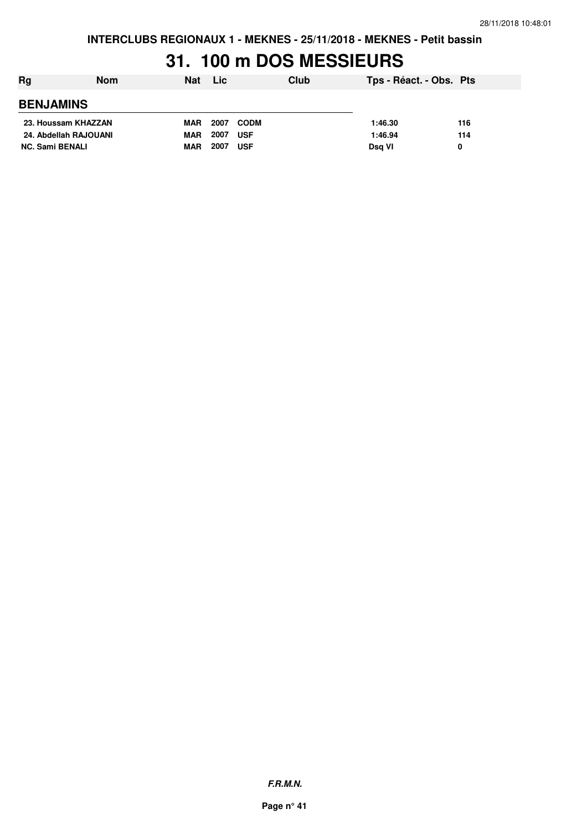## **31. 100 m DOS MESSIEURS**

| Rg<br><b>Nom</b>       | Nat        | <b>Lic</b> |             | Club | Tps - Réact. - Obs. Pts |     |
|------------------------|------------|------------|-------------|------|-------------------------|-----|
| <b>BENJAMINS</b>       |            |            |             |      |                         |     |
| 23. Houssam KHAZZAN    | <b>MAR</b> | 2007       | <b>CODM</b> |      | 1:46.30                 | 116 |
| 24. Abdellah RAJOUANI  | <b>MAR</b> | 2007       | <b>USF</b>  |      | 1:46.94                 | 114 |
| <b>NC. Sami BENALI</b> | <b>MAR</b> | 2007       | <b>USF</b>  |      | Dsg VI                  | 0   |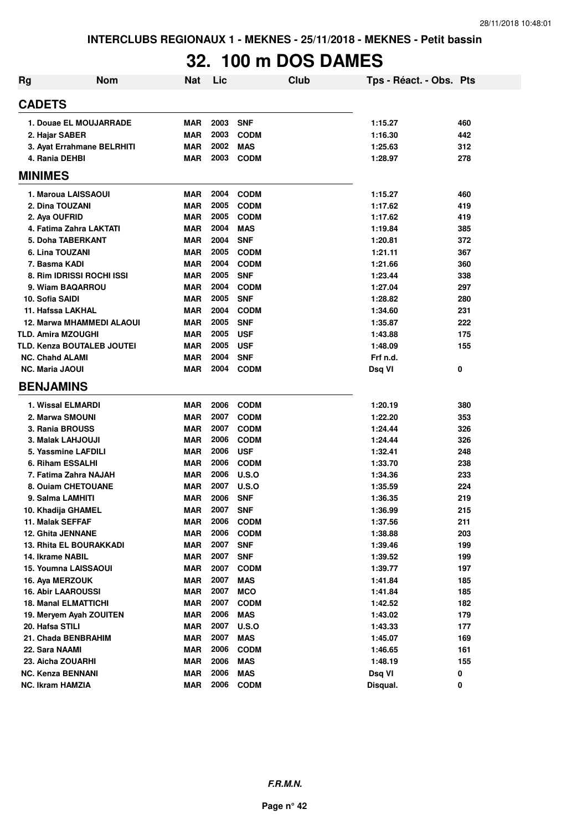# **32. 100 m DOS DAMES**

| Rg | <b>Nom</b>                       | <b>Nat</b> | Lic  | Club         | Tps - Réact. - Obs. Pts |     |
|----|----------------------------------|------------|------|--------------|-------------------------|-----|
|    | <b>CADETS</b>                    |            |      |              |                         |     |
|    | 1. Douae EL MOUJARRADE           | <b>MAR</b> | 2003 | <b>SNF</b>   | 1:15.27                 | 460 |
|    | 2. Hajar SABER                   | <b>MAR</b> | 2003 | <b>CODM</b>  | 1:16.30                 | 442 |
|    | 3. Ayat Errahmane BELRHITI       | <b>MAR</b> | 2002 | <b>MAS</b>   | 1:25.63                 | 312 |
|    | 4. Rania DEHBI                   | <b>MAR</b> | 2003 | <b>CODM</b>  | 1:28.97                 | 278 |
|    | <b>MINIMES</b>                   |            |      |              |                         |     |
|    | 1. Maroua LAISSAOUI              | <b>MAR</b> | 2004 | <b>CODM</b>  | 1:15.27                 | 460 |
|    | 2. Dina TOUZANI                  | <b>MAR</b> | 2005 | <b>CODM</b>  | 1:17.62                 | 419 |
|    | 2. Aya OUFRID                    | <b>MAR</b> | 2005 | <b>CODM</b>  | 1:17.62                 | 419 |
|    | 4. Fatima Zahra LAKTATI          | <b>MAR</b> | 2004 | <b>MAS</b>   | 1:19.84                 | 385 |
|    | 5. Doha TABERKANT                | <b>MAR</b> | 2004 | <b>SNF</b>   | 1:20.81                 | 372 |
|    | 6. Lina TOUZANI                  | <b>MAR</b> | 2005 | <b>CODM</b>  | 1:21.11                 | 367 |
|    | 7. Basma KADI                    | <b>MAR</b> | 2004 | <b>CODM</b>  | 1:21.66                 | 360 |
|    | 8. Rim IDRISSI ROCHI ISSI        | <b>MAR</b> | 2005 | <b>SNF</b>   | 1:23.44                 | 338 |
|    | 9. Wiam BAQARROU                 | <b>MAR</b> | 2004 | <b>CODM</b>  | 1:27.04                 | 297 |
|    | 10. Sofia SAIDI                  | <b>MAR</b> | 2005 | <b>SNF</b>   | 1:28.82                 | 280 |
|    | 11. Hafssa LAKHAL                | <b>MAR</b> | 2004 | <b>CODM</b>  | 1:34.60                 | 231 |
|    | <b>12. Marwa MHAMMEDI ALAOUI</b> | <b>MAR</b> | 2005 | <b>SNF</b>   | 1:35.87                 | 222 |
|    | <b>TLD. Amira MZOUGHI</b>        | <b>MAR</b> | 2005 | <b>USF</b>   | 1:43.88                 | 175 |
|    | TLD. Kenza BOUTALEB JOUTEI       | <b>MAR</b> | 2005 | <b>USF</b>   | 1:48.09                 | 155 |
|    | <b>NC. Chahd ALAMI</b>           | <b>MAR</b> | 2004 | <b>SNF</b>   | Frf n.d.                |     |
|    | <b>NC. Maria JAOUI</b>           | <b>MAR</b> | 2004 | <b>CODM</b>  | Dsq VI                  | 0   |
|    | <b>BENJAMINS</b>                 |            |      |              |                         |     |
|    | 1. Wissal ELMARDI                | <b>MAR</b> | 2006 | <b>CODM</b>  | 1:20.19                 | 380 |
|    | 2. Marwa SMOUNI                  | <b>MAR</b> | 2007 | <b>CODM</b>  | 1:22.20                 | 353 |
|    | 3. Rania BROUSS                  | <b>MAR</b> | 2007 | <b>CODM</b>  | 1:24.44                 | 326 |
|    | 3. Malak LAHJOUJI                | <b>MAR</b> | 2006 | <b>CODM</b>  | 1:24.44                 | 326 |
|    | 5. Yassmine LAFDILI              | <b>MAR</b> | 2006 | <b>USF</b>   | 1:32.41                 | 248 |
|    | 6. Riham ESSALHI                 | <b>MAR</b> | 2006 | <b>CODM</b>  | 1:33.70                 | 238 |
|    | 7. Fatima Zahra NAJAH            | <b>MAR</b> | 2006 | U.S.O        | 1:34.36                 | 233 |
|    | 8. Ouiam CHETOUANE               | <b>MAR</b> | 2007 | U.S.O        | 1:35.59                 | 224 |
|    | 9. Salma LAMHITI                 | <b>MAR</b> | 2006 | <b>SNF</b>   | 1:36.35                 | 219 |
|    | 10. Khadija GHAMEL               | <b>MAR</b> | 2007 | <b>SNF</b>   | 1:36.99                 | 215 |
|    | 11. Malak SEFFAF                 | <b>MAR</b> | 2006 | <b>CODM</b>  | 1:37.56                 | 211 |
|    | 12. Ghita JENNANE                | <b>MAR</b> | 2006 | <b>CODM</b>  | 1:38.88                 | 203 |
|    | 13. Rhita EL BOURAKKADI          | <b>MAR</b> | 2007 | <b>SNF</b>   | 1:39.46                 | 199 |
|    | 14. Ikrame NABIL                 | <b>MAR</b> | 2007 | <b>SNF</b>   | 1:39.52                 | 199 |
|    | 15. Youmna LAISSAOUI             | MAR        | 2007 | <b>CODM</b>  | 1:39.77                 | 197 |
|    | 16. Aya MERZOUK                  | <b>MAR</b> | 2007 | <b>MAS</b>   | 1:41.84                 | 185 |
|    | <b>16. Abir LAAROUSSI</b>        | <b>MAR</b> | 2007 | <b>MCO</b>   | 1:41.84                 | 185 |
|    | <b>18. Manal ELMATTICHI</b>      | <b>MAR</b> | 2007 | <b>CODM</b>  | 1:42.52                 | 182 |
|    | 19. Meryem Ayah ZOUITEN          | <b>MAR</b> | 2006 | <b>MAS</b>   | 1:43.02                 | 179 |
|    | 20. Hafsa STILI                  | <b>MAR</b> | 2007 | <b>U.S.O</b> | 1:43.33                 | 177 |
|    | 21. Chada BENBRAHIM              | <b>MAR</b> | 2007 | <b>MAS</b>   | 1:45.07                 | 169 |
|    | 22. Sara NAAMI                   | <b>MAR</b> | 2006 | <b>CODM</b>  | 1:46.65                 | 161 |
|    | 23. Aicha ZOUARHI                | <b>MAR</b> | 2006 | <b>MAS</b>   | 1:48.19                 | 155 |
|    | <b>NC. Kenza BENNANI</b>         | <b>MAR</b> | 2006 | <b>MAS</b>   | Dsq VI                  | 0   |
|    | <b>NC. Ikram HAMZIA</b>          | <b>MAR</b> | 2006 | <b>CODM</b>  | Disqual.                | 0   |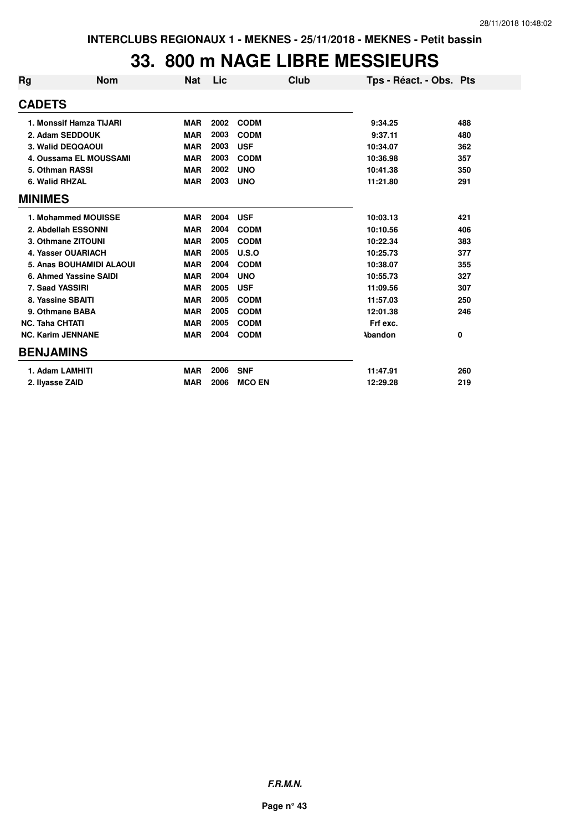### **33. 800 m NAGE LIBRE MESSIEURS**

| Rg             | <b>Nom</b>               | <b>Nat</b> | Lic  | Club          | Tps - Réact. - Obs. Pts |     |
|----------------|--------------------------|------------|------|---------------|-------------------------|-----|
| <b>CADETS</b>  |                          |            |      |               |                         |     |
|                | 1. Monssif Hamza TIJARI  | <b>MAR</b> | 2002 | <b>CODM</b>   | 9:34.25                 | 488 |
|                | 2. Adam SEDDOUK          | <b>MAR</b> | 2003 | <b>CODM</b>   | 9:37.11                 | 480 |
|                | 3. Walid DEQQAOUI        | <b>MAR</b> | 2003 | <b>USF</b>    | 10:34.07                | 362 |
|                | 4. Oussama EL MOUSSAMI   | <b>MAR</b> | 2003 | <b>CODM</b>   | 10:36.98                | 357 |
|                | 5. Othman RASSI          | <b>MAR</b> | 2002 | <b>UNO</b>    | 10:41.38                | 350 |
|                | 6. Walid RHZAL           | <b>MAR</b> | 2003 | <b>UNO</b>    | 11:21.80                | 291 |
| <b>MINIMES</b> |                          |            |      |               |                         |     |
|                | 1. Mohammed MOUISSE      | <b>MAR</b> | 2004 | <b>USF</b>    | 10:03.13                | 421 |
|                | 2. Abdellah ESSONNI      | <b>MAR</b> | 2004 | <b>CODM</b>   | 10:10.56                | 406 |
|                | 3. Othmane ZITOUNI       | <b>MAR</b> | 2005 | <b>CODM</b>   | 10:22.34                | 383 |
|                | 4. Yasser OUARIACH       | <b>MAR</b> | 2005 | U.S.O         | 10:25.73                | 377 |
|                | 5. Anas BOUHAMIDI ALAOUI | <b>MAR</b> | 2004 | <b>CODM</b>   | 10:38.07                | 355 |
|                | 6. Ahmed Yassine SAIDI   | <b>MAR</b> | 2004 | <b>UNO</b>    | 10:55.73                | 327 |
|                | 7. Saad YASSIRI          | <b>MAR</b> | 2005 | <b>USF</b>    | 11:09.56                | 307 |
|                | 8. Yassine SBAITI        | <b>MAR</b> | 2005 | <b>CODM</b>   | 11:57.03                | 250 |
|                | 9. Othmane BABA          | <b>MAR</b> | 2005 | <b>CODM</b>   | 12:01.38                | 246 |
|                | <b>NC. Taha CHTATI</b>   | <b>MAR</b> | 2005 | <b>CODM</b>   | Frf exc.                |     |
|                | <b>NC. Karim JENNANE</b> | <b>MAR</b> | 2004 | <b>CODM</b>   | <b>Abandon</b>          | 0   |
|                | <b>BENJAMINS</b>         |            |      |               |                         |     |
|                | 1. Adam LAMHITI          | <b>MAR</b> | 2006 | <b>SNF</b>    | 11:47.91                | 260 |
|                | 2. Ilyasse ZAID          | <b>MAR</b> | 2006 | <b>MCO EN</b> | 12:29.28                | 219 |